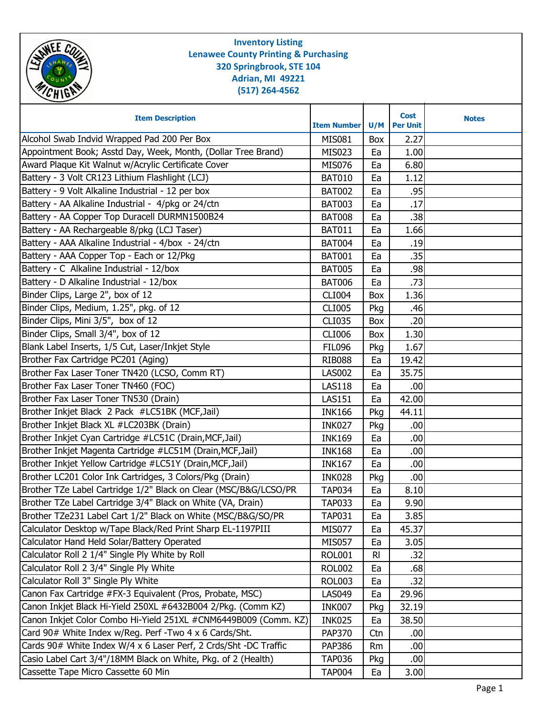| <b>Inventory Listing</b><br><b>Lenawee County Printing &amp; Purchasing</b><br>320 Springbrook, STE 104<br>Adrian, MI 49221<br><b>CHIEN</b><br>$(517)$ 264-4562 |                    |             |                                |              |  |
|-----------------------------------------------------------------------------------------------------------------------------------------------------------------|--------------------|-------------|--------------------------------|--------------|--|
| <b>Item Description</b>                                                                                                                                         | <b>Item Number</b> | U/M         | <b>Cost</b><br><b>Per Unit</b> | <b>Notes</b> |  |
| Alcohol Swab Indvid Wrapped Pad 200 Per Box                                                                                                                     | <b>MIS081</b>      | Box         | 2.27                           |              |  |
| Appointment Book; Asstd Day, Week, Month, (Dollar Tree Brand)                                                                                                   | MIS023             | Ea          | 1.00                           |              |  |
| Award Plaque Kit Walnut w/Acrylic Certificate Cover                                                                                                             | <b>MIS076</b>      | Ea          | 6.80                           |              |  |
| Battery - 3 Volt CR123 Lithium Flashlight (LCJ)                                                                                                                 | <b>BAT010</b>      | Ea          | 1.12                           |              |  |
| Battery - 9 Volt Alkaline Industrial - 12 per box                                                                                                               | <b>BAT002</b>      | Ea          | .95                            |              |  |
| Battery - AA Alkaline Industrial - 4/pkg or 24/ctn                                                                                                              | <b>BAT003</b>      | Ea          | .17                            |              |  |
| Battery - AA Copper Top Duracell DURMN1500B24                                                                                                                   | <b>BAT008</b>      | Ea          | .38                            |              |  |
| Battery - AA Rechargeable 8/pkg (LCJ Taser)                                                                                                                     | <b>BAT011</b>      | Ea          | 1.66                           |              |  |
| Battery - AAA Alkaline Industrial - 4/box - 24/ctn                                                                                                              | <b>BAT004</b>      | Ea          | .19                            |              |  |
| Battery - AAA Copper Top - Each or 12/Pkg                                                                                                                       | <b>BAT001</b>      | Ea          | .35                            |              |  |
| Battery - C Alkaline Industrial - 12/box                                                                                                                        | <b>BAT005</b>      | Ea          | .98                            |              |  |
| Battery - D Alkaline Industrial - 12/box                                                                                                                        | <b>BAT006</b>      | Ea          | .73                            |              |  |
| Binder Clips, Large 2", box of 12                                                                                                                               | <b>CLI004</b>      | Box         | 1.36                           |              |  |
| Binder Clips, Medium, 1.25", pkg. of 12                                                                                                                         | <b>CLI005</b>      | Pkg         | .46                            |              |  |
| Binder Clips, Mini 3/5", box of 12                                                                                                                              | <b>CLI035</b>      | Box         | .20                            |              |  |
| Binder Clips, Small 3/4", box of 12                                                                                                                             | <b>CLI006</b>      | Box         | 1.30                           |              |  |
| Blank Label Inserts, 1/5 Cut, Laser/Inkjet Style                                                                                                                | <b>FIL096</b>      | Pkg         | 1.67                           |              |  |
| Brother Fax Cartridge PC201 (Aging)                                                                                                                             | <b>RIB088</b>      | Ea          | 19.42                          |              |  |
| Brother Fax Laser Toner TN420 (LCSO, Comm RT)                                                                                                                   | <b>LAS002</b>      | Ea          | 35.75                          |              |  |
| Brother Fax Laser Toner TN460 (FOC)                                                                                                                             | <b>LAS118</b>      | Ea          | .00                            |              |  |
| Brother Fax Laser Toner TN530 (Drain)                                                                                                                           | <b>LAS151</b>      | Ea          | 42.00                          |              |  |
| Brother Inkjet Black 2 Pack #LC51BK (MCF, Jail)                                                                                                                 | <b>INK166</b>      | Pkg         | 44.11                          |              |  |
| Brother Inkjet Black XL #LC203BK (Drain)                                                                                                                        | <b>INK027</b>      | Pkg         | .00                            |              |  |
| Brother Inkjet Cyan Cartridge #LC51C (Drain, MCF, Jail)                                                                                                         | <b>INK169</b>      | Ea          | .00 <sub>1</sub>               |              |  |
| Brother Inkjet Magenta Cartridge #LC51M (Drain, MCF, Jail)                                                                                                      | <b>INK168</b>      | Ea          | .00                            |              |  |
| Brother Inkjet Yellow Cartridge #LC51Y (Drain, MCF, Jail)                                                                                                       | <b>INK167</b>      | Ea          | .00                            |              |  |
| Brother LC201 Color Ink Cartridges, 3 Colors/Pkg (Drain)                                                                                                        | <b>INK028</b>      | Pkg         | .00                            |              |  |
| Brother TZe Label Cartridge 1/2" Black on Clear (MSC/B&G/LCSO/PR                                                                                                | <b>TAP034</b>      | Ea          | 8.10                           |              |  |
| Brother TZe Label Cartridge 3/4" Black on White (VA, Drain)                                                                                                     | <b>TAP033</b>      | Ea          | 9.90                           |              |  |
| Brother TZe231 Label Cart 1/2" Black on White (MSC/B&G/SO/PR                                                                                                    | <b>TAP031</b>      | Ea          | 3.85                           |              |  |
| Calculator Desktop w/Tape Black/Red Print Sharp EL-1197PIII                                                                                                     | <b>MIS077</b>      | Ea          | 45.37                          |              |  |
| Calculator Hand Held Solar/Battery Operated                                                                                                                     | <b>MIS057</b>      | Ea          | 3.05                           |              |  |
| Calculator Roll 2 1/4" Single Ply White by Roll                                                                                                                 | <b>ROL001</b>      | $R_{\rm I}$ | .32                            |              |  |
| Calculator Roll 2 3/4" Single Ply White                                                                                                                         | <b>ROL002</b>      | Ea          | .68                            |              |  |
| Calculator Roll 3" Single Ply White                                                                                                                             | <b>ROL003</b>      | Ea          | .32                            |              |  |
| Canon Fax Cartridge #FX-3 Equivalent (Pros, Probate, MSC)                                                                                                       | <b>LAS049</b>      | Ea          | 29.96                          |              |  |
| Canon Inkjet Black Hi-Yield 250XL #6432B004 2/Pkg. (Comm KZ)                                                                                                    | <b>INK007</b>      | Pkg         | 32.19                          |              |  |
| Canon Inkjet Color Combo Hi-Yield 251XL #CNM6449B009 (Comm. KZ)                                                                                                 | <b>INK025</b>      | Ea          | 38.50                          |              |  |
| Card 90# White Index w/Reg. Perf -Two 4 x 6 Cards/Sht.                                                                                                          | <b>PAP370</b>      | Ctn         | .00                            |              |  |
| Cards 90# White Index W/4 x 6 Laser Perf, 2 Crds/Sht -DC Traffic                                                                                                | <b>PAP386</b>      | Rm          | .00                            |              |  |
| Casio Label Cart 3/4"/18MM Black on White, Pkg. of 2 (Health)                                                                                                   | <b>TAP036</b>      | Pkg         | .00                            |              |  |
| Cassette Tape Micro Cassette 60 Min                                                                                                                             | <b>TAP004</b>      | Ea          | 3.00                           |              |  |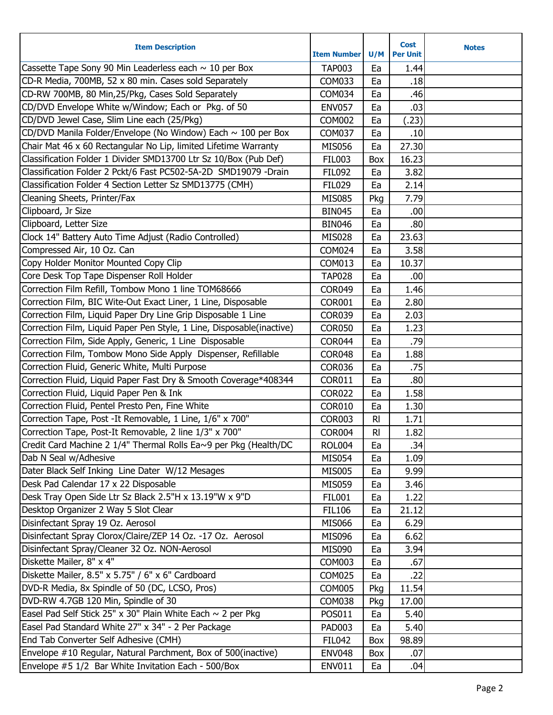| Cassette Tape Sony 90 Min Leaderless each $\sim$ 10 per Box<br><b>TAP003</b><br>Ea<br>1.44<br>CD-R Media, 700MB, 52 x 80 min. Cases sold Separately<br>COM033<br>.18<br>Ea<br>CD-RW 700MB, 80 Min, 25/Pkg, Cases Sold Separately<br><b>COM034</b><br>.46<br>Ea<br>CD/DVD Envelope White w/Window; Each or Pkg. of 50<br>.03<br><b>ENV057</b><br>Ea<br>CD/DVD Jewel Case, Slim Line each (25/Pkg)<br><b>COM002</b><br>(.23)<br>Ea<br>CD/DVD Manila Folder/Envelope (No Window) Each ~ 100 per Box<br><b>COM037</b><br>.10<br>Ea<br>Chair Mat 46 x 60 Rectangular No Lip, limited Lifetime Warranty<br>27.30<br><b>MIS056</b><br>Ea<br>Classification Folder 1 Divider SMD13700 Ltr Sz 10/Box (Pub Def)<br><b>FIL003</b><br>16.23<br>Box<br>Classification Folder 2 Pckt/6 Fast PC502-5A-2D SMD19079 -Drain<br>3.82<br><b>FIL092</b><br>Ea<br>Classification Folder 4 Section Letter Sz SMD13775 (CMH)<br><b>FIL029</b><br>Ea<br>2.14<br>Cleaning Sheets, Printer/Fax<br><b>MIS085</b><br>7.79<br>Pkg<br>Clipboard, Jr Size<br><b>BIN045</b><br>.00<br>Ea<br>Clipboard, Letter Size<br>.80<br><b>BIN046</b><br>Ea<br>Clock 14" Battery Auto Time Adjust (Radio Controlled)<br>23.63<br><b>MIS028</b><br>Ea<br>Compressed Air, 10 Oz. Can<br>3.58<br><b>COM024</b><br>Ea<br>Copy Holder Monitor Mounted Copy Clip<br>10.37<br>COM013<br>Ea<br>Core Desk Top Tape Dispenser Roll Holder<br><b>TAP028</b><br>.00<br>Ea<br>Correction Film Refill, Tombow Mono 1 line TOM68666<br><b>COR049</b><br>1.46<br>Ea<br>Correction Film, BIC Wite-Out Exact Liner, 1 Line, Disposable<br><b>COR001</b><br>2.80<br>Ea<br>Correction Film, Liquid Paper Dry Line Grip Disposable 1 Line<br><b>COR039</b><br>2.03<br>Ea<br>Correction Film, Liquid Paper Pen Style, 1 Line, Disposable(inactive)<br><b>COR050</b><br>1.23<br>Ea<br>Correction Film, Side Apply, Generic, 1 Line Disposable<br>.79<br><b>COR044</b><br>Ea<br>Correction Film, Tombow Mono Side Apply Dispenser, Refillable<br>1.88<br><b>COR048</b><br>Ea<br>Correction Fluid, Generic White, Multi Purpose<br>.75<br><b>COR036</b><br>Ea<br>Correction Fluid, Liquid Paper Fast Dry & Smooth Coverage*408344<br>.80<br><b>COR011</b><br>Ea<br>Correction Fluid, Liquid Paper Pen & Ink<br><b>COR022</b><br>1.58<br>Ea<br>Correction Fluid, Pentel Presto Pen, Fine White<br><b>COR010</b><br>Ea<br>1.30<br>Correction Tape, Post -It Removable, 1 Line, 1/6" x 700"<br><b>COR003</b><br><b>RI</b><br>1.71<br>Correction Tape, Post-It Removable, 2 line 1/3" x 700"<br>1.82<br><b>COR004</b><br>R <sub>l</sub><br>Credit Card Machine 2 1/4" Thermal Rolls Ea~9 per Pkg (Health/DC<br><b>ROL004</b><br>.34<br>Ea<br>Dab N Seal w/Adhesive<br>1.09<br><b>MIS054</b><br>Ea<br>Dater Black Self Inking Line Dater W/12 Mesages<br>9.99<br><b>MIS005</b><br>Ea<br>Desk Pad Calendar 17 x 22 Disposable<br><b>MIS059</b><br>3.46<br>Ea<br>Desk Tray Open Side Ltr Sz Black 2.5"H x 13.19"W x 9"D<br><b>FIL001</b><br>1.22<br>Ea<br>Desktop Organizer 2 Way 5 Slot Clear<br><b>FIL106</b><br>21.12<br>Ea<br>Disinfectant Spray 19 Oz. Aerosol<br><b>MIS066</b><br>6.29<br>Ea<br>Disinfectant Spray Clorox/Claire/ZEP 14 Oz. -17 Oz. Aerosol<br><b>MIS096</b><br>6.62<br>Ea<br>Disinfectant Spray/Cleaner 32 Oz. NON-Aerosol<br><b>MIS090</b><br>3.94<br>Ea<br>Diskette Mailer, 8" x 4"<br><b>COM003</b><br>.67<br>Ea<br>Diskette Mailer, 8.5" x 5.75" / 6" x 6" Cardboard<br>.22<br><b>COM025</b><br>Ea<br>DVD-R Media, 8x Spindle of 50 (DC, LCSO, Pros)<br><b>COM005</b><br>11.54<br>Pkg<br>DVD-RW 4.7GB 120 Min, Spindle of 30<br><b>COM038</b><br>17.00<br>Pkg<br>Easel Pad Self Stick 25" x 30" Plain White Each $\sim$ 2 per Pkg<br>POS011<br>5.40<br>Ea<br>Easel Pad Standard White 27" x 34" - 2 Per Package<br><b>PAD003</b><br>5.40<br>Ea<br>End Tab Converter Self Adhesive (CMH)<br>98.89<br><b>FIL042</b><br>Box<br>Envelope #10 Regular, Natural Parchment, Box of 500(inactive)<br><b>ENV048</b><br>.07<br>Box | <b>Item Description</b>                             | <b>Item Number</b> | U/M | <b>Cost</b><br><b>Per Unit</b> | <b>Notes</b> |
|-------------------------------------------------------------------------------------------------------------------------------------------------------------------------------------------------------------------------------------------------------------------------------------------------------------------------------------------------------------------------------------------------------------------------------------------------------------------------------------------------------------------------------------------------------------------------------------------------------------------------------------------------------------------------------------------------------------------------------------------------------------------------------------------------------------------------------------------------------------------------------------------------------------------------------------------------------------------------------------------------------------------------------------------------------------------------------------------------------------------------------------------------------------------------------------------------------------------------------------------------------------------------------------------------------------------------------------------------------------------------------------------------------------------------------------------------------------------------------------------------------------------------------------------------------------------------------------------------------------------------------------------------------------------------------------------------------------------------------------------------------------------------------------------------------------------------------------------------------------------------------------------------------------------------------------------------------------------------------------------------------------------------------------------------------------------------------------------------------------------------------------------------------------------------------------------------------------------------------------------------------------------------------------------------------------------------------------------------------------------------------------------------------------------------------------------------------------------------------------------------------------------------------------------------------------------------------------------------------------------------------------------------------------------------------------------------------------------------------------------------------------------------------------------------------------------------------------------------------------------------------------------------------------------------------------------------------------------------------------------------------------------------------------------------------------------------------------------------------------------------------------------------------------------------------------------------------------------------------------------------------------------------------------------------------------------------------------------------------------------------------------------------------------------------------------------------------------------------------------------------------------------------------------------------------------------------------------------------------------------------------------------------------------------------------------------------------------------------------------------------------------------------------------------------------------------------------------------------------------------------------------------------------------------------------------------------------------------------|-----------------------------------------------------|--------------------|-----|--------------------------------|--------------|
|                                                                                                                                                                                                                                                                                                                                                                                                                                                                                                                                                                                                                                                                                                                                                                                                                                                                                                                                                                                                                                                                                                                                                                                                                                                                                                                                                                                                                                                                                                                                                                                                                                                                                                                                                                                                                                                                                                                                                                                                                                                                                                                                                                                                                                                                                                                                                                                                                                                                                                                                                                                                                                                                                                                                                                                                                                                                                                                                                                                                                                                                                                                                                                                                                                                                                                                                                                                                                                                                                                                                                                                                                                                                                                                                                                                                                                                                                                                                                                         |                                                     |                    |     |                                |              |
|                                                                                                                                                                                                                                                                                                                                                                                                                                                                                                                                                                                                                                                                                                                                                                                                                                                                                                                                                                                                                                                                                                                                                                                                                                                                                                                                                                                                                                                                                                                                                                                                                                                                                                                                                                                                                                                                                                                                                                                                                                                                                                                                                                                                                                                                                                                                                                                                                                                                                                                                                                                                                                                                                                                                                                                                                                                                                                                                                                                                                                                                                                                                                                                                                                                                                                                                                                                                                                                                                                                                                                                                                                                                                                                                                                                                                                                                                                                                                                         |                                                     |                    |     |                                |              |
|                                                                                                                                                                                                                                                                                                                                                                                                                                                                                                                                                                                                                                                                                                                                                                                                                                                                                                                                                                                                                                                                                                                                                                                                                                                                                                                                                                                                                                                                                                                                                                                                                                                                                                                                                                                                                                                                                                                                                                                                                                                                                                                                                                                                                                                                                                                                                                                                                                                                                                                                                                                                                                                                                                                                                                                                                                                                                                                                                                                                                                                                                                                                                                                                                                                                                                                                                                                                                                                                                                                                                                                                                                                                                                                                                                                                                                                                                                                                                                         |                                                     |                    |     |                                |              |
|                                                                                                                                                                                                                                                                                                                                                                                                                                                                                                                                                                                                                                                                                                                                                                                                                                                                                                                                                                                                                                                                                                                                                                                                                                                                                                                                                                                                                                                                                                                                                                                                                                                                                                                                                                                                                                                                                                                                                                                                                                                                                                                                                                                                                                                                                                                                                                                                                                                                                                                                                                                                                                                                                                                                                                                                                                                                                                                                                                                                                                                                                                                                                                                                                                                                                                                                                                                                                                                                                                                                                                                                                                                                                                                                                                                                                                                                                                                                                                         |                                                     |                    |     |                                |              |
|                                                                                                                                                                                                                                                                                                                                                                                                                                                                                                                                                                                                                                                                                                                                                                                                                                                                                                                                                                                                                                                                                                                                                                                                                                                                                                                                                                                                                                                                                                                                                                                                                                                                                                                                                                                                                                                                                                                                                                                                                                                                                                                                                                                                                                                                                                                                                                                                                                                                                                                                                                                                                                                                                                                                                                                                                                                                                                                                                                                                                                                                                                                                                                                                                                                                                                                                                                                                                                                                                                                                                                                                                                                                                                                                                                                                                                                                                                                                                                         |                                                     |                    |     |                                |              |
|                                                                                                                                                                                                                                                                                                                                                                                                                                                                                                                                                                                                                                                                                                                                                                                                                                                                                                                                                                                                                                                                                                                                                                                                                                                                                                                                                                                                                                                                                                                                                                                                                                                                                                                                                                                                                                                                                                                                                                                                                                                                                                                                                                                                                                                                                                                                                                                                                                                                                                                                                                                                                                                                                                                                                                                                                                                                                                                                                                                                                                                                                                                                                                                                                                                                                                                                                                                                                                                                                                                                                                                                                                                                                                                                                                                                                                                                                                                                                                         |                                                     |                    |     |                                |              |
|                                                                                                                                                                                                                                                                                                                                                                                                                                                                                                                                                                                                                                                                                                                                                                                                                                                                                                                                                                                                                                                                                                                                                                                                                                                                                                                                                                                                                                                                                                                                                                                                                                                                                                                                                                                                                                                                                                                                                                                                                                                                                                                                                                                                                                                                                                                                                                                                                                                                                                                                                                                                                                                                                                                                                                                                                                                                                                                                                                                                                                                                                                                                                                                                                                                                                                                                                                                                                                                                                                                                                                                                                                                                                                                                                                                                                                                                                                                                                                         |                                                     |                    |     |                                |              |
|                                                                                                                                                                                                                                                                                                                                                                                                                                                                                                                                                                                                                                                                                                                                                                                                                                                                                                                                                                                                                                                                                                                                                                                                                                                                                                                                                                                                                                                                                                                                                                                                                                                                                                                                                                                                                                                                                                                                                                                                                                                                                                                                                                                                                                                                                                                                                                                                                                                                                                                                                                                                                                                                                                                                                                                                                                                                                                                                                                                                                                                                                                                                                                                                                                                                                                                                                                                                                                                                                                                                                                                                                                                                                                                                                                                                                                                                                                                                                                         |                                                     |                    |     |                                |              |
|                                                                                                                                                                                                                                                                                                                                                                                                                                                                                                                                                                                                                                                                                                                                                                                                                                                                                                                                                                                                                                                                                                                                                                                                                                                                                                                                                                                                                                                                                                                                                                                                                                                                                                                                                                                                                                                                                                                                                                                                                                                                                                                                                                                                                                                                                                                                                                                                                                                                                                                                                                                                                                                                                                                                                                                                                                                                                                                                                                                                                                                                                                                                                                                                                                                                                                                                                                                                                                                                                                                                                                                                                                                                                                                                                                                                                                                                                                                                                                         |                                                     |                    |     |                                |              |
|                                                                                                                                                                                                                                                                                                                                                                                                                                                                                                                                                                                                                                                                                                                                                                                                                                                                                                                                                                                                                                                                                                                                                                                                                                                                                                                                                                                                                                                                                                                                                                                                                                                                                                                                                                                                                                                                                                                                                                                                                                                                                                                                                                                                                                                                                                                                                                                                                                                                                                                                                                                                                                                                                                                                                                                                                                                                                                                                                                                                                                                                                                                                                                                                                                                                                                                                                                                                                                                                                                                                                                                                                                                                                                                                                                                                                                                                                                                                                                         |                                                     |                    |     |                                |              |
|                                                                                                                                                                                                                                                                                                                                                                                                                                                                                                                                                                                                                                                                                                                                                                                                                                                                                                                                                                                                                                                                                                                                                                                                                                                                                                                                                                                                                                                                                                                                                                                                                                                                                                                                                                                                                                                                                                                                                                                                                                                                                                                                                                                                                                                                                                                                                                                                                                                                                                                                                                                                                                                                                                                                                                                                                                                                                                                                                                                                                                                                                                                                                                                                                                                                                                                                                                                                                                                                                                                                                                                                                                                                                                                                                                                                                                                                                                                                                                         |                                                     |                    |     |                                |              |
|                                                                                                                                                                                                                                                                                                                                                                                                                                                                                                                                                                                                                                                                                                                                                                                                                                                                                                                                                                                                                                                                                                                                                                                                                                                                                                                                                                                                                                                                                                                                                                                                                                                                                                                                                                                                                                                                                                                                                                                                                                                                                                                                                                                                                                                                                                                                                                                                                                                                                                                                                                                                                                                                                                                                                                                                                                                                                                                                                                                                                                                                                                                                                                                                                                                                                                                                                                                                                                                                                                                                                                                                                                                                                                                                                                                                                                                                                                                                                                         |                                                     |                    |     |                                |              |
|                                                                                                                                                                                                                                                                                                                                                                                                                                                                                                                                                                                                                                                                                                                                                                                                                                                                                                                                                                                                                                                                                                                                                                                                                                                                                                                                                                                                                                                                                                                                                                                                                                                                                                                                                                                                                                                                                                                                                                                                                                                                                                                                                                                                                                                                                                                                                                                                                                                                                                                                                                                                                                                                                                                                                                                                                                                                                                                                                                                                                                                                                                                                                                                                                                                                                                                                                                                                                                                                                                                                                                                                                                                                                                                                                                                                                                                                                                                                                                         |                                                     |                    |     |                                |              |
|                                                                                                                                                                                                                                                                                                                                                                                                                                                                                                                                                                                                                                                                                                                                                                                                                                                                                                                                                                                                                                                                                                                                                                                                                                                                                                                                                                                                                                                                                                                                                                                                                                                                                                                                                                                                                                                                                                                                                                                                                                                                                                                                                                                                                                                                                                                                                                                                                                                                                                                                                                                                                                                                                                                                                                                                                                                                                                                                                                                                                                                                                                                                                                                                                                                                                                                                                                                                                                                                                                                                                                                                                                                                                                                                                                                                                                                                                                                                                                         |                                                     |                    |     |                                |              |
|                                                                                                                                                                                                                                                                                                                                                                                                                                                                                                                                                                                                                                                                                                                                                                                                                                                                                                                                                                                                                                                                                                                                                                                                                                                                                                                                                                                                                                                                                                                                                                                                                                                                                                                                                                                                                                                                                                                                                                                                                                                                                                                                                                                                                                                                                                                                                                                                                                                                                                                                                                                                                                                                                                                                                                                                                                                                                                                                                                                                                                                                                                                                                                                                                                                                                                                                                                                                                                                                                                                                                                                                                                                                                                                                                                                                                                                                                                                                                                         |                                                     |                    |     |                                |              |
|                                                                                                                                                                                                                                                                                                                                                                                                                                                                                                                                                                                                                                                                                                                                                                                                                                                                                                                                                                                                                                                                                                                                                                                                                                                                                                                                                                                                                                                                                                                                                                                                                                                                                                                                                                                                                                                                                                                                                                                                                                                                                                                                                                                                                                                                                                                                                                                                                                                                                                                                                                                                                                                                                                                                                                                                                                                                                                                                                                                                                                                                                                                                                                                                                                                                                                                                                                                                                                                                                                                                                                                                                                                                                                                                                                                                                                                                                                                                                                         |                                                     |                    |     |                                |              |
|                                                                                                                                                                                                                                                                                                                                                                                                                                                                                                                                                                                                                                                                                                                                                                                                                                                                                                                                                                                                                                                                                                                                                                                                                                                                                                                                                                                                                                                                                                                                                                                                                                                                                                                                                                                                                                                                                                                                                                                                                                                                                                                                                                                                                                                                                                                                                                                                                                                                                                                                                                                                                                                                                                                                                                                                                                                                                                                                                                                                                                                                                                                                                                                                                                                                                                                                                                                                                                                                                                                                                                                                                                                                                                                                                                                                                                                                                                                                                                         |                                                     |                    |     |                                |              |
|                                                                                                                                                                                                                                                                                                                                                                                                                                                                                                                                                                                                                                                                                                                                                                                                                                                                                                                                                                                                                                                                                                                                                                                                                                                                                                                                                                                                                                                                                                                                                                                                                                                                                                                                                                                                                                                                                                                                                                                                                                                                                                                                                                                                                                                                                                                                                                                                                                                                                                                                                                                                                                                                                                                                                                                                                                                                                                                                                                                                                                                                                                                                                                                                                                                                                                                                                                                                                                                                                                                                                                                                                                                                                                                                                                                                                                                                                                                                                                         |                                                     |                    |     |                                |              |
|                                                                                                                                                                                                                                                                                                                                                                                                                                                                                                                                                                                                                                                                                                                                                                                                                                                                                                                                                                                                                                                                                                                                                                                                                                                                                                                                                                                                                                                                                                                                                                                                                                                                                                                                                                                                                                                                                                                                                                                                                                                                                                                                                                                                                                                                                                                                                                                                                                                                                                                                                                                                                                                                                                                                                                                                                                                                                                                                                                                                                                                                                                                                                                                                                                                                                                                                                                                                                                                                                                                                                                                                                                                                                                                                                                                                                                                                                                                                                                         |                                                     |                    |     |                                |              |
|                                                                                                                                                                                                                                                                                                                                                                                                                                                                                                                                                                                                                                                                                                                                                                                                                                                                                                                                                                                                                                                                                                                                                                                                                                                                                                                                                                                                                                                                                                                                                                                                                                                                                                                                                                                                                                                                                                                                                                                                                                                                                                                                                                                                                                                                                                                                                                                                                                                                                                                                                                                                                                                                                                                                                                                                                                                                                                                                                                                                                                                                                                                                                                                                                                                                                                                                                                                                                                                                                                                                                                                                                                                                                                                                                                                                                                                                                                                                                                         |                                                     |                    |     |                                |              |
|                                                                                                                                                                                                                                                                                                                                                                                                                                                                                                                                                                                                                                                                                                                                                                                                                                                                                                                                                                                                                                                                                                                                                                                                                                                                                                                                                                                                                                                                                                                                                                                                                                                                                                                                                                                                                                                                                                                                                                                                                                                                                                                                                                                                                                                                                                                                                                                                                                                                                                                                                                                                                                                                                                                                                                                                                                                                                                                                                                                                                                                                                                                                                                                                                                                                                                                                                                                                                                                                                                                                                                                                                                                                                                                                                                                                                                                                                                                                                                         |                                                     |                    |     |                                |              |
|                                                                                                                                                                                                                                                                                                                                                                                                                                                                                                                                                                                                                                                                                                                                                                                                                                                                                                                                                                                                                                                                                                                                                                                                                                                                                                                                                                                                                                                                                                                                                                                                                                                                                                                                                                                                                                                                                                                                                                                                                                                                                                                                                                                                                                                                                                                                                                                                                                                                                                                                                                                                                                                                                                                                                                                                                                                                                                                                                                                                                                                                                                                                                                                                                                                                                                                                                                                                                                                                                                                                                                                                                                                                                                                                                                                                                                                                                                                                                                         |                                                     |                    |     |                                |              |
|                                                                                                                                                                                                                                                                                                                                                                                                                                                                                                                                                                                                                                                                                                                                                                                                                                                                                                                                                                                                                                                                                                                                                                                                                                                                                                                                                                                                                                                                                                                                                                                                                                                                                                                                                                                                                                                                                                                                                                                                                                                                                                                                                                                                                                                                                                                                                                                                                                                                                                                                                                                                                                                                                                                                                                                                                                                                                                                                                                                                                                                                                                                                                                                                                                                                                                                                                                                                                                                                                                                                                                                                                                                                                                                                                                                                                                                                                                                                                                         |                                                     |                    |     |                                |              |
|                                                                                                                                                                                                                                                                                                                                                                                                                                                                                                                                                                                                                                                                                                                                                                                                                                                                                                                                                                                                                                                                                                                                                                                                                                                                                                                                                                                                                                                                                                                                                                                                                                                                                                                                                                                                                                                                                                                                                                                                                                                                                                                                                                                                                                                                                                                                                                                                                                                                                                                                                                                                                                                                                                                                                                                                                                                                                                                                                                                                                                                                                                                                                                                                                                                                                                                                                                                                                                                                                                                                                                                                                                                                                                                                                                                                                                                                                                                                                                         |                                                     |                    |     |                                |              |
|                                                                                                                                                                                                                                                                                                                                                                                                                                                                                                                                                                                                                                                                                                                                                                                                                                                                                                                                                                                                                                                                                                                                                                                                                                                                                                                                                                                                                                                                                                                                                                                                                                                                                                                                                                                                                                                                                                                                                                                                                                                                                                                                                                                                                                                                                                                                                                                                                                                                                                                                                                                                                                                                                                                                                                                                                                                                                                                                                                                                                                                                                                                                                                                                                                                                                                                                                                                                                                                                                                                                                                                                                                                                                                                                                                                                                                                                                                                                                                         |                                                     |                    |     |                                |              |
|                                                                                                                                                                                                                                                                                                                                                                                                                                                                                                                                                                                                                                                                                                                                                                                                                                                                                                                                                                                                                                                                                                                                                                                                                                                                                                                                                                                                                                                                                                                                                                                                                                                                                                                                                                                                                                                                                                                                                                                                                                                                                                                                                                                                                                                                                                                                                                                                                                                                                                                                                                                                                                                                                                                                                                                                                                                                                                                                                                                                                                                                                                                                                                                                                                                                                                                                                                                                                                                                                                                                                                                                                                                                                                                                                                                                                                                                                                                                                                         |                                                     |                    |     |                                |              |
|                                                                                                                                                                                                                                                                                                                                                                                                                                                                                                                                                                                                                                                                                                                                                                                                                                                                                                                                                                                                                                                                                                                                                                                                                                                                                                                                                                                                                                                                                                                                                                                                                                                                                                                                                                                                                                                                                                                                                                                                                                                                                                                                                                                                                                                                                                                                                                                                                                                                                                                                                                                                                                                                                                                                                                                                                                                                                                                                                                                                                                                                                                                                                                                                                                                                                                                                                                                                                                                                                                                                                                                                                                                                                                                                                                                                                                                                                                                                                                         |                                                     |                    |     |                                |              |
|                                                                                                                                                                                                                                                                                                                                                                                                                                                                                                                                                                                                                                                                                                                                                                                                                                                                                                                                                                                                                                                                                                                                                                                                                                                                                                                                                                                                                                                                                                                                                                                                                                                                                                                                                                                                                                                                                                                                                                                                                                                                                                                                                                                                                                                                                                                                                                                                                                                                                                                                                                                                                                                                                                                                                                                                                                                                                                                                                                                                                                                                                                                                                                                                                                                                                                                                                                                                                                                                                                                                                                                                                                                                                                                                                                                                                                                                                                                                                                         |                                                     |                    |     |                                |              |
|                                                                                                                                                                                                                                                                                                                                                                                                                                                                                                                                                                                                                                                                                                                                                                                                                                                                                                                                                                                                                                                                                                                                                                                                                                                                                                                                                                                                                                                                                                                                                                                                                                                                                                                                                                                                                                                                                                                                                                                                                                                                                                                                                                                                                                                                                                                                                                                                                                                                                                                                                                                                                                                                                                                                                                                                                                                                                                                                                                                                                                                                                                                                                                                                                                                                                                                                                                                                                                                                                                                                                                                                                                                                                                                                                                                                                                                                                                                                                                         |                                                     |                    |     |                                |              |
|                                                                                                                                                                                                                                                                                                                                                                                                                                                                                                                                                                                                                                                                                                                                                                                                                                                                                                                                                                                                                                                                                                                                                                                                                                                                                                                                                                                                                                                                                                                                                                                                                                                                                                                                                                                                                                                                                                                                                                                                                                                                                                                                                                                                                                                                                                                                                                                                                                                                                                                                                                                                                                                                                                                                                                                                                                                                                                                                                                                                                                                                                                                                                                                                                                                                                                                                                                                                                                                                                                                                                                                                                                                                                                                                                                                                                                                                                                                                                                         |                                                     |                    |     |                                |              |
|                                                                                                                                                                                                                                                                                                                                                                                                                                                                                                                                                                                                                                                                                                                                                                                                                                                                                                                                                                                                                                                                                                                                                                                                                                                                                                                                                                                                                                                                                                                                                                                                                                                                                                                                                                                                                                                                                                                                                                                                                                                                                                                                                                                                                                                                                                                                                                                                                                                                                                                                                                                                                                                                                                                                                                                                                                                                                                                                                                                                                                                                                                                                                                                                                                                                                                                                                                                                                                                                                                                                                                                                                                                                                                                                                                                                                                                                                                                                                                         |                                                     |                    |     |                                |              |
|                                                                                                                                                                                                                                                                                                                                                                                                                                                                                                                                                                                                                                                                                                                                                                                                                                                                                                                                                                                                                                                                                                                                                                                                                                                                                                                                                                                                                                                                                                                                                                                                                                                                                                                                                                                                                                                                                                                                                                                                                                                                                                                                                                                                                                                                                                                                                                                                                                                                                                                                                                                                                                                                                                                                                                                                                                                                                                                                                                                                                                                                                                                                                                                                                                                                                                                                                                                                                                                                                                                                                                                                                                                                                                                                                                                                                                                                                                                                                                         |                                                     |                    |     |                                |              |
|                                                                                                                                                                                                                                                                                                                                                                                                                                                                                                                                                                                                                                                                                                                                                                                                                                                                                                                                                                                                                                                                                                                                                                                                                                                                                                                                                                                                                                                                                                                                                                                                                                                                                                                                                                                                                                                                                                                                                                                                                                                                                                                                                                                                                                                                                                                                                                                                                                                                                                                                                                                                                                                                                                                                                                                                                                                                                                                                                                                                                                                                                                                                                                                                                                                                                                                                                                                                                                                                                                                                                                                                                                                                                                                                                                                                                                                                                                                                                                         |                                                     |                    |     |                                |              |
|                                                                                                                                                                                                                                                                                                                                                                                                                                                                                                                                                                                                                                                                                                                                                                                                                                                                                                                                                                                                                                                                                                                                                                                                                                                                                                                                                                                                                                                                                                                                                                                                                                                                                                                                                                                                                                                                                                                                                                                                                                                                                                                                                                                                                                                                                                                                                                                                                                                                                                                                                                                                                                                                                                                                                                                                                                                                                                                                                                                                                                                                                                                                                                                                                                                                                                                                                                                                                                                                                                                                                                                                                                                                                                                                                                                                                                                                                                                                                                         |                                                     |                    |     |                                |              |
|                                                                                                                                                                                                                                                                                                                                                                                                                                                                                                                                                                                                                                                                                                                                                                                                                                                                                                                                                                                                                                                                                                                                                                                                                                                                                                                                                                                                                                                                                                                                                                                                                                                                                                                                                                                                                                                                                                                                                                                                                                                                                                                                                                                                                                                                                                                                                                                                                                                                                                                                                                                                                                                                                                                                                                                                                                                                                                                                                                                                                                                                                                                                                                                                                                                                                                                                                                                                                                                                                                                                                                                                                                                                                                                                                                                                                                                                                                                                                                         |                                                     |                    |     |                                |              |
|                                                                                                                                                                                                                                                                                                                                                                                                                                                                                                                                                                                                                                                                                                                                                                                                                                                                                                                                                                                                                                                                                                                                                                                                                                                                                                                                                                                                                                                                                                                                                                                                                                                                                                                                                                                                                                                                                                                                                                                                                                                                                                                                                                                                                                                                                                                                                                                                                                                                                                                                                                                                                                                                                                                                                                                                                                                                                                                                                                                                                                                                                                                                                                                                                                                                                                                                                                                                                                                                                                                                                                                                                                                                                                                                                                                                                                                                                                                                                                         |                                                     |                    |     |                                |              |
|                                                                                                                                                                                                                                                                                                                                                                                                                                                                                                                                                                                                                                                                                                                                                                                                                                                                                                                                                                                                                                                                                                                                                                                                                                                                                                                                                                                                                                                                                                                                                                                                                                                                                                                                                                                                                                                                                                                                                                                                                                                                                                                                                                                                                                                                                                                                                                                                                                                                                                                                                                                                                                                                                                                                                                                                                                                                                                                                                                                                                                                                                                                                                                                                                                                                                                                                                                                                                                                                                                                                                                                                                                                                                                                                                                                                                                                                                                                                                                         |                                                     |                    |     |                                |              |
|                                                                                                                                                                                                                                                                                                                                                                                                                                                                                                                                                                                                                                                                                                                                                                                                                                                                                                                                                                                                                                                                                                                                                                                                                                                                                                                                                                                                                                                                                                                                                                                                                                                                                                                                                                                                                                                                                                                                                                                                                                                                                                                                                                                                                                                                                                                                                                                                                                                                                                                                                                                                                                                                                                                                                                                                                                                                                                                                                                                                                                                                                                                                                                                                                                                                                                                                                                                                                                                                                                                                                                                                                                                                                                                                                                                                                                                                                                                                                                         |                                                     |                    |     |                                |              |
|                                                                                                                                                                                                                                                                                                                                                                                                                                                                                                                                                                                                                                                                                                                                                                                                                                                                                                                                                                                                                                                                                                                                                                                                                                                                                                                                                                                                                                                                                                                                                                                                                                                                                                                                                                                                                                                                                                                                                                                                                                                                                                                                                                                                                                                                                                                                                                                                                                                                                                                                                                                                                                                                                                                                                                                                                                                                                                                                                                                                                                                                                                                                                                                                                                                                                                                                                                                                                                                                                                                                                                                                                                                                                                                                                                                                                                                                                                                                                                         |                                                     |                    |     |                                |              |
|                                                                                                                                                                                                                                                                                                                                                                                                                                                                                                                                                                                                                                                                                                                                                                                                                                                                                                                                                                                                                                                                                                                                                                                                                                                                                                                                                                                                                                                                                                                                                                                                                                                                                                                                                                                                                                                                                                                                                                                                                                                                                                                                                                                                                                                                                                                                                                                                                                                                                                                                                                                                                                                                                                                                                                                                                                                                                                                                                                                                                                                                                                                                                                                                                                                                                                                                                                                                                                                                                                                                                                                                                                                                                                                                                                                                                                                                                                                                                                         |                                                     |                    |     |                                |              |
|                                                                                                                                                                                                                                                                                                                                                                                                                                                                                                                                                                                                                                                                                                                                                                                                                                                                                                                                                                                                                                                                                                                                                                                                                                                                                                                                                                                                                                                                                                                                                                                                                                                                                                                                                                                                                                                                                                                                                                                                                                                                                                                                                                                                                                                                                                                                                                                                                                                                                                                                                                                                                                                                                                                                                                                                                                                                                                                                                                                                                                                                                                                                                                                                                                                                                                                                                                                                                                                                                                                                                                                                                                                                                                                                                                                                                                                                                                                                                                         |                                                     |                    |     |                                |              |
|                                                                                                                                                                                                                                                                                                                                                                                                                                                                                                                                                                                                                                                                                                                                                                                                                                                                                                                                                                                                                                                                                                                                                                                                                                                                                                                                                                                                                                                                                                                                                                                                                                                                                                                                                                                                                                                                                                                                                                                                                                                                                                                                                                                                                                                                                                                                                                                                                                                                                                                                                                                                                                                                                                                                                                                                                                                                                                                                                                                                                                                                                                                                                                                                                                                                                                                                                                                                                                                                                                                                                                                                                                                                                                                                                                                                                                                                                                                                                                         |                                                     |                    |     |                                |              |
|                                                                                                                                                                                                                                                                                                                                                                                                                                                                                                                                                                                                                                                                                                                                                                                                                                                                                                                                                                                                                                                                                                                                                                                                                                                                                                                                                                                                                                                                                                                                                                                                                                                                                                                                                                                                                                                                                                                                                                                                                                                                                                                                                                                                                                                                                                                                                                                                                                                                                                                                                                                                                                                                                                                                                                                                                                                                                                                                                                                                                                                                                                                                                                                                                                                                                                                                                                                                                                                                                                                                                                                                                                                                                                                                                                                                                                                                                                                                                                         |                                                     |                    |     |                                |              |
|                                                                                                                                                                                                                                                                                                                                                                                                                                                                                                                                                                                                                                                                                                                                                                                                                                                                                                                                                                                                                                                                                                                                                                                                                                                                                                                                                                                                                                                                                                                                                                                                                                                                                                                                                                                                                                                                                                                                                                                                                                                                                                                                                                                                                                                                                                                                                                                                                                                                                                                                                                                                                                                                                                                                                                                                                                                                                                                                                                                                                                                                                                                                                                                                                                                                                                                                                                                                                                                                                                                                                                                                                                                                                                                                                                                                                                                                                                                                                                         |                                                     |                    |     |                                |              |
|                                                                                                                                                                                                                                                                                                                                                                                                                                                                                                                                                                                                                                                                                                                                                                                                                                                                                                                                                                                                                                                                                                                                                                                                                                                                                                                                                                                                                                                                                                                                                                                                                                                                                                                                                                                                                                                                                                                                                                                                                                                                                                                                                                                                                                                                                                                                                                                                                                                                                                                                                                                                                                                                                                                                                                                                                                                                                                                                                                                                                                                                                                                                                                                                                                                                                                                                                                                                                                                                                                                                                                                                                                                                                                                                                                                                                                                                                                                                                                         |                                                     |                    |     |                                |              |
|                                                                                                                                                                                                                                                                                                                                                                                                                                                                                                                                                                                                                                                                                                                                                                                                                                                                                                                                                                                                                                                                                                                                                                                                                                                                                                                                                                                                                                                                                                                                                                                                                                                                                                                                                                                                                                                                                                                                                                                                                                                                                                                                                                                                                                                                                                                                                                                                                                                                                                                                                                                                                                                                                                                                                                                                                                                                                                                                                                                                                                                                                                                                                                                                                                                                                                                                                                                                                                                                                                                                                                                                                                                                                                                                                                                                                                                                                                                                                                         |                                                     |                    |     |                                |              |
|                                                                                                                                                                                                                                                                                                                                                                                                                                                                                                                                                                                                                                                                                                                                                                                                                                                                                                                                                                                                                                                                                                                                                                                                                                                                                                                                                                                                                                                                                                                                                                                                                                                                                                                                                                                                                                                                                                                                                                                                                                                                                                                                                                                                                                                                                                                                                                                                                                                                                                                                                                                                                                                                                                                                                                                                                                                                                                                                                                                                                                                                                                                                                                                                                                                                                                                                                                                                                                                                                                                                                                                                                                                                                                                                                                                                                                                                                                                                                                         | Envelope #5 1/2 Bar White Invitation Each - 500/Box | <b>ENV011</b>      | Ea  | .04                            |              |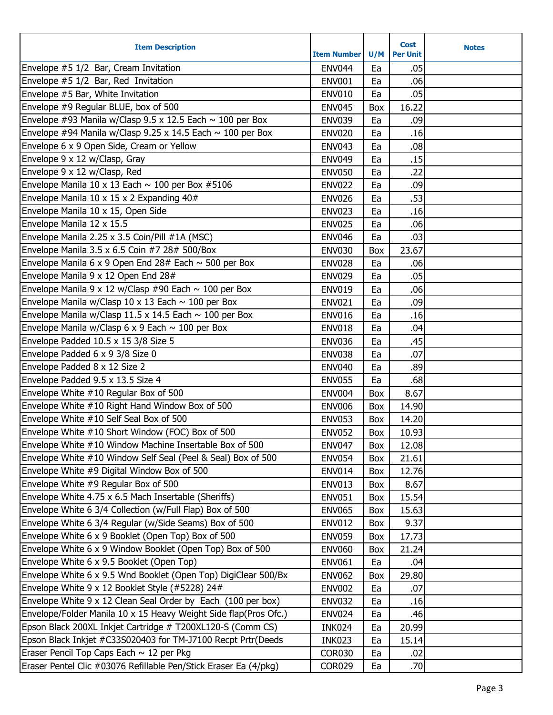| <b>Item Description</b>                                          | <b>Item Number</b> | U/M | <b>Cost</b><br><b>Per Unit</b> | <b>Notes</b> |
|------------------------------------------------------------------|--------------------|-----|--------------------------------|--------------|
| Envelope #5 1/2 Bar, Cream Invitation                            | <b>ENV044</b>      | Ea  | .05                            |              |
| Envelope #5 1/2 Bar, Red Invitation                              | <b>ENV001</b>      | Ea  | .06 <sub>l</sub>               |              |
| Envelope #5 Bar, White Invitation                                | <b>ENV010</b>      | Ea  | .05                            |              |
| Envelope #9 Regular BLUE, box of 500                             | <b>ENV045</b>      | Box | 16.22                          |              |
| Envelope #93 Manila w/Clasp 9.5 x 12.5 Each $\sim$ 100 per Box   | <b>ENV039</b>      | Ea  | .09                            |              |
| Envelope #94 Manila w/Clasp 9.25 x 14.5 Each $\sim$ 100 per Box  | <b>ENV020</b>      | Ea  | .16                            |              |
| Envelope 6 x 9 Open Side, Cream or Yellow                        | <b>ENV043</b>      | Ea  | .08                            |              |
| Envelope 9 x 12 w/Clasp, Gray                                    | <b>ENV049</b>      | Ea  | .15                            |              |
| Envelope 9 x 12 w/Clasp, Red                                     | <b>ENV050</b>      | Ea  | .22                            |              |
| Envelope Manila 10 x 13 Each $\sim$ 100 per Box #5106            | <b>ENV022</b>      | Ea  | .09                            |              |
| Envelope Manila 10 x 15 x 2 Expanding 40#                        | <b>ENV026</b>      | Ea  | .53                            |              |
| Envelope Manila 10 x 15, Open Side                               | <b>ENV023</b>      | Ea  | .16                            |              |
| Envelope Manila 12 x 15.5                                        | <b>ENV025</b>      | Ea  | .06                            |              |
| Envelope Manila 2.25 x 3.5 Coin/Pill #1A (MSC)                   | <b>ENV046</b>      | Ea  | .03                            |              |
| Envelope Manila 3.5 x 6.5 Coin #7 28# 500/Box                    | <b>ENV030</b>      | Box | 23.67                          |              |
| Envelope Manila 6 x 9 Open End 28# Each $\sim$ 500 per Box       | <b>ENV028</b>      | Ea  | .06                            |              |
| Envelope Manila 9 x 12 Open End 28#                              | <b>ENV029</b>      | Ea  | .05                            |              |
| Envelope Manila 9 x 12 w/Clasp #90 Each $\sim$ 100 per Box       | <b>ENV019</b>      | Ea  | .06                            |              |
| Envelope Manila w/Clasp 10 x 13 Each $\sim$ 100 per Box          | <b>ENV021</b>      | Ea  | .09                            |              |
| Envelope Manila w/Clasp 11.5 x 14.5 Each $\sim$ 100 per Box      | <b>ENV016</b>      | Ea  | .16                            |              |
| Envelope Manila w/Clasp 6 x 9 Each $\sim$ 100 per Box            | <b>ENV018</b>      | Ea  | .04                            |              |
| Envelope Padded 10.5 x 15 3/8 Size 5                             | <b>ENV036</b>      | Ea  | .45                            |              |
| Envelope Padded 6 x 9 3/8 Size 0                                 | <b>ENV038</b>      | Ea  | .07                            |              |
| Envelope Padded 8 x 12 Size 2                                    | <b>ENV040</b>      | Ea  | .89                            |              |
| Envelope Padded 9.5 x 13.5 Size 4                                | <b>ENV055</b>      | Ea  | .68                            |              |
| Envelope White #10 Regular Box of 500                            | <b>ENV004</b>      | Box | 8.67                           |              |
| Envelope White #10 Right Hand Window Box of 500                  | <b>ENV006</b>      | Box | 14.90                          |              |
| Envelope White #10 Self Seal Box of 500                          | <b>ENV053</b>      | Box | 14.20                          |              |
| Envelope White #10 Short Window (FOC) Box of 500                 | <b>ENV052</b>      | Box | 10.93                          |              |
| Envelope White #10 Window Machine Insertable Box of 500          | <b>ENV047</b>      | Box | 12.08                          |              |
| Envelope White #10 Window Self Seal (Peel & Seal) Box of 500     | <b>ENV054</b>      | Box | 21.61                          |              |
| Envelope White #9 Digital Window Box of 500                      | <b>ENV014</b>      | Box | 12.76                          |              |
| Envelope White #9 Regular Box of 500                             | <b>ENV013</b>      | Box | 8.67                           |              |
| Envelope White 4.75 x 6.5 Mach Insertable (Sheriffs)             | <b>ENV051</b>      | Box | 15.54                          |              |
| Envelope White 6 3/4 Collection (w/Full Flap) Box of 500         | <b>ENV065</b>      | Box | 15.63                          |              |
| Envelope White 6 3/4 Regular (w/Side Seams) Box of 500           | <b>ENV012</b>      | Box | 9.37                           |              |
| Envelope White 6 x 9 Booklet (Open Top) Box of 500               | <b>ENV059</b>      | Box | 17.73                          |              |
| Envelope White 6 x 9 Window Booklet (Open Top) Box of 500        | <b>ENV060</b>      | Box | 21.24                          |              |
| Envelope White 6 x 9.5 Booklet (Open Top)                        | <b>ENV061</b>      | Ea  | .04                            |              |
| Envelope White 6 x 9.5 Wnd Booklet (Open Top) DigiClear 500/Bx   | <b>ENV062</b>      | Box | 29.80                          |              |
| Envelope White 9 x 12 Booklet Style (#5228) 24#                  | <b>ENV002</b>      | Ea  | .07                            |              |
| Envelope White 9 x 12 Clean Seal Order by Each (100 per box)     | <b>ENV032</b>      | Ea  | .16                            |              |
| Envelope/Folder Manila 10 x 15 Heavy Weight Side flap(Pros Ofc.) | <b>ENV024</b>      | Ea  | .46                            |              |
| Epson Black 200XL Inkjet Cartridge # T200XL120-S (Comm CS)       | INK024             | Ea  | 20.99                          |              |
| Epson Black Inkjet #C33S020403 for TM-J7100 Recpt Prtr(Deeds     | <b>INK023</b>      | Ea  | 15.14                          |              |
| Eraser Pencil Top Caps Each $\sim$ 12 per Pkg                    | <b>COR030</b>      | Ea  | .02                            |              |
| Eraser Pentel Clic #03076 Refillable Pen/Stick Eraser Ea (4/pkg) | <b>COR029</b>      | Ea  | .70                            |              |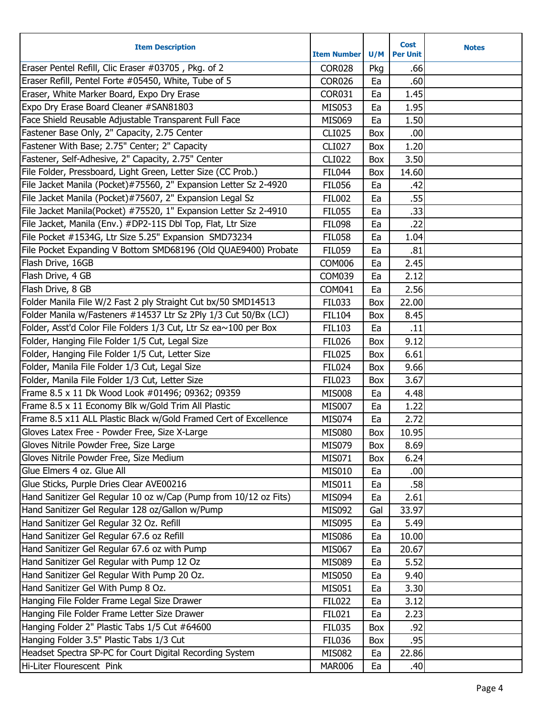| <b>Item Description</b>                                          | <b>Item Number</b> | U/M | <b>Cost</b><br><b>Per Unit</b> | <b>Notes</b> |
|------------------------------------------------------------------|--------------------|-----|--------------------------------|--------------|
| Eraser Pentel Refill, Clic Eraser #03705, Pkg. of 2              | <b>COR028</b>      | Pkg | .66                            |              |
| Eraser Refill, Pentel Forte #05450, White, Tube of 5             | <b>COR026</b>      | Ea  | .60                            |              |
| Eraser, White Marker Board, Expo Dry Erase                       | <b>COR031</b>      | Ea  | 1.45                           |              |
| Expo Dry Erase Board Cleaner #SAN81803                           | <b>MIS053</b>      | Ea  | 1.95                           |              |
| Face Shield Reusable Adjustable Transparent Full Face            | MIS069             | Ea  | 1.50                           |              |
| Fastener Base Only, 2" Capacity, 2.75 Center                     | <b>CLI025</b>      | Box | .00                            |              |
| Fastener With Base; 2.75" Center; 2" Capacity                    | <b>CLI027</b>      | Box | 1.20                           |              |
| Fastener, Self-Adhesive, 2" Capacity, 2.75" Center               | <b>CLI022</b>      | Box | 3.50                           |              |
| File Folder, Pressboard, Light Green, Letter Size (CC Prob.)     | <b>FIL044</b>      | Box | 14.60                          |              |
| File Jacket Manila (Pocket)#75560, 2" Expansion Letter Sz 2-4920 | <b>FIL056</b>      | Ea  | .42                            |              |
| File Jacket Manila (Pocket)#75607, 2" Expansion Legal Sz         | <b>FIL002</b>      | Ea  | .55                            |              |
| File Jacket Manila(Pocket) #75520, 1" Expansion Letter Sz 2-4910 | <b>FIL055</b>      | Ea  | .33                            |              |
| File Jacket, Manila (Env.) #DP2-11S Dbl Top, Flat, Ltr Size      | <b>FIL098</b>      | Ea  | .22                            |              |
| File Pocket #1534G, Ltr Size 5.25" Expansion SMD73234            | <b>FIL058</b>      | Ea  | 1.04                           |              |
| File Pocket Expanding V Bottom SMD68196 (Old QUAE9400) Probate   | <b>FIL059</b>      | Ea  | .81                            |              |
| Flash Drive, 16GB                                                | <b>COM006</b>      | Ea  | 2.45                           |              |
| Flash Drive, 4 GB                                                | <b>COM039</b>      | Ea  | 2.12                           |              |
| Flash Drive, 8 GB                                                | COM041             | Ea  | 2.56                           |              |
| Folder Manila File W/2 Fast 2 ply Straight Cut bx/50 SMD14513    | <b>FIL033</b>      | Box | 22.00                          |              |
| Folder Manila w/Fasteners #14537 Ltr Sz 2Ply 1/3 Cut 50/Bx (LCJ) | <b>FIL104</b>      | Box | 8.45                           |              |
| Folder, Asst'd Color File Folders 1/3 Cut, Ltr Sz ea~100 per Box | <b>FIL103</b>      | Ea  | .11                            |              |
| Folder, Hanging File Folder 1/5 Cut, Legal Size                  | <b>FIL026</b>      | Box | 9.12                           |              |
| Folder, Hanging File Folder 1/5 Cut, Letter Size                 | <b>FIL025</b>      | Box | 6.61                           |              |
| Folder, Manila File Folder 1/3 Cut, Legal Size                   | <b>FIL024</b>      | Box | 9.66                           |              |
| Folder, Manila File Folder 1/3 Cut, Letter Size                  | <b>FIL023</b>      | Box | 3.67                           |              |
| Frame 8.5 x 11 Dk Wood Look #01496; 09362; 09359                 | <b>MIS008</b>      | Ea  | 4.48                           |              |
| Frame 8.5 x 11 Economy Blk w/Gold Trim All Plastic               | <b>MIS007</b>      | Ea  | 1.22                           |              |
| Frame 8.5 x11 ALL Plastic Black w/Gold Framed Cert of Excellence | MIS074             | Ea  | 2.72                           |              |
| Gloves Latex Free - Powder Free, Size X-Large                    | <b>MIS080</b>      | Box | 10.95                          |              |
| Gloves Nitrile Powder Free, Size Large                           | MIS079             | Box | 8.69                           |              |
| Gloves Nitrile Powder Free, Size Medium                          | MIS071             | Box | 6.24                           |              |
| Glue Elmers 4 oz. Glue All                                       | <b>MIS010</b>      | Ea  | .00                            |              |
| Glue Sticks, Purple Dries Clear AVE00216                         | MIS011             | Ea  | .58                            |              |
| Hand Sanitizer Gel Regular 10 oz w/Cap (Pump from 10/12 oz Fits) | <b>MIS094</b>      | Ea  | 2.61                           |              |
| Hand Sanitizer Gel Regular 128 oz/Gallon w/Pump                  | <b>MIS092</b>      | Gal | 33.97                          |              |
| Hand Sanitizer Gel Regular 32 Oz. Refill                         | <b>MIS095</b>      | Ea  | 5.49                           |              |
| Hand Sanitizer Gel Regular 67.6 oz Refill                        | <b>MIS086</b>      | Ea  | 10.00                          |              |
| Hand Sanitizer Gel Regular 67.6 oz with Pump                     | <b>MIS067</b>      | Ea  | 20.67                          |              |
| Hand Sanitizer Gel Regular with Pump 12 Oz                       | <b>MIS089</b>      | Ea  | 5.52                           |              |
| Hand Sanitizer Gel Regular With Pump 20 Oz.                      | <b>MIS050</b>      | Ea  | 9.40                           |              |
| Hand Sanitizer Gel With Pump 8 Oz.                               | MIS051             | Ea  | 3.30                           |              |
| Hanging File Folder Frame Legal Size Drawer                      | <b>FIL022</b>      | Ea  | 3.12                           |              |
| Hanging File Folder Frame Letter Size Drawer                     | <b>FIL021</b>      | Ea  | 2.23                           |              |
| Hanging Folder 2" Plastic Tabs 1/5 Cut #64600                    | <b>FIL035</b>      | Box | .92                            |              |
| Hanging Folder 3.5" Plastic Tabs 1/3 Cut                         | <b>FIL036</b>      | Box | .95                            |              |
| Headset Spectra SP-PC for Court Digital Recording System         | <b>MIS082</b>      | Ea  | 22.86                          |              |
| Hi-Liter Flourescent Pink                                        | <b>MAR006</b>      | Ea  | .40                            |              |
|                                                                  |                    |     |                                |              |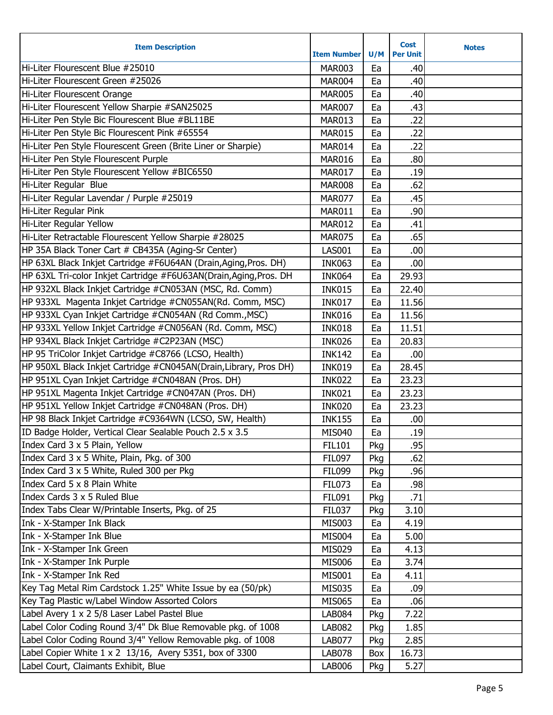| <b>Item Description</b>                                            | <b>Item Number</b> | U/M | <b>Cost</b><br><b>Per Unit</b> | <b>Notes</b> |
|--------------------------------------------------------------------|--------------------|-----|--------------------------------|--------------|
| Hi-Liter Flourescent Blue #25010                                   | <b>MAR003</b>      | Ea  | .40                            |              |
| Hi-Liter Flourescent Green #25026                                  | <b>MAR004</b>      | Ea  | .40                            |              |
| Hi-Liter Flourescent Orange                                        | <b>MAR005</b>      | Ea  | .40                            |              |
| Hi-Liter Flourescent Yellow Sharpie #SAN25025                      | <b>MAR007</b>      | Ea  | .43                            |              |
| Hi-Liter Pen Style Bic Flourescent Blue #BL11BE                    | MAR013             | Ea  | .22                            |              |
| Hi-Liter Pen Style Bic Flourescent Pink #65554                     | <b>MAR015</b>      | Ea  | .22                            |              |
| Hi-Liter Pen Style Flourescent Green (Brite Liner or Sharpie)      | MAR014             | Ea  | .22                            |              |
| Hi-Liter Pen Style Flourescent Purple                              | <b>MAR016</b>      | Ea  | .80                            |              |
| Hi-Liter Pen Style Flourescent Yellow #BIC6550                     | <b>MAR017</b>      | Ea  | .19                            |              |
| Hi-Liter Regular Blue                                              | <b>MAR008</b>      | Ea  | .62                            |              |
| Hi-Liter Regular Lavendar / Purple #25019                          | <b>MAR077</b>      | Ea  | .45                            |              |
| Hi-Liter Regular Pink                                              | MAR011             | Ea  | .90                            |              |
| Hi-Liter Regular Yellow                                            | <b>MAR012</b>      | Ea  | .41                            |              |
| Hi-Liter Retractable Flourescent Yellow Sharpie #28025             | <b>MAR075</b>      | Ea  | .65                            |              |
| HP 35A Black Toner Cart # CB435A (Aging-Sr Center)                 | <b>LAS001</b>      | Ea  | .00                            |              |
| HP 63XL Black Inkjet Cartridge #F6U64AN (Drain, Aging, Pros. DH)   | <b>INK063</b>      | Ea  | .00                            |              |
| HP 63XL Tri-color Inkjet Cartridge #F6U63AN(Drain, Aging, Pros. DH | <b>INK064</b>      | Ea  | 29.93                          |              |
| HP 932XL Black Inkjet Cartridge #CN053AN (MSC, Rd. Comm)           | <b>INK015</b>      | Ea  | 22.40                          |              |
| HP 933XL Magenta Inkjet Cartridge #CN055AN(Rd. Comm, MSC)          | <b>INK017</b>      | Ea  | 11.56                          |              |
| HP 933XL Cyan Inkjet Cartridge #CN054AN (Rd Comm., MSC)            | <b>INK016</b>      | Ea  | 11.56                          |              |
| HP 933XL Yellow Inkjet Cartridge #CN056AN (Rd. Comm, MSC)          | <b>INK018</b>      | Ea  | 11.51                          |              |
| HP 934XL Black Inkjet Cartridge #C2P23AN (MSC)                     | <b>INK026</b>      | Ea  | 20.83                          |              |
| HP 95 TriColor Inkjet Cartridge #C8766 (LCSO, Health)              | <b>INK142</b>      | Ea  | .00                            |              |
| HP 950XL Black Inkjet Cartridge #CN045AN(Drain,Library, Pros DH)   | <b>INK019</b>      | Ea  | 28.45                          |              |
| HP 951XL Cyan Inkjet Cartridge #CN048AN (Pros. DH)                 | <b>INK022</b>      | Ea  | 23.23                          |              |
| HP 951XL Magenta Inkjet Cartridge #CN047AN (Pros. DH)              | <b>INK021</b>      | Ea  | 23.23                          |              |
| HP 951XL Yellow Inkjet Cartridge #CN048AN (Pros. DH)               | <b>INK020</b>      | Ea  | 23.23                          |              |
| HP 98 Black Inkjet Cartridge #C9364WN (LCSO, SW, Health)           | <b>INK155</b>      | Ea  | .00                            |              |
| ID Badge Holder, Vertical Clear Sealable Pouch 2.5 x 3.5           | <b>MIS040</b>      | Ea  | .19                            |              |
| Index Card 3 x 5 Plain, Yellow                                     | <b>FIL101</b>      | Pkg | .95                            |              |
| Index Card 3 x 5 White, Plain, Pkg. of 300                         | <b>FIL097</b>      | Pkg | .62                            |              |
| Index Card 3 x 5 White, Ruled 300 per Pkg                          | <b>FIL099</b>      | Pkg | .96                            |              |
| Index Card 5 x 8 Plain White                                       | <b>FIL073</b>      | Ea  | .98                            |              |
| Index Cards 3 x 5 Ruled Blue                                       | <b>FIL091</b>      | Pkg | .71                            |              |
| Index Tabs Clear W/Printable Inserts, Pkg. of 25                   | <b>FIL037</b>      | Pkg | 3.10                           |              |
| Ink - X-Stamper Ink Black                                          | <b>MIS003</b>      | Ea  | 4.19                           |              |
| Ink - X-Stamper Ink Blue                                           | <b>MIS004</b>      | Ea  | 5.00                           |              |
| Ink - X-Stamper Ink Green                                          | MIS029             | Ea  | 4.13                           |              |
| Ink - X-Stamper Ink Purple                                         | <b>MIS006</b>      | Ea  | 3.74                           |              |
| Ink - X-Stamper Ink Red                                            | <b>MIS001</b>      | Ea  | 4.11                           |              |
| Key Tag Metal Rim Cardstock 1.25" White Issue by ea (50/pk)        | <b>MIS035</b>      | Ea  | .09                            |              |
| Key Tag Plastic w/Label Window Assorted Colors                     | <b>MIS065</b>      | Ea  | .06                            |              |
| Label Avery 1 x 2 5/8 Laser Label Pastel Blue                      | <b>LAB084</b>      | Pkg | 7.22                           |              |
| Label Color Coding Round 3/4" Dk Blue Removable pkg. of 1008       | <b>LAB082</b>      | Pkg | 1.85                           |              |
| Label Color Coding Round 3/4" Yellow Removable pkg. of 1008        | <b>LAB077</b>      | Pkg | 2.85                           |              |
| Label Copier White 1 x 2 13/16, Avery 5351, box of 3300            | <b>LAB078</b>      | Box | 16.73                          |              |
| Label Court, Claimants Exhibit, Blue                               | <b>LAB006</b>      | Pkg | 5.27                           |              |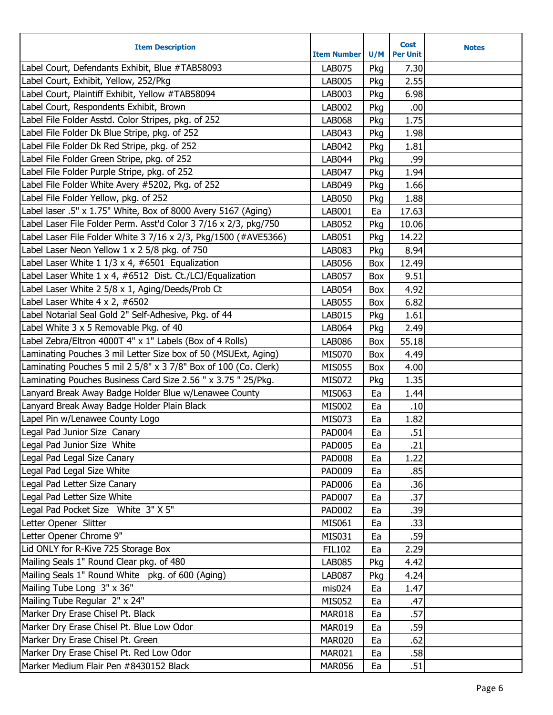| <b>Item Description</b>                                          | <b>Item Number</b> | U/M | Cost<br><b>Per Unit</b> | <b>Notes</b> |
|------------------------------------------------------------------|--------------------|-----|-------------------------|--------------|
| Label Court, Defendants Exhibit, Blue #TAB58093                  | <b>LAB075</b>      | Pkg | 7.30                    |              |
| Label Court, Exhibit, Yellow, 252/Pkg                            | <b>LAB005</b>      | Pkg | 2.55                    |              |
| Label Court, Plaintiff Exhibit, Yellow #TAB58094                 | LAB003             | Pkg | 6.98                    |              |
| Label Court, Respondents Exhibit, Brown                          | <b>LAB002</b>      | Pkg | .00                     |              |
| Label File Folder Asstd. Color Stripes, pkg. of 252              | <b>LAB068</b>      | Pkg | 1.75                    |              |
| Label File Folder Dk Blue Stripe, pkg. of 252                    | LAB043             | Pkg | 1.98                    |              |
| Label File Folder Dk Red Stripe, pkg. of 252                     | LAB042             | Pkg | 1.81                    |              |
| Label File Folder Green Stripe, pkg. of 252                      | <b>LAB044</b>      | Pkg | .99                     |              |
| Label File Folder Purple Stripe, pkg. of 252                     | <b>LAB047</b>      | Pkg | 1.94                    |              |
| Label File Folder White Avery #5202, Pkg. of 252                 | LAB049             | Pkg | 1.66                    |              |
| Label File Folder Yellow, pkg. of 252                            | <b>LAB050</b>      | Pkg | 1.88                    |              |
| Label laser .5" x 1.75" White, Box of 8000 Avery 5167 (Aging)    | LAB001             | Ea  | 17.63                   |              |
| Label Laser File Folder Perm. Asst'd Color 3 7/16 x 2/3, pkg/750 | <b>LAB052</b>      | Pkg | 10.06                   |              |
| Label Laser File Folder White 3 7/16 x 2/3, Pkg/1500 (#AVE5366)  | LAB051             | Pkg | 14.22                   |              |
| Label Laser Neon Yellow 1 x 2 5/8 pkg. of 750                    | <b>LAB083</b>      | Pkg | 8.94                    |              |
| Label Laser White $11/3 \times 4$ , #6501 Equalization           | <b>LAB056</b>      | Box | 12.49                   |              |
| Label Laser White 1 x 4, #6512 Dist. Ct./LCJ/Equalization        | <b>LAB057</b>      | Box | 9.51                    |              |
| Label Laser White 2 5/8 x 1, Aging/Deeds/Prob Ct                 | <b>LAB054</b>      | Box | 4.92                    |              |
| Label Laser White 4 x 2, #6502                                   | <b>LAB055</b>      | Box | 6.82                    |              |
| Label Notarial Seal Gold 2" Self-Adhesive, Pkg. of 44            | <b>LAB015</b>      | Pkg | 1.61                    |              |
| Label White 3 x 5 Removable Pkg. of 40                           | <b>LAB064</b>      | Pkg | 2.49                    |              |
| Label Zebra/Eltron 4000T 4" x 1" Labels (Box of 4 Rolls)         | <b>LAB086</b>      | Box | 55.18                   |              |
| Laminating Pouches 3 mil Letter Size box of 50 (MSUExt, Aging)   | <b>MIS070</b>      | Box | 4.49                    |              |
| Laminating Pouches 5 mil 2 5/8" x 3 7/8" Box of 100 (Co. Clerk)  | <b>MIS055</b>      | Box | 4.00                    |              |
| Laminating Pouches Business Card Size 2.56 " x 3.75 " 25/Pkg.    | <b>MIS072</b>      | Pkg | 1.35                    |              |
| Lanyard Break Away Badge Holder Blue w/Lenawee County            | MIS063             | Ea  | 1.44                    |              |
| Lanyard Break Away Badge Holder Plain Black                      | <b>MIS002</b>      | Ea  | .10                     |              |
| Lapel Pin w/Lenawee County Logo                                  | <b>MIS073</b>      | Ea  | 1.82                    |              |
| Legal Pad Junior Size Canary                                     | <b>PAD004</b>      | Ea  | .51                     |              |
| Legal Pad Junior Size White                                      | <b>PAD005</b>      | Ea  | .21                     |              |
| Legal Pad Legal Size Canary                                      | <b>PAD008</b>      | Ea  | 1.22                    |              |
| Legal Pad Legal Size White                                       | <b>PAD009</b>      | Ea  | .85                     |              |
| Legal Pad Letter Size Canary                                     | <b>PAD006</b>      | Ea  | .36                     |              |
| Legal Pad Letter Size White                                      | <b>PAD007</b>      | Ea  | .37                     |              |
| Legal Pad Pocket Size White 3" X 5"                              | <b>PAD002</b>      | Ea  | .39                     |              |
| Letter Opener Slitter                                            | <b>MIS061</b>      | Ea  | .33                     |              |
| Letter Opener Chrome 9"                                          | MIS031             | Ea  | .59                     |              |
| Lid ONLY for R-Kive 725 Storage Box                              | <b>FIL102</b>      | Ea  | 2.29                    |              |
| Mailing Seals 1" Round Clear pkg. of 480                         | <b>LAB085</b>      | Pkg | 4.42                    |              |
| Mailing Seals 1" Round White pkg. of 600 (Aging)                 | <b>LAB087</b>      | Pkg | 4.24                    |              |
| Mailing Tube Long 3" x 36"                                       | mis024             | Ea  | 1.47                    |              |
| Mailing Tube Regular 2" x 24"                                    | <b>MIS052</b>      | Ea  | .47                     |              |
| Marker Dry Erase Chisel Pt. Black                                | <b>MAR018</b>      | Ea  | .57                     |              |
| Marker Dry Erase Chisel Pt. Blue Low Odor                        | <b>MAR019</b>      | Ea  | .59                     |              |
| Marker Dry Erase Chisel Pt. Green                                | <b>MAR020</b>      | Ea  | .62                     |              |
| Marker Dry Erase Chisel Pt. Red Low Odor                         | <b>MAR021</b>      | Ea  | .58                     |              |
| Marker Medium Flair Pen #8430152 Black                           | <b>MAR056</b>      | Ea  | .51                     |              |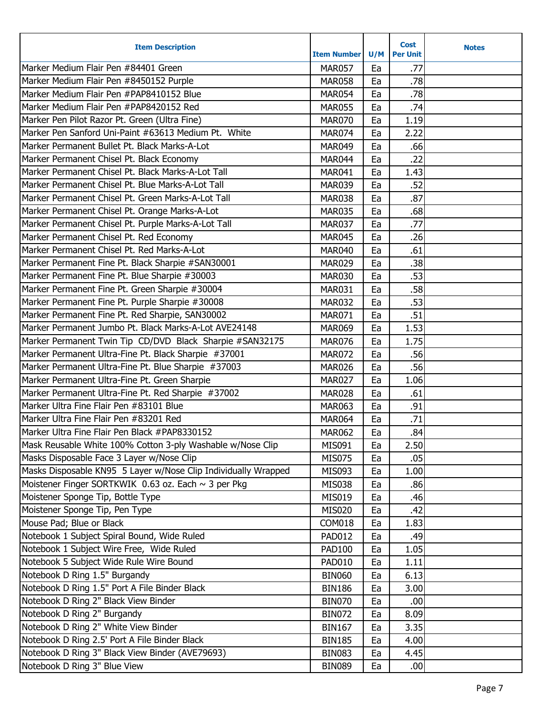| <b>Item Description</b>                                        | <b>Item Number</b> | U/M | <b>Cost</b><br><b>Per Unit</b> | <b>Notes</b> |
|----------------------------------------------------------------|--------------------|-----|--------------------------------|--------------|
| Marker Medium Flair Pen #84401 Green                           | <b>MAR057</b>      | Ea  | .77                            |              |
| Marker Medium Flair Pen #8450152 Purple                        | <b>MAR058</b>      | Ea  | .78                            |              |
| Marker Medium Flair Pen #PAP8410152 Blue                       | <b>MAR054</b>      | Ea  | .78                            |              |
| Marker Medium Flair Pen #PAP8420152 Red                        | <b>MAR055</b>      | Ea  | .74                            |              |
| Marker Pen Pilot Razor Pt. Green (Ultra Fine)                  | <b>MAR070</b>      | Ea  | 1.19                           |              |
| Marker Pen Sanford Uni-Paint #63613 Medium Pt. White           | <b>MAR074</b>      | Ea  | 2.22                           |              |
| Marker Permanent Bullet Pt. Black Marks-A-Lot                  | <b>MAR049</b>      | Ea  | .66                            |              |
| Marker Permanent Chisel Pt. Black Economy                      | MAR044             | Ea  | .22                            |              |
| Marker Permanent Chisel Pt. Black Marks-A-Lot Tall             | <b>MAR041</b>      | Ea  | 1.43                           |              |
| Marker Permanent Chisel Pt. Blue Marks-A-Lot Tall              | <b>MAR039</b>      | Ea  | .52                            |              |
| Marker Permanent Chisel Pt. Green Marks-A-Lot Tall             | <b>MAR038</b>      | Ea  | .87                            |              |
| Marker Permanent Chisel Pt. Orange Marks-A-Lot                 | <b>MAR035</b>      | Ea  | .68                            |              |
| Marker Permanent Chisel Pt. Purple Marks-A-Lot Tall            | <b>MAR037</b>      | Ea  | .77                            |              |
| Marker Permanent Chisel Pt. Red Economy                        | <b>MAR045</b>      | Ea  | .26                            |              |
| Marker Permanent Chisel Pt. Red Marks-A-Lot                    | <b>MAR040</b>      | Ea  | .61                            |              |
| Marker Permanent Fine Pt. Black Sharpie #SAN30001              | <b>MAR029</b>      | Ea  | .38                            |              |
| Marker Permanent Fine Pt. Blue Sharpie #30003                  | <b>MAR030</b>      | Ea  | .53                            |              |
| Marker Permanent Fine Pt. Green Sharpie #30004                 | <b>MAR031</b>      | Ea  | .58                            |              |
| Marker Permanent Fine Pt. Purple Sharpie #30008                | <b>MAR032</b>      | Ea  | .53                            |              |
| Marker Permanent Fine Pt. Red Sharpie, SAN30002                | <b>MAR071</b>      | Ea  | .51                            |              |
| Marker Permanent Jumbo Pt. Black Marks-A-Lot AVE24148          | <b>MAR069</b>      | Ea  | 1.53                           |              |
| Marker Permanent Twin Tip CD/DVD Black Sharpie #SAN32175       | <b>MAR076</b>      | Ea  | 1.75                           |              |
| Marker Permanent Ultra-Fine Pt. Black Sharpie #37001           | <b>MAR072</b>      | Ea  | .56                            |              |
| Marker Permanent Ultra-Fine Pt. Blue Sharpie #37003            | <b>MAR026</b>      | Ea  | .56                            |              |
| Marker Permanent Ultra-Fine Pt. Green Sharpie                  | <b>MAR027</b>      | Ea  | 1.06                           |              |
| Marker Permanent Ultra-Fine Pt. Red Sharpie #37002             | <b>MAR028</b>      | Ea  | .61                            |              |
| Marker Ultra Fine Flair Pen #83101 Blue                        | <b>MAR063</b>      | Ea  | .91                            |              |
| Marker Ultra Fine Flair Pen #83201 Red                         | <b>MAR064</b>      | Ea  | .71                            |              |
| Marker Ultra Fine Flair Pen Black #PAP8330152                  | <b>MAR062</b>      | Ea  | .84                            |              |
| Mask Reusable White 100% Cotton 3-ply Washable w/Nose Clip     | MIS091             | Ea  | 2.50                           |              |
| Masks Disposable Face 3 Layer w/Nose Clip                      | MIS075             | Ea  | .05                            |              |
| Masks Disposable KN95 5 Layer w/Nose Clip Individually Wrapped | <b>MIS093</b>      | Ea  | 1.00                           |              |
| Moistener Finger SORTKWIK 0.63 oz. Each ~ 3 per Pkg            | <b>MIS038</b>      | Ea  | .86                            |              |
| Moistener Sponge Tip, Bottle Type                              | <b>MIS019</b>      | Ea  | .46                            |              |
| Moistener Sponge Tip, Pen Type                                 | <b>MIS020</b>      | Ea  | .42                            |              |
| Mouse Pad; Blue or Black                                       | <b>COM018</b>      | Ea  | 1.83                           |              |
| Notebook 1 Subject Spiral Bound, Wide Ruled                    | <b>PAD012</b>      | Ea  | .49                            |              |
| Notebook 1 Subject Wire Free, Wide Ruled                       | <b>PAD100</b>      | Ea  | 1.05                           |              |
| Notebook 5 Subject Wide Rule Wire Bound                        | <b>PAD010</b>      | Ea  | 1.11                           |              |
| Notebook D Ring 1.5" Burgandy                                  | <b>BIN060</b>      | Ea  | 6.13                           |              |
| Notebook D Ring 1.5" Port A File Binder Black                  | <b>BIN186</b>      | Ea  | 3.00                           |              |
| Notebook D Ring 2" Black View Binder                           | <b>BIN070</b>      | Ea  | .00 <sub>l</sub>               |              |
| Notebook D Ring 2" Burgandy                                    | <b>BIN072</b>      | Ea  | 8.09                           |              |
| Notebook D Ring 2" White View Binder                           | <b>BIN167</b>      | Ea  | 3.35                           |              |
| Notebook D Ring 2.5' Port A File Binder Black                  | <b>BIN185</b>      | Ea  | 4.00                           |              |
| Notebook D Ring 3" Black View Binder (AVE79693)                | <b>BIN083</b>      | Ea  | 4.45                           |              |
| Notebook D Ring 3" Blue View                                   | <b>BIN089</b>      | Ea  | .00 <sub>l</sub>               |              |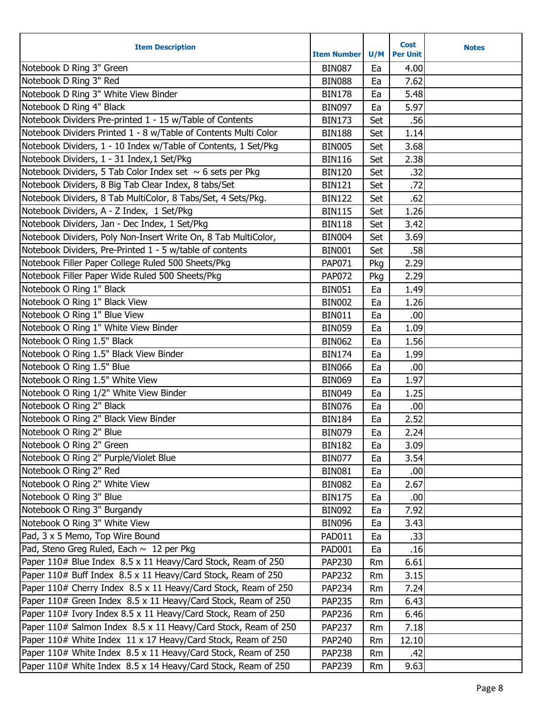| <b>Item Description</b>                                         | <b>Item Number</b> | U/M | <b>Cost</b><br><b>Per Unit</b> | <b>Notes</b> |
|-----------------------------------------------------------------|--------------------|-----|--------------------------------|--------------|
| Notebook D Ring 3" Green                                        | <b>BIN087</b>      | Ea  | 4.00                           |              |
| Notebook D Ring 3" Red                                          | <b>BIN088</b>      | Ea  | 7.62                           |              |
| Notebook D Ring 3" White View Binder                            | <b>BIN178</b>      | Ea  | 5.48                           |              |
| Notebook D Ring 4" Black                                        | <b>BIN097</b>      | Ea  | 5.97                           |              |
| Notebook Dividers Pre-printed 1 - 15 w/Table of Contents        | <b>BIN173</b>      | Set | .56                            |              |
| Notebook Dividers Printed 1 - 8 w/Table of Contents Multi Color | <b>BIN188</b>      | Set | 1.14                           |              |
| Notebook Dividers, 1 - 10 Index w/Table of Contents, 1 Set/Pkg  | <b>BIN005</b>      | Set | 3.68                           |              |
| Notebook Dividers, 1 - 31 Index, 1 Set/Pkg                      | <b>BIN116</b>      | Set | 2.38                           |              |
| Notebook Dividers, 5 Tab Color Index set $\sim$ 6 sets per Pkg  | <b>BIN120</b>      | Set | .32                            |              |
| Notebook Dividers, 8 Big Tab Clear Index, 8 tabs/Set            | <b>BIN121</b>      | Set | .72                            |              |
| Notebook Dividers, 8 Tab MultiColor, 8 Tabs/Set, 4 Sets/Pkg.    | <b>BIN122</b>      | Set | .62                            |              |
| Notebook Dividers, A - Z Index, 1 Set/Pkg                       | <b>BIN115</b>      | Set | 1.26                           |              |
| Notebook Dividers, Jan - Dec Index, 1 Set/Pkg                   | <b>BIN118</b>      | Set | 3.42                           |              |
| Notebook Dividers, Poly Non-Insert Write On, 8 Tab MultiColor,  | <b>BIN004</b>      | Set | 3.69                           |              |
| Notebook Dividers, Pre-Printed 1 - 5 w/table of contents        | <b>BIN001</b>      | Set | .58                            |              |
| Notebook Filler Paper College Ruled 500 Sheets/Pkg              | PAP071             | Pkg | 2.29                           |              |
| Notebook Filler Paper Wide Ruled 500 Sheets/Pkg                 | <b>PAP072</b>      | Pkg | 2.29                           |              |
| Notebook O Ring 1" Black                                        | <b>BIN051</b>      | Ea  | 1.49                           |              |
| Notebook O Ring 1" Black View                                   | <b>BIN002</b>      | Ea  | 1.26                           |              |
| Notebook O Ring 1" Blue View                                    | <b>BIN011</b>      | Ea  | .00                            |              |
| Notebook O Ring 1" White View Binder                            | <b>BIN059</b>      | Ea  | 1.09                           |              |
| Notebook O Ring 1.5" Black                                      | <b>BIN062</b>      | Ea  | 1.56                           |              |
| Notebook O Ring 1.5" Black View Binder                          | <b>BIN174</b>      | Ea  | 1.99                           |              |
| Notebook O Ring 1.5" Blue                                       | <b>BIN066</b>      | Ea  | .00                            |              |
| Notebook O Ring 1.5" White View                                 | <b>BIN069</b>      | Ea  | 1.97                           |              |
| Notebook O Ring 1/2" White View Binder                          | <b>BIN049</b>      | Ea  | 1.25                           |              |
| Notebook O Ring 2" Black                                        | <b>BIN076</b>      | Ea  | .00                            |              |
| Notebook O Ring 2" Black View Binder                            | <b>BIN184</b>      | Ea  | 2.52                           |              |
| Notebook O Ring 2" Blue                                         | <b>BIN079</b>      | Ea  | 2.24                           |              |
| Notebook O Ring 2" Green                                        | <b>BIN182</b>      | Ea  | 3.09                           |              |
| Notebook O Ring 2" Purple/Violet Blue                           | <b>BIN077</b>      | Ea  | 3.54                           |              |
| Notebook O Ring 2" Red                                          | <b>BIN081</b>      | Ea  | .00                            |              |
| Notebook O Ring 2" White View                                   | <b>BIN082</b>      | Ea  | 2.67                           |              |
| Notebook O Ring 3" Blue                                         | <b>BIN175</b>      | Ea  | .00                            |              |
| Notebook O Ring 3" Burgandy                                     | <b>BIN092</b>      | Ea  | 7.92                           |              |
| Notebook O Ring 3" White View                                   | <b>BIN096</b>      | Ea  | 3.43                           |              |
| Pad, 3 x 5 Memo, Top Wire Bound                                 | <b>PAD011</b>      | Ea  | .33                            |              |
| Pad, Steno Greg Ruled, Each ~ 12 per Pkg                        | <b>PAD001</b>      | Ea  | .16                            |              |
| Paper 110# Blue Index 8.5 x 11 Heavy/Card Stock, Ream of 250    | <b>PAP230</b>      | Rm  | 6.61                           |              |
| Paper 110# Buff Index 8.5 x 11 Heavy/Card Stock, Ream of 250    | <b>PAP232</b>      | Rm  | 3.15                           |              |
| Paper 110# Cherry Index 8.5 x 11 Heavy/Card Stock, Ream of 250  | <b>PAP234</b>      | Rm  | 7.24                           |              |
| Paper 110# Green Index 8.5 x 11 Heavy/Card Stock, Ream of 250   | <b>PAP235</b>      | Rm  | 6.43                           |              |
| Paper 110# Ivory Index 8.5 x 11 Heavy/Card Stock, Ream of 250   | <b>PAP236</b>      | Rm  | 6.46                           |              |
| Paper 110# Salmon Index 8.5 x 11 Heavy/Card Stock, Ream of 250  | <b>PAP237</b>      | Rm  | 7.18                           |              |
| Paper 110# White Index 11 x 17 Heavy/Card Stock, Ream of 250    | PAP240             | Rm  | 12.10                          |              |
| Paper 110# White Index 8.5 x 11 Heavy/Card Stock, Ream of 250   | <b>PAP238</b>      | Rm  | .42                            |              |
| Paper 110# White Index 8.5 x 14 Heavy/Card Stock, Ream of 250   | PAP239             | Rm  | 9.63                           |              |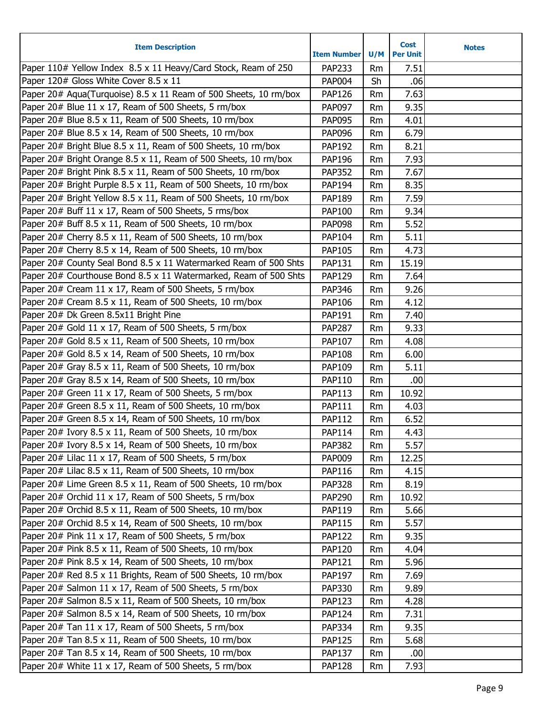| Paper 110# Yellow Index 8.5 x 11 Heavy/Card Stock, Ream of 250<br>PAP233<br>7.51<br><b>Rm</b><br>Paper 120# Gloss White Cover 8.5 x 11<br><b>PAP004</b><br>Sh<br>.06<br>Paper 20# Aqua(Turquoise) 8.5 x 11 Ream of 500 Sheets, 10 rm/box<br><b>PAP126</b><br>7.63<br>Rm<br>Paper 20# Blue 11 x 17, Ream of 500 Sheets, 5 rm/box<br><b>PAP097</b><br>9.35<br>Rm<br>Paper 20# Blue 8.5 x 11, Ream of 500 Sheets, 10 rm/box<br><b>PAP095</b><br>4.01<br>Rm<br>Paper 20# Blue 8.5 x 14, Ream of 500 Sheets, 10 rm/box<br><b>PAP096</b><br>6.79<br>Rm<br>Paper 20# Bright Blue 8.5 x 11, Ream of 500 Sheets, 10 rm/box<br>8.21<br>PAP192<br>Rm<br>Paper 20# Bright Orange 8.5 x 11, Ream of 500 Sheets, 10 rm/box<br>PAP196<br>7.93<br>Rm<br>Paper 20# Bright Pink 8.5 x 11, Ream of 500 Sheets, 10 rm/box<br>7.67<br><b>PAP352</b><br>Rm<br>Paper 20# Bright Purple 8.5 x 11, Ream of 500 Sheets, 10 rm/box<br>PAP194<br>8.35<br>Rm<br>Paper 20# Bright Yellow 8.5 x 11, Ream of 500 Sheets, 10 rm/box<br>7.59<br>PAP189<br>Rm<br>Paper 20# Buff 11 x 17, Ream of 500 Sheets, 5 rms/box<br>9.34<br><b>PAP100</b><br>Rm<br>Paper 20# Buff 8.5 x 11, Ream of 500 Sheets, 10 rm/box<br><b>PAP098</b><br>5.52<br>Rm<br>Paper 20# Cherry 8.5 x 11, Ream of 500 Sheets, 10 rm/box<br>PAP104<br>5.11<br>Rm<br>Paper 20# Cherry 8.5 x 14, Ream of 500 Sheets, 10 rm/box<br>4.73<br><b>PAP105</b><br>Rm<br>Paper 20# County Seal Bond 8.5 x 11 Watermarked Ream of 500 Shts<br>15.19<br><b>PAP131</b><br>Rm<br>Paper 20# Courthouse Bond 8.5 x 11 Watermarked, Ream of 500 Shts<br>7.64<br><b>PAP129</b><br>Rm<br>Paper 20# Cream 11 x 17, Ream of 500 Sheets, 5 rm/box<br><b>PAP346</b><br>9.26<br>Rm<br>Paper 20# Cream 8.5 x 11, Ream of 500 Sheets, 10 rm/box<br>4.12<br><b>PAP106</b><br>Rm<br>Paper 20# Dk Green 8.5x11 Bright Pine<br>PAP191<br>7.40<br>Rm<br>Paper 20# Gold 11 x 17, Ream of 500 Sheets, 5 rm/box<br>9.33<br><b>PAP287</b><br>Rm<br>Paper 20# Gold 8.5 x 11, Ream of 500 Sheets, 10 rm/box<br>4.08<br>PAP107<br>Rm<br>Paper 20# Gold 8.5 x 14, Ream of 500 Sheets, 10 rm/box<br><b>PAP108</b><br>6.00<br>Rm<br>Paper 20# Gray 8.5 x 11, Ream of 500 Sheets, 10 rm/box<br>5.11<br>PAP109<br>Rm<br>Paper 20# Gray 8.5 x 14, Ream of 500 Sheets, 10 rm/box<br>PAP110<br>.00<br>Rm<br>Paper 20# Green 11 x 17, Ream of 500 Sheets, 5 rm/box<br>PAP113<br>10.92<br><b>Rm</b><br>Paper 20# Green 8.5 x 11, Ream of 500 Sheets, 10 rm/box<br><b>PAP111</b><br>4.03<br>Rm<br>Paper 20# Green 8.5 x 14, Ream of 500 Sheets, 10 rm/box<br><b>PAP112</b><br>6.52<br>Rm<br>Paper 20# Ivory 8.5 x 11, Ream of 500 Sheets, 10 rm/box<br>4.43<br><b>PAP114</b><br>Rm<br>Paper 20# Ivory 8.5 x 14, Ream of 500 Sheets, 10 rm/box<br><b>PAP382</b><br><b>Rm</b><br>5.57<br>Paper 20# Lilac 11 x 17, Ream of 500 Sheets, 5 rm/box<br>PAP009<br>12.25<br>Rm<br>Paper 20# Lilac 8.5 x 11, Ream of 500 Sheets, 10 rm/box<br>4.15<br>PAP116<br>Rm<br>Paper 20# Lime Green 8.5 x 11, Ream of 500 Sheets, 10 rm/box<br><b>PAP328</b><br>8.19<br>Rm<br>Paper 20# Orchid 11 x 17, Ream of 500 Sheets, 5 rm/box<br><b>PAP290</b><br>10.92<br>Rm<br>Paper 20# Orchid 8.5 x 11, Ream of 500 Sheets, 10 rm/box<br>PAP119<br>5.66<br>Rm<br>Paper 20# Orchid 8.5 x 14, Ream of 500 Sheets, 10 rm/box<br><b>PAP115</b><br>5.57<br>Rm<br>Paper 20# Pink 11 x 17, Ream of 500 Sheets, 5 rm/box<br>9.35<br><b>PAP122</b><br>Rm<br>Paper 20# Pink 8.5 x 11, Ream of 500 Sheets, 10 rm/box<br><b>PAP120</b><br>4.04<br>Rm<br>Paper 20# Pink 8.5 x 14, Ream of 500 Sheets, 10 rm/box<br><b>PAP121</b><br>5.96<br>Rm<br>Paper 20# Red 8.5 x 11 Brights, Ream of 500 Sheets, 10 rm/box<br>PAP197<br>7.69<br>Rm<br>Paper 20# Salmon 11 x 17, Ream of 500 Sheets, 5 rm/box<br>9.89<br>PAP330<br>Rm<br>Paper 20# Salmon 8.5 x 11, Ream of 500 Sheets, 10 rm/box<br>4.28<br><b>PAP123</b><br>Rm<br>Paper 20# Salmon 8.5 x 14, Ream of 500 Sheets, 10 rm/box<br><b>PAP124</b><br>7.31<br>Rm<br>Paper 20# Tan 11 x 17, Ream of 500 Sheets, 5 rm/box<br><b>PAP334</b><br>9.35<br>Rm<br>Paper 20# Tan 8.5 x 11, Ream of 500 Sheets, 10 rm/box<br><b>PAP125</b><br>5.68<br>Rm<br>Paper 20# Tan 8.5 x 14, Ream of 500 Sheets, 10 rm/box<br><b>PAP137</b><br>.00<br>Rm<br>Paper 20# White 11 x 17, Ream of 500 Sheets, 5 rm/box<br>7.93<br><b>PAP128</b><br>Rm | <b>Item Description</b> | <b>Item Number</b> | U/M | <b>Cost</b><br><b>Per Unit</b> | <b>Notes</b> |
|-----------------------------------------------------------------------------------------------------------------------------------------------------------------------------------------------------------------------------------------------------------------------------------------------------------------------------------------------------------------------------------------------------------------------------------------------------------------------------------------------------------------------------------------------------------------------------------------------------------------------------------------------------------------------------------------------------------------------------------------------------------------------------------------------------------------------------------------------------------------------------------------------------------------------------------------------------------------------------------------------------------------------------------------------------------------------------------------------------------------------------------------------------------------------------------------------------------------------------------------------------------------------------------------------------------------------------------------------------------------------------------------------------------------------------------------------------------------------------------------------------------------------------------------------------------------------------------------------------------------------------------------------------------------------------------------------------------------------------------------------------------------------------------------------------------------------------------------------------------------------------------------------------------------------------------------------------------------------------------------------------------------------------------------------------------------------------------------------------------------------------------------------------------------------------------------------------------------------------------------------------------------------------------------------------------------------------------------------------------------------------------------------------------------------------------------------------------------------------------------------------------------------------------------------------------------------------------------------------------------------------------------------------------------------------------------------------------------------------------------------------------------------------------------------------------------------------------------------------------------------------------------------------------------------------------------------------------------------------------------------------------------------------------------------------------------------------------------------------------------------------------------------------------------------------------------------------------------------------------------------------------------------------------------------------------------------------------------------------------------------------------------------------------------------------------------------------------------------------------------------------------------------------------------------------------------------------------------------------------------------------------------------------------------------------------------------------------------------------------------------------------------------------------------------------------------------------------------------------------------------------------------------------------------------------------------------------------------------------------------------------------------------------------------------------------------------------------------------------------------------------------------------------------------------------------------------------------------------------------------------------------------------------------------------------------------------|-------------------------|--------------------|-----|--------------------------------|--------------|
|                                                                                                                                                                                                                                                                                                                                                                                                                                                                                                                                                                                                                                                                                                                                                                                                                                                                                                                                                                                                                                                                                                                                                                                                                                                                                                                                                                                                                                                                                                                                                                                                                                                                                                                                                                                                                                                                                                                                                                                                                                                                                                                                                                                                                                                                                                                                                                                                                                                                                                                                                                                                                                                                                                                                                                                                                                                                                                                                                                                                                                                                                                                                                                                                                                                                                                                                                                                                                                                                                                                                                                                                                                                                                                                                                                                                                                                                                                                                                                                                                                                                                                                                                                                                                                                                                                                       |                         |                    |     |                                |              |
|                                                                                                                                                                                                                                                                                                                                                                                                                                                                                                                                                                                                                                                                                                                                                                                                                                                                                                                                                                                                                                                                                                                                                                                                                                                                                                                                                                                                                                                                                                                                                                                                                                                                                                                                                                                                                                                                                                                                                                                                                                                                                                                                                                                                                                                                                                                                                                                                                                                                                                                                                                                                                                                                                                                                                                                                                                                                                                                                                                                                                                                                                                                                                                                                                                                                                                                                                                                                                                                                                                                                                                                                                                                                                                                                                                                                                                                                                                                                                                                                                                                                                                                                                                                                                                                                                                                       |                         |                    |     |                                |              |
|                                                                                                                                                                                                                                                                                                                                                                                                                                                                                                                                                                                                                                                                                                                                                                                                                                                                                                                                                                                                                                                                                                                                                                                                                                                                                                                                                                                                                                                                                                                                                                                                                                                                                                                                                                                                                                                                                                                                                                                                                                                                                                                                                                                                                                                                                                                                                                                                                                                                                                                                                                                                                                                                                                                                                                                                                                                                                                                                                                                                                                                                                                                                                                                                                                                                                                                                                                                                                                                                                                                                                                                                                                                                                                                                                                                                                                                                                                                                                                                                                                                                                                                                                                                                                                                                                                                       |                         |                    |     |                                |              |
|                                                                                                                                                                                                                                                                                                                                                                                                                                                                                                                                                                                                                                                                                                                                                                                                                                                                                                                                                                                                                                                                                                                                                                                                                                                                                                                                                                                                                                                                                                                                                                                                                                                                                                                                                                                                                                                                                                                                                                                                                                                                                                                                                                                                                                                                                                                                                                                                                                                                                                                                                                                                                                                                                                                                                                                                                                                                                                                                                                                                                                                                                                                                                                                                                                                                                                                                                                                                                                                                                                                                                                                                                                                                                                                                                                                                                                                                                                                                                                                                                                                                                                                                                                                                                                                                                                                       |                         |                    |     |                                |              |
|                                                                                                                                                                                                                                                                                                                                                                                                                                                                                                                                                                                                                                                                                                                                                                                                                                                                                                                                                                                                                                                                                                                                                                                                                                                                                                                                                                                                                                                                                                                                                                                                                                                                                                                                                                                                                                                                                                                                                                                                                                                                                                                                                                                                                                                                                                                                                                                                                                                                                                                                                                                                                                                                                                                                                                                                                                                                                                                                                                                                                                                                                                                                                                                                                                                                                                                                                                                                                                                                                                                                                                                                                                                                                                                                                                                                                                                                                                                                                                                                                                                                                                                                                                                                                                                                                                                       |                         |                    |     |                                |              |
|                                                                                                                                                                                                                                                                                                                                                                                                                                                                                                                                                                                                                                                                                                                                                                                                                                                                                                                                                                                                                                                                                                                                                                                                                                                                                                                                                                                                                                                                                                                                                                                                                                                                                                                                                                                                                                                                                                                                                                                                                                                                                                                                                                                                                                                                                                                                                                                                                                                                                                                                                                                                                                                                                                                                                                                                                                                                                                                                                                                                                                                                                                                                                                                                                                                                                                                                                                                                                                                                                                                                                                                                                                                                                                                                                                                                                                                                                                                                                                                                                                                                                                                                                                                                                                                                                                                       |                         |                    |     |                                |              |
|                                                                                                                                                                                                                                                                                                                                                                                                                                                                                                                                                                                                                                                                                                                                                                                                                                                                                                                                                                                                                                                                                                                                                                                                                                                                                                                                                                                                                                                                                                                                                                                                                                                                                                                                                                                                                                                                                                                                                                                                                                                                                                                                                                                                                                                                                                                                                                                                                                                                                                                                                                                                                                                                                                                                                                                                                                                                                                                                                                                                                                                                                                                                                                                                                                                                                                                                                                                                                                                                                                                                                                                                                                                                                                                                                                                                                                                                                                                                                                                                                                                                                                                                                                                                                                                                                                                       |                         |                    |     |                                |              |
|                                                                                                                                                                                                                                                                                                                                                                                                                                                                                                                                                                                                                                                                                                                                                                                                                                                                                                                                                                                                                                                                                                                                                                                                                                                                                                                                                                                                                                                                                                                                                                                                                                                                                                                                                                                                                                                                                                                                                                                                                                                                                                                                                                                                                                                                                                                                                                                                                                                                                                                                                                                                                                                                                                                                                                                                                                                                                                                                                                                                                                                                                                                                                                                                                                                                                                                                                                                                                                                                                                                                                                                                                                                                                                                                                                                                                                                                                                                                                                                                                                                                                                                                                                                                                                                                                                                       |                         |                    |     |                                |              |
|                                                                                                                                                                                                                                                                                                                                                                                                                                                                                                                                                                                                                                                                                                                                                                                                                                                                                                                                                                                                                                                                                                                                                                                                                                                                                                                                                                                                                                                                                                                                                                                                                                                                                                                                                                                                                                                                                                                                                                                                                                                                                                                                                                                                                                                                                                                                                                                                                                                                                                                                                                                                                                                                                                                                                                                                                                                                                                                                                                                                                                                                                                                                                                                                                                                                                                                                                                                                                                                                                                                                                                                                                                                                                                                                                                                                                                                                                                                                                                                                                                                                                                                                                                                                                                                                                                                       |                         |                    |     |                                |              |
|                                                                                                                                                                                                                                                                                                                                                                                                                                                                                                                                                                                                                                                                                                                                                                                                                                                                                                                                                                                                                                                                                                                                                                                                                                                                                                                                                                                                                                                                                                                                                                                                                                                                                                                                                                                                                                                                                                                                                                                                                                                                                                                                                                                                                                                                                                                                                                                                                                                                                                                                                                                                                                                                                                                                                                                                                                                                                                                                                                                                                                                                                                                                                                                                                                                                                                                                                                                                                                                                                                                                                                                                                                                                                                                                                                                                                                                                                                                                                                                                                                                                                                                                                                                                                                                                                                                       |                         |                    |     |                                |              |
|                                                                                                                                                                                                                                                                                                                                                                                                                                                                                                                                                                                                                                                                                                                                                                                                                                                                                                                                                                                                                                                                                                                                                                                                                                                                                                                                                                                                                                                                                                                                                                                                                                                                                                                                                                                                                                                                                                                                                                                                                                                                                                                                                                                                                                                                                                                                                                                                                                                                                                                                                                                                                                                                                                                                                                                                                                                                                                                                                                                                                                                                                                                                                                                                                                                                                                                                                                                                                                                                                                                                                                                                                                                                                                                                                                                                                                                                                                                                                                                                                                                                                                                                                                                                                                                                                                                       |                         |                    |     |                                |              |
|                                                                                                                                                                                                                                                                                                                                                                                                                                                                                                                                                                                                                                                                                                                                                                                                                                                                                                                                                                                                                                                                                                                                                                                                                                                                                                                                                                                                                                                                                                                                                                                                                                                                                                                                                                                                                                                                                                                                                                                                                                                                                                                                                                                                                                                                                                                                                                                                                                                                                                                                                                                                                                                                                                                                                                                                                                                                                                                                                                                                                                                                                                                                                                                                                                                                                                                                                                                                                                                                                                                                                                                                                                                                                                                                                                                                                                                                                                                                                                                                                                                                                                                                                                                                                                                                                                                       |                         |                    |     |                                |              |
|                                                                                                                                                                                                                                                                                                                                                                                                                                                                                                                                                                                                                                                                                                                                                                                                                                                                                                                                                                                                                                                                                                                                                                                                                                                                                                                                                                                                                                                                                                                                                                                                                                                                                                                                                                                                                                                                                                                                                                                                                                                                                                                                                                                                                                                                                                                                                                                                                                                                                                                                                                                                                                                                                                                                                                                                                                                                                                                                                                                                                                                                                                                                                                                                                                                                                                                                                                                                                                                                                                                                                                                                                                                                                                                                                                                                                                                                                                                                                                                                                                                                                                                                                                                                                                                                                                                       |                         |                    |     |                                |              |
|                                                                                                                                                                                                                                                                                                                                                                                                                                                                                                                                                                                                                                                                                                                                                                                                                                                                                                                                                                                                                                                                                                                                                                                                                                                                                                                                                                                                                                                                                                                                                                                                                                                                                                                                                                                                                                                                                                                                                                                                                                                                                                                                                                                                                                                                                                                                                                                                                                                                                                                                                                                                                                                                                                                                                                                                                                                                                                                                                                                                                                                                                                                                                                                                                                                                                                                                                                                                                                                                                                                                                                                                                                                                                                                                                                                                                                                                                                                                                                                                                                                                                                                                                                                                                                                                                                                       |                         |                    |     |                                |              |
|                                                                                                                                                                                                                                                                                                                                                                                                                                                                                                                                                                                                                                                                                                                                                                                                                                                                                                                                                                                                                                                                                                                                                                                                                                                                                                                                                                                                                                                                                                                                                                                                                                                                                                                                                                                                                                                                                                                                                                                                                                                                                                                                                                                                                                                                                                                                                                                                                                                                                                                                                                                                                                                                                                                                                                                                                                                                                                                                                                                                                                                                                                                                                                                                                                                                                                                                                                                                                                                                                                                                                                                                                                                                                                                                                                                                                                                                                                                                                                                                                                                                                                                                                                                                                                                                                                                       |                         |                    |     |                                |              |
|                                                                                                                                                                                                                                                                                                                                                                                                                                                                                                                                                                                                                                                                                                                                                                                                                                                                                                                                                                                                                                                                                                                                                                                                                                                                                                                                                                                                                                                                                                                                                                                                                                                                                                                                                                                                                                                                                                                                                                                                                                                                                                                                                                                                                                                                                                                                                                                                                                                                                                                                                                                                                                                                                                                                                                                                                                                                                                                                                                                                                                                                                                                                                                                                                                                                                                                                                                                                                                                                                                                                                                                                                                                                                                                                                                                                                                                                                                                                                                                                                                                                                                                                                                                                                                                                                                                       |                         |                    |     |                                |              |
|                                                                                                                                                                                                                                                                                                                                                                                                                                                                                                                                                                                                                                                                                                                                                                                                                                                                                                                                                                                                                                                                                                                                                                                                                                                                                                                                                                                                                                                                                                                                                                                                                                                                                                                                                                                                                                                                                                                                                                                                                                                                                                                                                                                                                                                                                                                                                                                                                                                                                                                                                                                                                                                                                                                                                                                                                                                                                                                                                                                                                                                                                                                                                                                                                                                                                                                                                                                                                                                                                                                                                                                                                                                                                                                                                                                                                                                                                                                                                                                                                                                                                                                                                                                                                                                                                                                       |                         |                    |     |                                |              |
|                                                                                                                                                                                                                                                                                                                                                                                                                                                                                                                                                                                                                                                                                                                                                                                                                                                                                                                                                                                                                                                                                                                                                                                                                                                                                                                                                                                                                                                                                                                                                                                                                                                                                                                                                                                                                                                                                                                                                                                                                                                                                                                                                                                                                                                                                                                                                                                                                                                                                                                                                                                                                                                                                                                                                                                                                                                                                                                                                                                                                                                                                                                                                                                                                                                                                                                                                                                                                                                                                                                                                                                                                                                                                                                                                                                                                                                                                                                                                                                                                                                                                                                                                                                                                                                                                                                       |                         |                    |     |                                |              |
|                                                                                                                                                                                                                                                                                                                                                                                                                                                                                                                                                                                                                                                                                                                                                                                                                                                                                                                                                                                                                                                                                                                                                                                                                                                                                                                                                                                                                                                                                                                                                                                                                                                                                                                                                                                                                                                                                                                                                                                                                                                                                                                                                                                                                                                                                                                                                                                                                                                                                                                                                                                                                                                                                                                                                                                                                                                                                                                                                                                                                                                                                                                                                                                                                                                                                                                                                                                                                                                                                                                                                                                                                                                                                                                                                                                                                                                                                                                                                                                                                                                                                                                                                                                                                                                                                                                       |                         |                    |     |                                |              |
|                                                                                                                                                                                                                                                                                                                                                                                                                                                                                                                                                                                                                                                                                                                                                                                                                                                                                                                                                                                                                                                                                                                                                                                                                                                                                                                                                                                                                                                                                                                                                                                                                                                                                                                                                                                                                                                                                                                                                                                                                                                                                                                                                                                                                                                                                                                                                                                                                                                                                                                                                                                                                                                                                                                                                                                                                                                                                                                                                                                                                                                                                                                                                                                                                                                                                                                                                                                                                                                                                                                                                                                                                                                                                                                                                                                                                                                                                                                                                                                                                                                                                                                                                                                                                                                                                                                       |                         |                    |     |                                |              |
|                                                                                                                                                                                                                                                                                                                                                                                                                                                                                                                                                                                                                                                                                                                                                                                                                                                                                                                                                                                                                                                                                                                                                                                                                                                                                                                                                                                                                                                                                                                                                                                                                                                                                                                                                                                                                                                                                                                                                                                                                                                                                                                                                                                                                                                                                                                                                                                                                                                                                                                                                                                                                                                                                                                                                                                                                                                                                                                                                                                                                                                                                                                                                                                                                                                                                                                                                                                                                                                                                                                                                                                                                                                                                                                                                                                                                                                                                                                                                                                                                                                                                                                                                                                                                                                                                                                       |                         |                    |     |                                |              |
|                                                                                                                                                                                                                                                                                                                                                                                                                                                                                                                                                                                                                                                                                                                                                                                                                                                                                                                                                                                                                                                                                                                                                                                                                                                                                                                                                                                                                                                                                                                                                                                                                                                                                                                                                                                                                                                                                                                                                                                                                                                                                                                                                                                                                                                                                                                                                                                                                                                                                                                                                                                                                                                                                                                                                                                                                                                                                                                                                                                                                                                                                                                                                                                                                                                                                                                                                                                                                                                                                                                                                                                                                                                                                                                                                                                                                                                                                                                                                                                                                                                                                                                                                                                                                                                                                                                       |                         |                    |     |                                |              |
|                                                                                                                                                                                                                                                                                                                                                                                                                                                                                                                                                                                                                                                                                                                                                                                                                                                                                                                                                                                                                                                                                                                                                                                                                                                                                                                                                                                                                                                                                                                                                                                                                                                                                                                                                                                                                                                                                                                                                                                                                                                                                                                                                                                                                                                                                                                                                                                                                                                                                                                                                                                                                                                                                                                                                                                                                                                                                                                                                                                                                                                                                                                                                                                                                                                                                                                                                                                                                                                                                                                                                                                                                                                                                                                                                                                                                                                                                                                                                                                                                                                                                                                                                                                                                                                                                                                       |                         |                    |     |                                |              |
|                                                                                                                                                                                                                                                                                                                                                                                                                                                                                                                                                                                                                                                                                                                                                                                                                                                                                                                                                                                                                                                                                                                                                                                                                                                                                                                                                                                                                                                                                                                                                                                                                                                                                                                                                                                                                                                                                                                                                                                                                                                                                                                                                                                                                                                                                                                                                                                                                                                                                                                                                                                                                                                                                                                                                                                                                                                                                                                                                                                                                                                                                                                                                                                                                                                                                                                                                                                                                                                                                                                                                                                                                                                                                                                                                                                                                                                                                                                                                                                                                                                                                                                                                                                                                                                                                                                       |                         |                    |     |                                |              |
|                                                                                                                                                                                                                                                                                                                                                                                                                                                                                                                                                                                                                                                                                                                                                                                                                                                                                                                                                                                                                                                                                                                                                                                                                                                                                                                                                                                                                                                                                                                                                                                                                                                                                                                                                                                                                                                                                                                                                                                                                                                                                                                                                                                                                                                                                                                                                                                                                                                                                                                                                                                                                                                                                                                                                                                                                                                                                                                                                                                                                                                                                                                                                                                                                                                                                                                                                                                                                                                                                                                                                                                                                                                                                                                                                                                                                                                                                                                                                                                                                                                                                                                                                                                                                                                                                                                       |                         |                    |     |                                |              |
|                                                                                                                                                                                                                                                                                                                                                                                                                                                                                                                                                                                                                                                                                                                                                                                                                                                                                                                                                                                                                                                                                                                                                                                                                                                                                                                                                                                                                                                                                                                                                                                                                                                                                                                                                                                                                                                                                                                                                                                                                                                                                                                                                                                                                                                                                                                                                                                                                                                                                                                                                                                                                                                                                                                                                                                                                                                                                                                                                                                                                                                                                                                                                                                                                                                                                                                                                                                                                                                                                                                                                                                                                                                                                                                                                                                                                                                                                                                                                                                                                                                                                                                                                                                                                                                                                                                       |                         |                    |     |                                |              |
|                                                                                                                                                                                                                                                                                                                                                                                                                                                                                                                                                                                                                                                                                                                                                                                                                                                                                                                                                                                                                                                                                                                                                                                                                                                                                                                                                                                                                                                                                                                                                                                                                                                                                                                                                                                                                                                                                                                                                                                                                                                                                                                                                                                                                                                                                                                                                                                                                                                                                                                                                                                                                                                                                                                                                                                                                                                                                                                                                                                                                                                                                                                                                                                                                                                                                                                                                                                                                                                                                                                                                                                                                                                                                                                                                                                                                                                                                                                                                                                                                                                                                                                                                                                                                                                                                                                       |                         |                    |     |                                |              |
|                                                                                                                                                                                                                                                                                                                                                                                                                                                                                                                                                                                                                                                                                                                                                                                                                                                                                                                                                                                                                                                                                                                                                                                                                                                                                                                                                                                                                                                                                                                                                                                                                                                                                                                                                                                                                                                                                                                                                                                                                                                                                                                                                                                                                                                                                                                                                                                                                                                                                                                                                                                                                                                                                                                                                                                                                                                                                                                                                                                                                                                                                                                                                                                                                                                                                                                                                                                                                                                                                                                                                                                                                                                                                                                                                                                                                                                                                                                                                                                                                                                                                                                                                                                                                                                                                                                       |                         |                    |     |                                |              |
|                                                                                                                                                                                                                                                                                                                                                                                                                                                                                                                                                                                                                                                                                                                                                                                                                                                                                                                                                                                                                                                                                                                                                                                                                                                                                                                                                                                                                                                                                                                                                                                                                                                                                                                                                                                                                                                                                                                                                                                                                                                                                                                                                                                                                                                                                                                                                                                                                                                                                                                                                                                                                                                                                                                                                                                                                                                                                                                                                                                                                                                                                                                                                                                                                                                                                                                                                                                                                                                                                                                                                                                                                                                                                                                                                                                                                                                                                                                                                                                                                                                                                                                                                                                                                                                                                                                       |                         |                    |     |                                |              |
|                                                                                                                                                                                                                                                                                                                                                                                                                                                                                                                                                                                                                                                                                                                                                                                                                                                                                                                                                                                                                                                                                                                                                                                                                                                                                                                                                                                                                                                                                                                                                                                                                                                                                                                                                                                                                                                                                                                                                                                                                                                                                                                                                                                                                                                                                                                                                                                                                                                                                                                                                                                                                                                                                                                                                                                                                                                                                                                                                                                                                                                                                                                                                                                                                                                                                                                                                                                                                                                                                                                                                                                                                                                                                                                                                                                                                                                                                                                                                                                                                                                                                                                                                                                                                                                                                                                       |                         |                    |     |                                |              |
|                                                                                                                                                                                                                                                                                                                                                                                                                                                                                                                                                                                                                                                                                                                                                                                                                                                                                                                                                                                                                                                                                                                                                                                                                                                                                                                                                                                                                                                                                                                                                                                                                                                                                                                                                                                                                                                                                                                                                                                                                                                                                                                                                                                                                                                                                                                                                                                                                                                                                                                                                                                                                                                                                                                                                                                                                                                                                                                                                                                                                                                                                                                                                                                                                                                                                                                                                                                                                                                                                                                                                                                                                                                                                                                                                                                                                                                                                                                                                                                                                                                                                                                                                                                                                                                                                                                       |                         |                    |     |                                |              |
|                                                                                                                                                                                                                                                                                                                                                                                                                                                                                                                                                                                                                                                                                                                                                                                                                                                                                                                                                                                                                                                                                                                                                                                                                                                                                                                                                                                                                                                                                                                                                                                                                                                                                                                                                                                                                                                                                                                                                                                                                                                                                                                                                                                                                                                                                                                                                                                                                                                                                                                                                                                                                                                                                                                                                                                                                                                                                                                                                                                                                                                                                                                                                                                                                                                                                                                                                                                                                                                                                                                                                                                                                                                                                                                                                                                                                                                                                                                                                                                                                                                                                                                                                                                                                                                                                                                       |                         |                    |     |                                |              |
|                                                                                                                                                                                                                                                                                                                                                                                                                                                                                                                                                                                                                                                                                                                                                                                                                                                                                                                                                                                                                                                                                                                                                                                                                                                                                                                                                                                                                                                                                                                                                                                                                                                                                                                                                                                                                                                                                                                                                                                                                                                                                                                                                                                                                                                                                                                                                                                                                                                                                                                                                                                                                                                                                                                                                                                                                                                                                                                                                                                                                                                                                                                                                                                                                                                                                                                                                                                                                                                                                                                                                                                                                                                                                                                                                                                                                                                                                                                                                                                                                                                                                                                                                                                                                                                                                                                       |                         |                    |     |                                |              |
|                                                                                                                                                                                                                                                                                                                                                                                                                                                                                                                                                                                                                                                                                                                                                                                                                                                                                                                                                                                                                                                                                                                                                                                                                                                                                                                                                                                                                                                                                                                                                                                                                                                                                                                                                                                                                                                                                                                                                                                                                                                                                                                                                                                                                                                                                                                                                                                                                                                                                                                                                                                                                                                                                                                                                                                                                                                                                                                                                                                                                                                                                                                                                                                                                                                                                                                                                                                                                                                                                                                                                                                                                                                                                                                                                                                                                                                                                                                                                                                                                                                                                                                                                                                                                                                                                                                       |                         |                    |     |                                |              |
|                                                                                                                                                                                                                                                                                                                                                                                                                                                                                                                                                                                                                                                                                                                                                                                                                                                                                                                                                                                                                                                                                                                                                                                                                                                                                                                                                                                                                                                                                                                                                                                                                                                                                                                                                                                                                                                                                                                                                                                                                                                                                                                                                                                                                                                                                                                                                                                                                                                                                                                                                                                                                                                                                                                                                                                                                                                                                                                                                                                                                                                                                                                                                                                                                                                                                                                                                                                                                                                                                                                                                                                                                                                                                                                                                                                                                                                                                                                                                                                                                                                                                                                                                                                                                                                                                                                       |                         |                    |     |                                |              |
|                                                                                                                                                                                                                                                                                                                                                                                                                                                                                                                                                                                                                                                                                                                                                                                                                                                                                                                                                                                                                                                                                                                                                                                                                                                                                                                                                                                                                                                                                                                                                                                                                                                                                                                                                                                                                                                                                                                                                                                                                                                                                                                                                                                                                                                                                                                                                                                                                                                                                                                                                                                                                                                                                                                                                                                                                                                                                                                                                                                                                                                                                                                                                                                                                                                                                                                                                                                                                                                                                                                                                                                                                                                                                                                                                                                                                                                                                                                                                                                                                                                                                                                                                                                                                                                                                                                       |                         |                    |     |                                |              |
|                                                                                                                                                                                                                                                                                                                                                                                                                                                                                                                                                                                                                                                                                                                                                                                                                                                                                                                                                                                                                                                                                                                                                                                                                                                                                                                                                                                                                                                                                                                                                                                                                                                                                                                                                                                                                                                                                                                                                                                                                                                                                                                                                                                                                                                                                                                                                                                                                                                                                                                                                                                                                                                                                                                                                                                                                                                                                                                                                                                                                                                                                                                                                                                                                                                                                                                                                                                                                                                                                                                                                                                                                                                                                                                                                                                                                                                                                                                                                                                                                                                                                                                                                                                                                                                                                                                       |                         |                    |     |                                |              |
|                                                                                                                                                                                                                                                                                                                                                                                                                                                                                                                                                                                                                                                                                                                                                                                                                                                                                                                                                                                                                                                                                                                                                                                                                                                                                                                                                                                                                                                                                                                                                                                                                                                                                                                                                                                                                                                                                                                                                                                                                                                                                                                                                                                                                                                                                                                                                                                                                                                                                                                                                                                                                                                                                                                                                                                                                                                                                                                                                                                                                                                                                                                                                                                                                                                                                                                                                                                                                                                                                                                                                                                                                                                                                                                                                                                                                                                                                                                                                                                                                                                                                                                                                                                                                                                                                                                       |                         |                    |     |                                |              |
|                                                                                                                                                                                                                                                                                                                                                                                                                                                                                                                                                                                                                                                                                                                                                                                                                                                                                                                                                                                                                                                                                                                                                                                                                                                                                                                                                                                                                                                                                                                                                                                                                                                                                                                                                                                                                                                                                                                                                                                                                                                                                                                                                                                                                                                                                                                                                                                                                                                                                                                                                                                                                                                                                                                                                                                                                                                                                                                                                                                                                                                                                                                                                                                                                                                                                                                                                                                                                                                                                                                                                                                                                                                                                                                                                                                                                                                                                                                                                                                                                                                                                                                                                                                                                                                                                                                       |                         |                    |     |                                |              |
|                                                                                                                                                                                                                                                                                                                                                                                                                                                                                                                                                                                                                                                                                                                                                                                                                                                                                                                                                                                                                                                                                                                                                                                                                                                                                                                                                                                                                                                                                                                                                                                                                                                                                                                                                                                                                                                                                                                                                                                                                                                                                                                                                                                                                                                                                                                                                                                                                                                                                                                                                                                                                                                                                                                                                                                                                                                                                                                                                                                                                                                                                                                                                                                                                                                                                                                                                                                                                                                                                                                                                                                                                                                                                                                                                                                                                                                                                                                                                                                                                                                                                                                                                                                                                                                                                                                       |                         |                    |     |                                |              |
|                                                                                                                                                                                                                                                                                                                                                                                                                                                                                                                                                                                                                                                                                                                                                                                                                                                                                                                                                                                                                                                                                                                                                                                                                                                                                                                                                                                                                                                                                                                                                                                                                                                                                                                                                                                                                                                                                                                                                                                                                                                                                                                                                                                                                                                                                                                                                                                                                                                                                                                                                                                                                                                                                                                                                                                                                                                                                                                                                                                                                                                                                                                                                                                                                                                                                                                                                                                                                                                                                                                                                                                                                                                                                                                                                                                                                                                                                                                                                                                                                                                                                                                                                                                                                                                                                                                       |                         |                    |     |                                |              |
|                                                                                                                                                                                                                                                                                                                                                                                                                                                                                                                                                                                                                                                                                                                                                                                                                                                                                                                                                                                                                                                                                                                                                                                                                                                                                                                                                                                                                                                                                                                                                                                                                                                                                                                                                                                                                                                                                                                                                                                                                                                                                                                                                                                                                                                                                                                                                                                                                                                                                                                                                                                                                                                                                                                                                                                                                                                                                                                                                                                                                                                                                                                                                                                                                                                                                                                                                                                                                                                                                                                                                                                                                                                                                                                                                                                                                                                                                                                                                                                                                                                                                                                                                                                                                                                                                                                       |                         |                    |     |                                |              |
|                                                                                                                                                                                                                                                                                                                                                                                                                                                                                                                                                                                                                                                                                                                                                                                                                                                                                                                                                                                                                                                                                                                                                                                                                                                                                                                                                                                                                                                                                                                                                                                                                                                                                                                                                                                                                                                                                                                                                                                                                                                                                                                                                                                                                                                                                                                                                                                                                                                                                                                                                                                                                                                                                                                                                                                                                                                                                                                                                                                                                                                                                                                                                                                                                                                                                                                                                                                                                                                                                                                                                                                                                                                                                                                                                                                                                                                                                                                                                                                                                                                                                                                                                                                                                                                                                                                       |                         |                    |     |                                |              |
|                                                                                                                                                                                                                                                                                                                                                                                                                                                                                                                                                                                                                                                                                                                                                                                                                                                                                                                                                                                                                                                                                                                                                                                                                                                                                                                                                                                                                                                                                                                                                                                                                                                                                                                                                                                                                                                                                                                                                                                                                                                                                                                                                                                                                                                                                                                                                                                                                                                                                                                                                                                                                                                                                                                                                                                                                                                                                                                                                                                                                                                                                                                                                                                                                                                                                                                                                                                                                                                                                                                                                                                                                                                                                                                                                                                                                                                                                                                                                                                                                                                                                                                                                                                                                                                                                                                       |                         |                    |     |                                |              |
|                                                                                                                                                                                                                                                                                                                                                                                                                                                                                                                                                                                                                                                                                                                                                                                                                                                                                                                                                                                                                                                                                                                                                                                                                                                                                                                                                                                                                                                                                                                                                                                                                                                                                                                                                                                                                                                                                                                                                                                                                                                                                                                                                                                                                                                                                                                                                                                                                                                                                                                                                                                                                                                                                                                                                                                                                                                                                                                                                                                                                                                                                                                                                                                                                                                                                                                                                                                                                                                                                                                                                                                                                                                                                                                                                                                                                                                                                                                                                                                                                                                                                                                                                                                                                                                                                                                       |                         |                    |     |                                |              |
|                                                                                                                                                                                                                                                                                                                                                                                                                                                                                                                                                                                                                                                                                                                                                                                                                                                                                                                                                                                                                                                                                                                                                                                                                                                                                                                                                                                                                                                                                                                                                                                                                                                                                                                                                                                                                                                                                                                                                                                                                                                                                                                                                                                                                                                                                                                                                                                                                                                                                                                                                                                                                                                                                                                                                                                                                                                                                                                                                                                                                                                                                                                                                                                                                                                                                                                                                                                                                                                                                                                                                                                                                                                                                                                                                                                                                                                                                                                                                                                                                                                                                                                                                                                                                                                                                                                       |                         |                    |     |                                |              |
|                                                                                                                                                                                                                                                                                                                                                                                                                                                                                                                                                                                                                                                                                                                                                                                                                                                                                                                                                                                                                                                                                                                                                                                                                                                                                                                                                                                                                                                                                                                                                                                                                                                                                                                                                                                                                                                                                                                                                                                                                                                                                                                                                                                                                                                                                                                                                                                                                                                                                                                                                                                                                                                                                                                                                                                                                                                                                                                                                                                                                                                                                                                                                                                                                                                                                                                                                                                                                                                                                                                                                                                                                                                                                                                                                                                                                                                                                                                                                                                                                                                                                                                                                                                                                                                                                                                       |                         |                    |     |                                |              |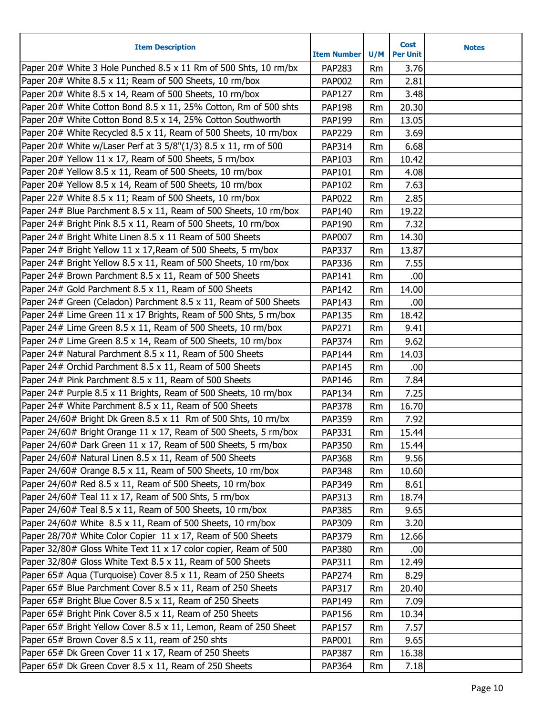| <b>Item Description</b>                                          | <b>Item Number</b> | U/M       | <b>Cost</b><br><b>Per Unit</b> | <b>Notes</b> |
|------------------------------------------------------------------|--------------------|-----------|--------------------------------|--------------|
| Paper 20# White 3 Hole Punched 8.5 x 11 Rm of 500 Shts, 10 rm/bx | PAP283             | Rm        | 3.76                           |              |
| Paper 20# White 8.5 x 11; Ream of 500 Sheets, 10 rm/box          | <b>PAP002</b>      | Rm        | 2.81                           |              |
| Paper 20# White 8.5 x 14, Ream of 500 Sheets, 10 rm/box          | <b>PAP127</b>      | Rm        | 3.48                           |              |
| Paper 20# White Cotton Bond 8.5 x 11, 25% Cotton, Rm of 500 shts | <b>PAP198</b>      | Rm        | 20.30                          |              |
| Paper 20# White Cotton Bond 8.5 x 14, 25% Cotton Southworth      | PAP199             | Rm        | 13.05                          |              |
| Paper 20# White Recycled 8.5 x 11, Ream of 500 Sheets, 10 rm/box | <b>PAP229</b>      | Rm        | 3.69                           |              |
| Paper 20# White w/Laser Perf at 3 5/8"(1/3) 8.5 x 11, rm of 500  | PAP314             | Rm        | 6.68                           |              |
| Paper 20# Yellow 11 x 17, Ream of 500 Sheets, 5 rm/box           | PAP103             | Rm        | 10.42                          |              |
| Paper 20# Yellow 8.5 x 11, Ream of 500 Sheets, 10 rm/box         | PAP101             | Rm        | 4.08                           |              |
| Paper 20# Yellow 8.5 x 14, Ream of 500 Sheets, 10 rm/box         | PAP102             | Rm        | 7.63                           |              |
| Paper 22# White 8.5 x 11; Ream of 500 Sheets, 10 rm/box          | <b>PAP022</b>      | Rm        | 2.85                           |              |
| Paper 24# Blue Parchment 8.5 x 11, Ream of 500 Sheets, 10 rm/box | PAP140             | Rm        | 19.22                          |              |
| Paper 24# Bright Pink 8.5 x 11, Ream of 500 Sheets, 10 rm/box    | PAP190             | Rm        | 7.32                           |              |
| Paper 24# Bright White Linen 8.5 x 11 Ream of 500 Sheets         | <b>PAP007</b>      | Rm        | 14.30                          |              |
| Paper 24# Bright Yellow 11 x 17, Ream of 500 Sheets, 5 rm/box    | <b>PAP337</b>      | Rm        | 13.87                          |              |
| Paper 24# Bright Yellow 8.5 x 11, Ream of 500 Sheets, 10 rm/box  | PAP336             | Rm        | 7.55                           |              |
| Paper 24# Brown Parchment 8.5 x 11, Ream of 500 Sheets           | PAP141             | Rm        | .00                            |              |
| Paper 24# Gold Parchment 8.5 x 11, Ream of 500 Sheets            | <b>PAP142</b>      | Rm        | 14.00                          |              |
| Paper 24# Green (Celadon) Parchment 8.5 x 11, Ream of 500 Sheets | PAP143             | Rm        | .00                            |              |
| Paper 24# Lime Green 11 x 17 Brights, Ream of 500 Shts, 5 rm/box | <b>PAP135</b>      | Rm        | 18.42                          |              |
| Paper 24# Lime Green 8.5 x 11, Ream of 500 Sheets, 10 rm/box     | PAP271             | Rm        | 9.41                           |              |
| Paper 24# Lime Green 8.5 x 14, Ream of 500 Sheets, 10 rm/box     | <b>PAP374</b>      | Rm        | 9.62                           |              |
| Paper 24# Natural Parchment 8.5 x 11, Ream of 500 Sheets         | <b>PAP144</b>      | Rm        | 14.03                          |              |
| Paper 24# Orchid Parchment 8.5 x 11, Ream of 500 Sheets          | <b>PAP145</b>      | Rm        | .00                            |              |
| Paper 24# Pink Parchment 8.5 x 11, Ream of 500 Sheets            | <b>PAP146</b>      | Rm        | 7.84                           |              |
| Paper 24# Purple 8.5 x 11 Brights, Ream of 500 Sheets, 10 rm/box | PAP134             | Rm        | 7.25                           |              |
| Paper 24# White Parchment 8.5 x 11, Ream of 500 Sheets           | <b>PAP378</b>      | Rm        | 16.70                          |              |
| Paper 24/60# Bright Dk Green 8.5 x 11 Rm of 500 Shts, 10 rm/bx   | <b>PAP359</b>      | Rm        | 7.92                           |              |
| Paper 24/60# Bright Orange 11 x 17, Ream of 500 Sheets, 5 rm/box | <b>PAP331</b>      | Rm        | 15.44                          |              |
| Paper 24/60# Dark Green 11 x 17, Ream of 500 Sheets, 5 rm/box    | <b>PAP350</b>      | Rm        | 15.44                          |              |
| Paper 24/60# Natural Linen 8.5 x 11, Ream of 500 Sheets          | <b>PAP368</b>      | Rm        | 9.56                           |              |
| Paper 24/60# Orange 8.5 x 11, Ream of 500 Sheets, 10 rm/box      | <b>PAP348</b>      | Rm        | 10.60                          |              |
| Paper 24/60# Red 8.5 x 11, Ream of 500 Sheets, 10 rm/box         | PAP349             | Rm        | 8.61                           |              |
| Paper 24/60# Teal 11 x 17, Ream of 500 Shts, 5 rm/box            | PAP313             | Rm        | 18.74                          |              |
| Paper 24/60# Teal 8.5 x 11, Ream of 500 Sheets, 10 rm/box        | <b>PAP385</b>      | Rm        | 9.65                           |              |
| Paper 24/60# White 8.5 x 11, Ream of 500 Sheets, 10 rm/box       | PAP309             | Rm        | 3.20                           |              |
| Paper 28/70# White Color Copier 11 x 17, Ream of 500 Sheets      | <b>PAP379</b>      | Rm        | 12.66                          |              |
| Paper 32/80# Gloss White Text 11 x 17 color copier, Ream of 500  | <b>PAP380</b>      | <b>Rm</b> | .00                            |              |
| Paper 32/80# Gloss White Text 8.5 x 11, Ream of 500 Sheets       | PAP311             | Rm        | 12.49                          |              |
| Paper 65# Aqua (Turquoise) Cover 8.5 x 11, Ream of 250 Sheets    | <b>PAP274</b>      | Rm        | 8.29                           |              |
| Paper 65# Blue Parchment Cover 8.5 x 11, Ream of 250 Sheets      | PAP317             | Rm        | 20.40                          |              |
| Paper 65# Bright Blue Cover 8.5 x 11, Ream of 250 Sheets         | PAP149             | Rm        | 7.09                           |              |
| Paper 65# Bright Pink Cover 8.5 x 11, Ream of 250 Sheets         | <b>PAP156</b>      | <b>Rm</b> | 10.34                          |              |
| Paper 65# Bright Yellow Cover 8.5 x 11, Lemon, Ream of 250 Sheet | <b>PAP157</b>      | Rm        | 7.57                           |              |
| Paper 65# Brown Cover 8.5 x 11, ream of 250 shts                 | PAP001             | Rm        | 9.65                           |              |
| Paper 65# Dk Green Cover 11 x 17, Ream of 250 Sheets             | <b>PAP387</b>      | Rm        | 16.38                          |              |
| Paper 65# Dk Green Cover 8.5 x 11, Ream of 250 Sheets            | <b>PAP364</b>      | Rm        | 7.18                           |              |
|                                                                  |                    |           |                                |              |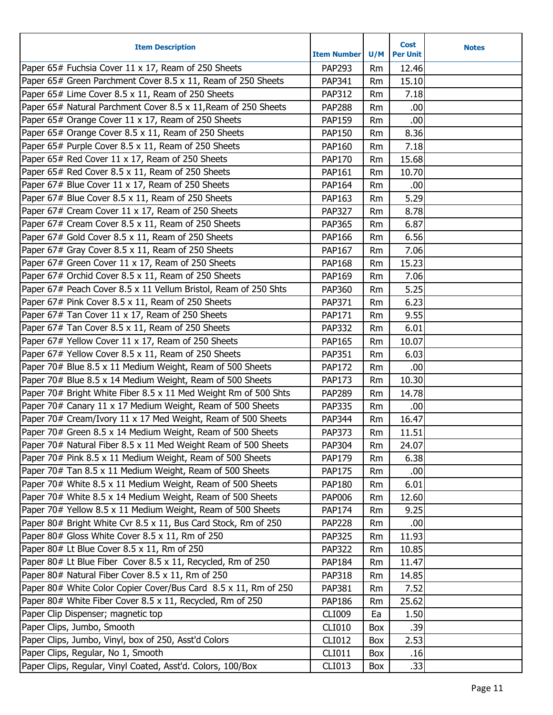| <b>Item Description</b>                                         | <b>Item Number</b> | U/M       | <b>Cost</b><br><b>Per Unit</b> | <b>Notes</b> |
|-----------------------------------------------------------------|--------------------|-----------|--------------------------------|--------------|
| Paper 65# Fuchsia Cover 11 x 17, Ream of 250 Sheets             | <b>PAP293</b>      | <b>Rm</b> | 12.46                          |              |
| Paper 65# Green Parchment Cover 8.5 x 11, Ream of 250 Sheets    | PAP341             | Rm        | 15.10                          |              |
| Paper 65# Lime Cover 8.5 x 11, Ream of 250 Sheets               | <b>PAP312</b>      | <b>Rm</b> | 7.18                           |              |
| Paper 65# Natural Parchment Cover 8.5 x 11, Ream of 250 Sheets  | <b>PAP288</b>      | Rm        | .00                            |              |
| Paper 65# Orange Cover 11 x 17, Ream of 250 Sheets              | <b>PAP159</b>      | <b>Rm</b> | .00                            |              |
| Paper 65# Orange Cover 8.5 x 11, Ream of 250 Sheets             | <b>PAP150</b>      | <b>Rm</b> | 8.36                           |              |
| Paper 65# Purple Cover 8.5 x 11, Ream of 250 Sheets             | PAP160             | <b>Rm</b> | 7.18                           |              |
| Paper 65# Red Cover 11 x 17, Ream of 250 Sheets                 | <b>PAP170</b>      | <b>Rm</b> | 15.68                          |              |
| Paper 65# Red Cover 8.5 x 11, Ream of 250 Sheets                | PAP161             | <b>Rm</b> | 10.70                          |              |
| Paper 67# Blue Cover 11 x 17, Ream of 250 Sheets                | PAP164             | Rm        | .00                            |              |
| Paper 67# Blue Cover 8.5 x 11, Ream of 250 Sheets               | PAP163             | <b>Rm</b> | 5.29                           |              |
| Paper 67# Cream Cover 11 x 17, Ream of 250 Sheets               | <b>PAP327</b>      | <b>Rm</b> | 8.78                           |              |
| Paper 67# Cream Cover 8.5 x 11, Ream of 250 Sheets              | <b>PAP365</b>      | <b>Rm</b> | 6.87                           |              |
| Paper 67# Gold Cover 8.5 x 11, Ream of 250 Sheets               | PAP166             | <b>Rm</b> | 6.56                           |              |
| Paper 67# Gray Cover 8.5 x 11, Ream of 250 Sheets               | PAP167             | Rm        | 7.06                           |              |
| Paper 67# Green Cover 11 x 17, Ream of 250 Sheets               | <b>PAP168</b>      | <b>Rm</b> | 15.23                          |              |
| Paper 67# Orchid Cover 8.5 x 11, Ream of 250 Sheets             | PAP169             | <b>Rm</b> | 7.06                           |              |
| Paper 67# Peach Cover 8.5 x 11 Vellum Bristol, Ream of 250 Shts | <b>PAP360</b>      | <b>Rm</b> | 5.25                           |              |
| Paper 67# Pink Cover 8.5 x 11, Ream of 250 Sheets               | PAP371             | <b>Rm</b> | 6.23                           |              |
| Paper 67# Tan Cover 11 x 17, Ream of 250 Sheets                 | PAP171             | Rm        | 9.55                           |              |
| Paper 67# Tan Cover 8.5 x 11, Ream of 250 Sheets                | <b>PAP332</b>      | <b>Rm</b> | 6.01                           |              |
| Paper 67# Yellow Cover 11 x 17, Ream of 250 Sheets              | <b>PAP165</b>      | Rm        | 10.07                          |              |
| Paper 67# Yellow Cover 8.5 x 11, Ream of 250 Sheets             | <b>PAP351</b>      | Rm        | 6.03                           |              |
| Paper 70# Blue 8.5 x 11 Medium Weight, Ream of 500 Sheets       | <b>PAP172</b>      | Rm        | .00                            |              |
| Paper 70# Blue 8.5 x 14 Medium Weight, Ream of 500 Sheets       | <b>PAP173</b>      | Rm        | 10.30                          |              |
| Paper 70# Bright White Fiber 8.5 x 11 Med Weight Rm of 500 Shts | <b>PAP289</b>      | <b>Rm</b> | 14.78                          |              |
| Paper 70# Canary 11 x 17 Medium Weight, Ream of 500 Sheets      | <b>PAP335</b>      | <b>Rm</b> | .00                            |              |
| Paper 70# Cream/Ivory 11 x 17 Med Weight, Ream of 500 Sheets    | <b>PAP344</b>      | Rm        | 16.47                          |              |
| Paper 70# Green 8.5 x 14 Medium Weight, Ream of 500 Sheets      | PAP373             | Rm        | 11.51                          |              |
| Paper 70# Natural Fiber 8.5 x 11 Med Weight Ream of 500 Sheets  | PAP304             | Rm        | 24.07                          |              |
| Paper 70# Pink 8.5 x 11 Medium Weight, Ream of 500 Sheets       | PAP179             | Rm        | 6.38                           |              |
| Paper 70# Tan 8.5 x 11 Medium Weight, Ream of 500 Sheets        | <b>PAP175</b>      | Rm        | .00                            |              |
| Paper 70# White 8.5 x 11 Medium Weight, Ream of 500 Sheets      | <b>PAP180</b>      | Rm        | 6.01                           |              |
| Paper 70# White 8.5 x 14 Medium Weight, Ream of 500 Sheets      | <b>PAP006</b>      | Rm        | 12.60                          |              |
| Paper 70# Yellow 8.5 x 11 Medium Weight, Ream of 500 Sheets     | <b>PAP174</b>      | Rm        | 9.25                           |              |
| Paper 80# Bright White Cvr 8.5 x 11, Bus Card Stock, Rm of 250  | <b>PAP228</b>      | Rm        | .00                            |              |
| Paper 80# Gloss White Cover 8.5 x 11, Rm of 250                 | <b>PAP325</b>      | Rm        | 11.93                          |              |
| Paper 80# Lt Blue Cover 8.5 x 11, Rm of 250                     | <b>PAP322</b>      | Rm        | 10.85                          |              |
| Paper 80# Lt Blue Fiber Cover 8.5 x 11, Recycled, Rm of 250     | <b>PAP184</b>      | Rm        | 11.47                          |              |
| Paper 80# Natural Fiber Cover 8.5 x 11, Rm of 250               | <b>PAP318</b>      | Rm        | 14.85                          |              |
| Paper 80# White Color Copier Cover/Bus Card 8.5 x 11, Rm of 250 | PAP381             | Rm        | 7.52                           |              |
| Paper 80# White Fiber Cover 8.5 x 11, Recycled, Rm of 250       | <b>PAP186</b>      | Rm        | 25.62                          |              |
| Paper Clip Dispenser; magnetic top                              | <b>CLI009</b>      | Ea        | 1.50                           |              |
| Paper Clips, Jumbo, Smooth                                      | <b>CLI010</b>      | Box       | .39                            |              |
| Paper Clips, Jumbo, Vinyl, box of 250, Asst'd Colors            | <b>CLI012</b>      | Box       | 2.53                           |              |
| Paper Clips, Regular, No 1, Smooth                              | CLI011             | Box       | .16                            |              |
| Paper Clips, Regular, Vinyl Coated, Asst'd. Colors, 100/Box     | CLI013             | Box       | .33                            |              |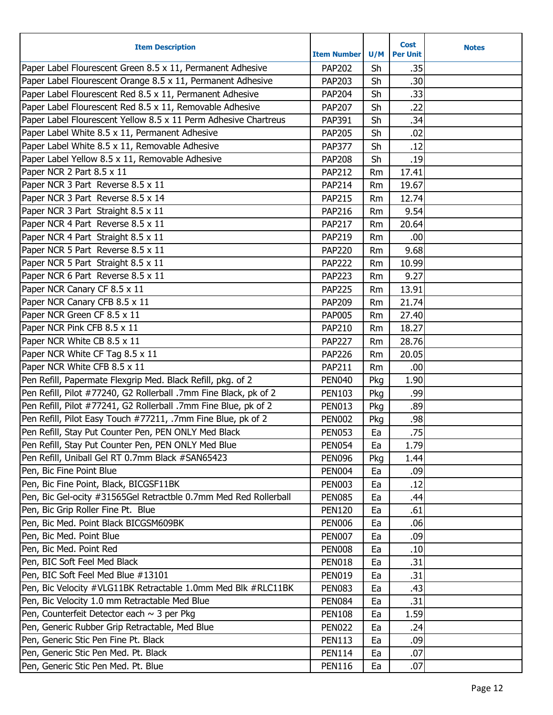| <b>Item Description</b>                                          | <b>Item Number</b> | U/M       | <b>Cost</b><br><b>Per Unit</b> | <b>Notes</b> |
|------------------------------------------------------------------|--------------------|-----------|--------------------------------|--------------|
| Paper Label Flourescent Green 8.5 x 11, Permanent Adhesive       | <b>PAP202</b>      | Sh        | .35                            |              |
| Paper Label Flourescent Orange 8.5 x 11, Permanent Adhesive      | PAP203             | Sh        | .30                            |              |
| Paper Label Flourescent Red 8.5 x 11, Permanent Adhesive         | <b>PAP204</b>      | Sh        | .33                            |              |
| Paper Label Flourescent Red 8.5 x 11, Removable Adhesive         | <b>PAP207</b>      | Sh        | .22                            |              |
| Paper Label Flourescent Yellow 8.5 x 11 Perm Adhesive Chartreus  | PAP391             | Sh        | .34                            |              |
| Paper Label White 8.5 x 11, Permanent Adhesive                   | <b>PAP205</b>      | Sh        | .02                            |              |
| Paper Label White 8.5 x 11, Removable Adhesive                   | <b>PAP377</b>      | Sh        | .12                            |              |
| Paper Label Yellow 8.5 x 11, Removable Adhesive                  | <b>PAP208</b>      | Sh        | .19                            |              |
| Paper NCR 2 Part 8.5 x 11                                        | <b>PAP212</b>      |           | 17.41                          |              |
| Paper NCR 3 Part Reverse 8.5 x 11                                |                    | <b>Rm</b> | 19.67                          |              |
| Paper NCR 3 Part Reverse 8.5 x 14                                | <b>PAP214</b>      | <b>Rm</b> |                                |              |
|                                                                  | <b>PAP215</b>      | <b>Rm</b> | 12.74                          |              |
| Paper NCR 3 Part Straight 8.5 x 11                               | <b>PAP216</b>      | Rm        | 9.54                           |              |
| Paper NCR 4 Part Reverse 8.5 x 11                                | <b>PAP217</b>      | Rm        | 20.64                          |              |
| Paper NCR 4 Part Straight 8.5 x 11                               | PAP219             | <b>Rm</b> | .00.                           |              |
| Paper NCR 5 Part Reverse 8.5 x 11                                | <b>PAP220</b>      | Rm        | 9.68                           |              |
| Paper NCR 5 Part Straight 8.5 x 11                               | <b>PAP222</b>      | <b>Rm</b> | 10.99                          |              |
| Paper NCR 6 Part Reverse 8.5 x 11                                | <b>PAP223</b>      | Rm        | 9.27                           |              |
| Paper NCR Canary CF 8.5 x 11                                     | <b>PAP225</b>      | Rm        | 13.91                          |              |
| Paper NCR Canary CFB 8.5 x 11                                    | PAP209             | <b>Rm</b> | 21.74                          |              |
| Paper NCR Green CF 8.5 x 11                                      | <b>PAP005</b>      | Rm        | 27.40                          |              |
| Paper NCR Pink CFB 8.5 x 11                                      | <b>PAP210</b>      | Rm        | 18.27                          |              |
| Paper NCR White CB 8.5 x 11                                      | <b>PAP227</b>      | Rm        | 28.76                          |              |
| Paper NCR White CF Tag 8.5 x 11                                  | <b>PAP226</b>      | Rm        | 20.05                          |              |
| Paper NCR White CFB 8.5 x 11                                     | <b>PAP211</b>      | <b>Rm</b> | .00                            |              |
| Pen Refill, Papermate Flexgrip Med. Black Refill, pkg. of 2      | <b>PEN040</b>      | Pkg       | 1.90                           |              |
| Pen Refill, Pilot #77240, G2 Rollerball .7mm Fine Black, pk of 2 | <b>PEN103</b>      | Pkg       | .99                            |              |
| Pen Refill, Pilot #77241, G2 Rollerball .7mm Fine Blue, pk of 2  | <b>PEN013</b>      | Pkg       | .89                            |              |
| Pen Refill, Pilot Easy Touch #77211, .7mm Fine Blue, pk of 2     | <b>PEN002</b>      | Pkg       | .98                            |              |
| Pen Refill, Stay Put Counter Pen, PEN ONLY Med Black             | <b>PEN053</b>      | Ea        | .75                            |              |
| Pen Refill, Stay Put Counter Pen, PEN ONLY Med Blue              | <b>PEN054</b>      | Ea        | 1.79                           |              |
| Pen Refill, Uniball Gel RT 0.7mm Black #SAN65423                 | <b>PEN096</b>      | Pkg       | 1.44                           |              |
| Pen, Bic Fine Point Blue                                         | <b>PEN004</b>      | Ea        | .09                            |              |
| Pen, Bic Fine Point, Black, BICGSF11BK                           | <b>PEN003</b>      | Ea        | .12                            |              |
| Pen, Bic Gel-ocity #31565Gel Retractble 0.7mm Med Red Rollerball | <b>PEN085</b>      | Ea        | .44                            |              |
| Pen, Bic Grip Roller Fine Pt. Blue                               | <b>PEN120</b>      | Ea        | .61                            |              |
| Pen, Bic Med. Point Black BICGSM609BK                            | <b>PEN006</b>      | Ea        | .06                            |              |
| Pen, Bic Med. Point Blue                                         | <b>PEN007</b>      | Ea        | .09                            |              |
| Pen, Bic Med. Point Red                                          | <b>PEN008</b>      | Ea        | .10                            |              |
| Pen, BIC Soft Feel Med Black                                     | <b>PEN018</b>      | Ea        | .31                            |              |
| Pen, BIC Soft Feel Med Blue #13101                               | <b>PEN019</b>      | Ea        | .31                            |              |
| Pen, Bic Velocity #VLG11BK Retractable 1.0mm Med Blk #RLC11BK    | <b>PEN083</b>      | Ea        | .43                            |              |
| Pen, Bic Velocity 1.0 mm Retractable Med Blue                    | <b>PEN084</b>      | Ea        | .31                            |              |
| Pen, Counterfeit Detector each ~ 3 per Pkg                       | <b>PEN108</b>      | Ea        | 1.59                           |              |
| Pen, Generic Rubber Grip Retractable, Med Blue                   | <b>PEN022</b>      | Ea        | .24                            |              |
| Pen, Generic Stic Pen Fine Pt. Black                             | <b>PEN113</b>      | Ea        | .09                            |              |
| Pen, Generic Stic Pen Med. Pt. Black                             | <b>PEN114</b>      | Ea        | .07                            |              |
| Pen, Generic Stic Pen Med. Pt. Blue                              | <b>PEN116</b>      | Ea        | .07                            |              |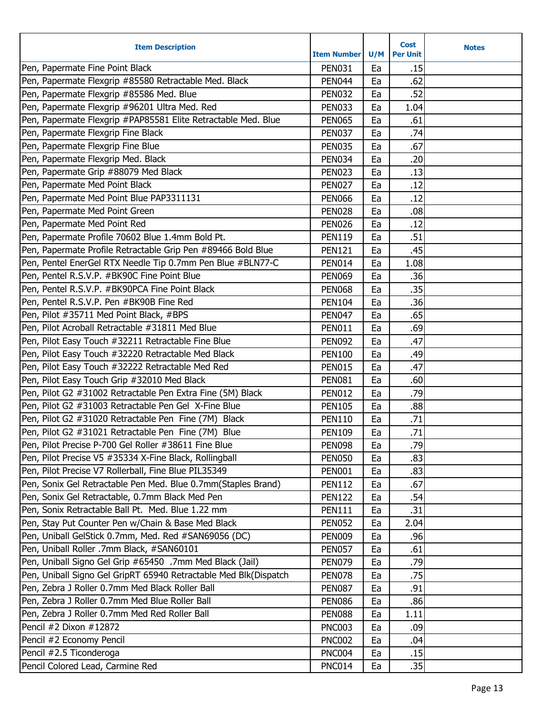| <b>Item Description</b>                                          | <b>Item Number</b> | U/M | <b>Cost</b><br><b>Per Unit</b> | <b>Notes</b> |
|------------------------------------------------------------------|--------------------|-----|--------------------------------|--------------|
| Pen, Papermate Fine Point Black                                  | <b>PEN031</b>      | Ea  | .15                            |              |
| Pen, Papermate Flexgrip #85580 Retractable Med. Black            | <b>PEN044</b>      | Ea  | .62                            |              |
| Pen, Papermate Flexgrip #85586 Med. Blue                         | <b>PEN032</b>      | Ea  | .52                            |              |
| Pen, Papermate Flexgrip #96201 Ultra Med. Red                    | <b>PEN033</b>      | Ea  | 1.04                           |              |
| Pen, Papermate Flexgrip #PAP85581 Elite Retractable Med. Blue    | <b>PEN065</b>      | Ea  | .61                            |              |
| Pen, Papermate Flexgrip Fine Black                               | <b>PEN037</b>      | Ea  | .74                            |              |
| Pen, Papermate Flexgrip Fine Blue                                | <b>PEN035</b>      | Ea  | .67                            |              |
| Pen, Papermate Flexgrip Med. Black                               | <b>PEN034</b>      | Ea  | .20                            |              |
| Pen, Papermate Grip #88079 Med Black                             | <b>PEN023</b>      | Ea  | .13                            |              |
| Pen, Papermate Med Point Black                                   | <b>PEN027</b>      | Ea  | .12                            |              |
| Pen, Papermate Med Point Blue PAP3311131                         | <b>PEN066</b>      | Ea  | .12                            |              |
| Pen, Papermate Med Point Green                                   | <b>PEN028</b>      | Ea  | .08                            |              |
| Pen, Papermate Med Point Red                                     | <b>PEN026</b>      | Ea  | .12                            |              |
| Pen, Papermate Profile 70602 Blue 1.4mm Bold Pt.                 | <b>PEN119</b>      | Ea  | .51                            |              |
| Pen, Papermate Profile Retractable Grip Pen #89466 Bold Blue     | <b>PEN121</b>      | Ea  | .45                            |              |
| Pen, Pentel EnerGel RTX Needle Tip 0.7mm Pen Blue #BLN77-C       | <b>PEN014</b>      | Ea  | 1.08                           |              |
| Pen, Pentel R.S.V.P. #BK90C Fine Point Blue                      | <b>PEN069</b>      | Ea  | .36                            |              |
| Pen, Pentel R.S.V.P. #BK90PCA Fine Point Black                   | <b>PEN068</b>      | Ea  | .35                            |              |
| Pen, Pentel R.S.V.P. Pen #BK90B Fine Red                         | <b>PEN104</b>      | Ea  | .36                            |              |
| Pen, Pilot #35711 Med Point Black, #BPS                          | <b>PEN047</b>      | Ea  | .65                            |              |
| Pen, Pilot Acroball Retractable #31811 Med Blue                  | <b>PEN011</b>      | Ea  | .69                            |              |
| Pen, Pilot Easy Touch #32211 Retractable Fine Blue               | <b>PEN092</b>      | Ea  | .47                            |              |
| Pen, Pilot Easy Touch #32220 Retractable Med Black               | <b>PEN100</b>      | Ea  | .49                            |              |
| Pen, Pilot Easy Touch #32222 Retractable Med Red                 | <b>PEN015</b>      | Ea  | .47                            |              |
| Pen, Pilot Easy Touch Grip #32010 Med Black                      | <b>PEN081</b>      | Ea  | .60                            |              |
| Pen, Pilot G2 #31002 Retractable Pen Extra Fine (5M) Black       | <b>PEN012</b>      | Ea  | .79                            |              |
| Pen, Pilot G2 #31003 Retractable Pen Gel X-Fine Blue             | <b>PEN105</b>      | Ea  | .88                            |              |
| Pen, Pilot G2 #31020 Retractable Pen Fine (7M) Black             | <b>PEN110</b>      | Ea  | .71                            |              |
| Pen, Pilot G2 #31021 Retractable Pen Fine (7M) Blue              | <b>PEN109</b>      | Ea  | .71                            |              |
| Pen, Pilot Precise P-700 Gel Roller #38611 Fine Blue             | <b>PEN098</b>      | Ea  | .79                            |              |
| Pen, Pilot Precise V5 #35334 X-Fine Black, Rollingball           | <b>PEN050</b>      | Ea  | .83                            |              |
| Pen, Pilot Precise V7 Rollerball, Fine Blue PIL35349             | <b>PEN001</b>      | Ea  | .83                            |              |
| Pen, Sonix Gel Retractable Pen Med. Blue 0.7mm(Staples Brand)    | <b>PEN112</b>      | Ea  | .67                            |              |
| Pen, Sonix Gel Retractable, 0.7mm Black Med Pen                  | <b>PEN122</b>      | Ea  | .54                            |              |
| Pen, Sonix Retractable Ball Pt. Med. Blue 1.22 mm                | <b>PEN111</b>      | Ea  | .31                            |              |
| Pen, Stay Put Counter Pen w/Chain & Base Med Black               | <b>PEN052</b>      | Ea  | 2.04                           |              |
| Pen, Uniball GelStick 0.7mm, Med. Red #SAN69056 (DC)             | <b>PEN009</b>      | Ea  | .96                            |              |
| Pen, Uniball Roller .7mm Black, #SAN60101                        | <b>PEN057</b>      | Ea  | .61                            |              |
| Pen, Uniball Signo Gel Grip #65450 .7mm Med Black (Jail)         | <b>PEN079</b>      | Ea  | .79                            |              |
| Pen, Uniball Signo Gel GripRT 65940 Retractable Med Blk(Dispatch | <b>PEN078</b>      | Ea  | .75                            |              |
| Pen, Zebra J Roller 0.7mm Med Black Roller Ball                  | <b>PEN087</b>      | Ea  | .91                            |              |
| Pen, Zebra J Roller 0.7mm Med Blue Roller Ball                   | <b>PEN086</b>      | Ea  | .86                            |              |
| Pen, Zebra J Roller 0.7mm Med Red Roller Ball                    | <b>PEN088</b>      | Ea  | 1.11                           |              |
| Pencil #2 Dixon #12872                                           | <b>PNC003</b>      | Ea  | .09                            |              |
| Pencil #2 Economy Pencil                                         | <b>PNC002</b>      | Ea  | .04                            |              |
| Pencil #2.5 Ticonderoga                                          | <b>PNC004</b>      | Ea  | .15                            |              |
| Pencil Colored Lead, Carmine Red                                 | <b>PNC014</b>      | Ea  | .35                            |              |
|                                                                  |                    |     |                                |              |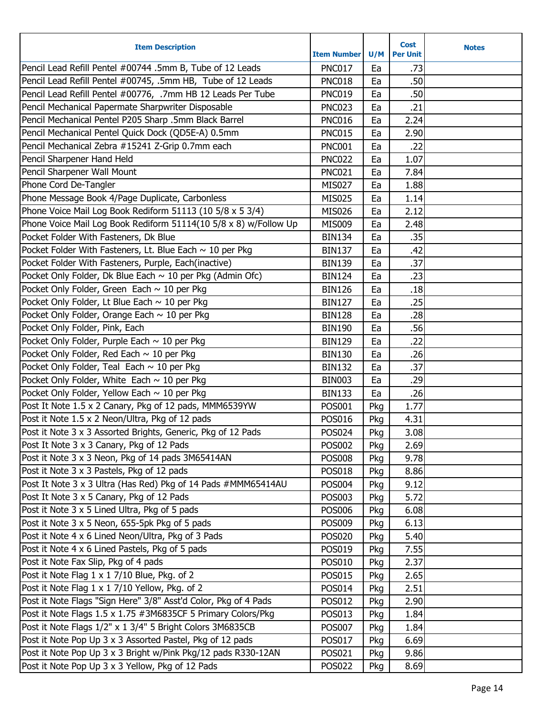| <b>Item Description</b>                                          | <b>Item Number</b> | U/M | <b>Cost</b><br><b>Per Unit</b> | <b>Notes</b> |
|------------------------------------------------------------------|--------------------|-----|--------------------------------|--------------|
| Pencil Lead Refill Pentel #00744 .5mm B, Tube of 12 Leads        | <b>PNC017</b>      | Ea  | .73                            |              |
| Pencil Lead Refill Pentel #00745, .5mm HB, Tube of 12 Leads      | <b>PNC018</b>      | Ea  | .50                            |              |
| Pencil Lead Refill Pentel #00776, .7mm HB 12 Leads Per Tube      | <b>PNC019</b>      | Ea  | .50                            |              |
| Pencil Mechanical Papermate Sharpwriter Disposable               | <b>PNC023</b>      | Ea  | .21                            |              |
| Pencil Mechanical Pentel P205 Sharp .5mm Black Barrel            | <b>PNC016</b>      | Ea  | 2.24                           |              |
| Pencil Mechanical Pentel Quick Dock (QD5E-A) 0.5mm               | <b>PNC015</b>      | Ea  | 2.90                           |              |
| Pencil Mechanical Zebra #15241 Z-Grip 0.7mm each                 | <b>PNC001</b>      | Ea  | .22                            |              |
| Pencil Sharpener Hand Held                                       | <b>PNC022</b>      | Ea  | 1.07                           |              |
| Pencil Sharpener Wall Mount                                      | <b>PNC021</b>      | Ea  | 7.84                           |              |
| Phone Cord De-Tangler                                            | <b>MIS027</b>      | Ea  | 1.88                           |              |
| Phone Message Book 4/Page Duplicate, Carbonless                  | <b>MIS025</b>      | Ea  | 1.14                           |              |
| Phone Voice Mail Log Book Rediform 51113 (10 5/8 x 5 3/4)        | <b>MIS026</b>      | Ea  | 2.12                           |              |
| Phone Voice Mail Log Book Rediform 51114(10 5/8 x 8) w/Follow Up | <b>MIS009</b>      | Ea  | 2.48                           |              |
| Pocket Folder With Fasteners, Dk Blue                            | <b>BIN134</b>      | Ea  | .35                            |              |
| Pocket Folder With Fasteners, Lt. Blue Each $\sim$ 10 per Pkg    | <b>BIN137</b>      | Ea  | .42                            |              |
| Pocket Folder With Fasteners, Purple, Each(inactive)             | <b>BIN139</b>      | Ea  | .37                            |              |
| Pocket Only Folder, Dk Blue Each ~ 10 per Pkg (Admin Ofc)        | <b>BIN124</b>      | Ea  | .23                            |              |
| Pocket Only Folder, Green Each $\sim$ 10 per Pkg                 | <b>BIN126</b>      | Ea  | .18                            |              |
| Pocket Only Folder, Lt Blue Each $\sim$ 10 per Pkg               | <b>BIN127</b>      | Ea  | .25                            |              |
| Pocket Only Folder, Orange Each ~ 10 per Pkg                     | <b>BIN128</b>      | Ea  | .28                            |              |
| Pocket Only Folder, Pink, Each                                   | <b>BIN190</b>      | Ea  | .56                            |              |
| Pocket Only Folder, Purple Each ~ 10 per Pkg                     | <b>BIN129</b>      | Ea  | .22                            |              |
| Pocket Only Folder, Red Each $\sim$ 10 per Pkg                   | <b>BIN130</b>      | Ea  | .26                            |              |
| Pocket Only Folder, Teal Each $\sim$ 10 per Pkg                  | <b>BIN132</b>      | Ea  | .37                            |              |
| Pocket Only Folder, White Each $\sim$ 10 per Pkg                 | <b>BIN003</b>      | Ea  | .29                            |              |
| Pocket Only Folder, Yellow Each $\sim$ 10 per Pkg                | <b>BIN133</b>      | Ea  | .26                            |              |
| Post It Note 1.5 x 2 Canary, Pkg of 12 pads, MMM6539YW           | POS001             | Pkg | 1.77                           |              |
| Post it Note 1.5 x 2 Neon/Ultra, Pkg of 12 pads                  | POS016             | Pkg | 4.31                           |              |
| Post it Note 3 x 3 Assorted Brights, Generic, Pkg of 12 Pads     | POS024             | Pkg | 3.08                           |              |
| Post It Note 3 x 3 Canary, Pkg of 12 Pads                        | POS002             | Pkg | 2.69                           |              |
| Post it Note 3 x 3 Neon, Pkg of 14 pads 3M65414AN                | <b>POS008</b>      | Pkg | 9.78                           |              |
| Post it Note 3 x 3 Pastels, Pkg of 12 pads                       | POS018             | Pkg | 8.86                           |              |
| Post It Note 3 x 3 Ultra (Has Red) Pkg of 14 Pads #MMM65414AU    | POS004             | Pkg | 9.12                           |              |
| Post It Note 3 x 5 Canary, Pkg of 12 Pads                        | POS003             | Pkg | 5.72                           |              |
| Post it Note 3 x 5 Lined Ultra, Pkg of 5 pads                    | POS006             | Pkg | 6.08                           |              |
| Post it Note 3 x 5 Neon, 655-5pk Pkg of 5 pads                   | POS009             | Pkg | 6.13                           |              |
| Post it Note 4 x 6 Lined Neon/Ultra, Pkg of 3 Pads               | POS020             | Pkg | 5.40                           |              |
| Post it Note 4 x 6 Lined Pastels, Pkg of 5 pads                  | POS019             | Pkg | 7.55                           |              |
| Post it Note Fax Slip, Pkg of 4 pads                             | POS010             | Pkg | 2.37                           |              |
| Post it Note Flag 1 x 1 7/10 Blue, Pkg. of 2                     | POS015             | Pkg | 2.65                           |              |
| Post it Note Flag 1 x 1 7/10 Yellow, Pkg. of 2                   | POS014             | Pkg | 2.51                           |              |
| Post it Note Flags "Sign Here" 3/8" Asst'd Color, Pkg of 4 Pads  | POS012             | Pkg | 2.90                           |              |
| Post it Note Flags 1.5 x 1.75 #3M6835CF 5 Primary Colors/Pkg     | POS013             | Pkg | 1.84                           |              |
| Post it Note Flags 1/2" x 1 3/4" 5 Bright Colors 3M6835CB        | POS007             | Pkg | 1.84                           |              |
| Post it Note Pop Up 3 x 3 Assorted Pastel, Pkg of 12 pads        | POS017             | Pkg | 6.69                           |              |
| Post it Note Pop Up 3 x 3 Bright w/Pink Pkg/12 pads R330-12AN    | POS021             | Pkg | 9.86                           |              |
| Post it Note Pop Up 3 x 3 Yellow, Pkg of 12 Pads                 | POS022             | Pkg | 8.69                           |              |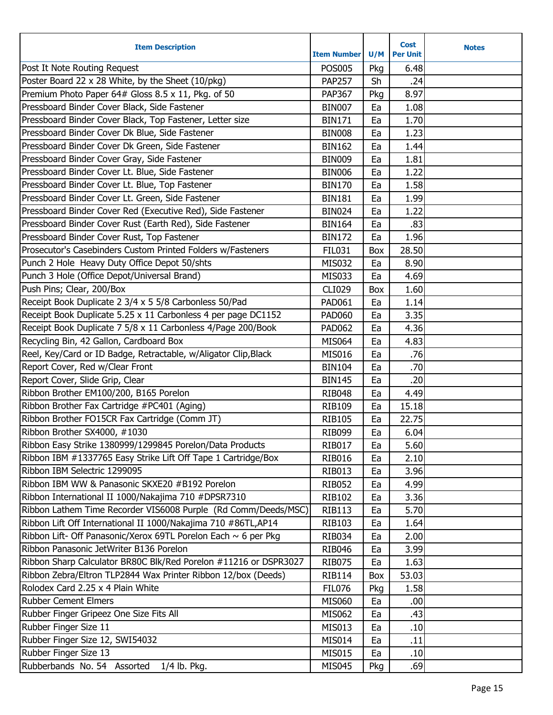| Post It Note Routing Request<br><b>POS005</b><br>Pkg<br>6.48<br>Poster Board 22 x 28 White, by the Sheet (10/pkg)<br><b>PAP257</b><br>Sh<br>.24<br>Premium Photo Paper 64# Gloss 8.5 x 11, Pkg. of 50<br>8.97<br><b>PAP367</b><br>Pkg<br>Pressboard Binder Cover Black, Side Fastener<br>1.08<br><b>BIN007</b><br>Ea<br>Pressboard Binder Cover Black, Top Fastener, Letter size<br>1.70<br><b>BIN171</b><br>Ea<br>Pressboard Binder Cover Dk Blue, Side Fastener<br>1.23<br><b>BIN008</b><br>Ea<br>Pressboard Binder Cover Dk Green, Side Fastener<br><b>BIN162</b><br>Ea<br>1.44<br>Pressboard Binder Cover Gray, Side Fastener<br><b>BIN009</b><br>Ea<br>1.81<br>Pressboard Binder Cover Lt. Blue, Side Fastener<br>1.22<br><b>BIN006</b><br>Ea<br>Pressboard Binder Cover Lt. Blue, Top Fastener<br><b>BIN170</b><br>Ea<br>1.58<br>Pressboard Binder Cover Lt. Green, Side Fastener<br>1.99<br><b>BIN181</b><br>Ea<br>Pressboard Binder Cover Red (Executive Red), Side Fastener<br><b>BIN024</b><br>Ea<br>1.22<br>Pressboard Binder Cover Rust (Earth Red), Side Fastener<br>.83<br><b>BIN164</b><br>Ea<br>Pressboard Binder Cover Rust, Top Fastener<br>1.96<br><b>BIN172</b><br>Ea<br>Prosecutor's Casebinders Custom Printed Folders w/Fasteners<br>28.50<br><b>FIL031</b><br>Box<br>Punch 2 Hole Heavy Duty Office Depot 50/shts<br><b>MIS032</b><br>8.90<br>Ea<br>Punch 3 Hole (Office Depot/Universal Brand)<br>4.69<br>MIS033<br>Ea<br>Push Pins; Clear, 200/Box<br><b>CLI029</b><br>1.60<br>Box<br>Receipt Book Duplicate 2 3/4 x 5 5/8 Carbonless 50/Pad<br>1.14<br><b>PAD061</b><br>Ea<br>Receipt Book Duplicate 5.25 x 11 Carbonless 4 per page DC1152<br>3.35<br><b>PAD060</b><br>Ea<br>Receipt Book Duplicate 7 5/8 x 11 Carbonless 4/Page 200/Book<br>4.36<br><b>PAD062</b><br>Ea<br>Recycling Bin, 42 Gallon, Cardboard Box<br><b>MIS064</b><br>4.83<br>Ea<br>Reel, Key/Card or ID Badge, Retractable, w/Aligator Clip, Black<br><b>MIS016</b><br>Ea<br>.76<br>Report Cover, Red w/Clear Front<br>.70<br><b>BIN104</b><br>Ea<br>Report Cover, Slide Grip, Clear<br>.20<br><b>BIN145</b><br>Ea<br>Ribbon Brother EM100/200, B165 Porelon<br><b>RIB048</b><br>4.49<br>Ea<br>Ribbon Brother Fax Cartridge #PC401 (Aging)<br>15.18<br><b>RIB109</b><br>Ea<br>Ribbon Brother FO15CR Fax Cartridge (Comm JT)<br>22.75<br><b>RIB105</b><br>Ea<br>Ribbon Brother SX4000, #1030<br>6.04<br><b>RIB099</b><br>Ea<br>Ribbon Easy Strike 1380999/1299845 Porelon/Data Products<br><b>RIB017</b><br>Ea<br>5.60<br>Ribbon IBM #1337765 Easy Strike Lift Off Tape 1 Cartridge/Box<br>2.10<br><b>RIB016</b><br>Ea<br>Ribbon IBM Selectric 1299095<br><b>RIB013</b><br>3.96<br>Ea<br>Ribbon IBM WW & Panasonic SKXE20 #B192 Porelon<br>4.99<br><b>RIB052</b><br>Ea<br>Ribbon International II 1000/Nakajima 710 #DPSR7310<br><b>RIB102</b><br>3.36<br>Ea<br>Ribbon Lathem Time Recorder VIS6008 Purple (Rd Comm/Deeds/MSC)<br>5.70<br><b>RIB113</b><br>Ea<br>Ribbon Lift Off International II 1000/Nakajima 710 #86TL, AP14<br><b>RIB103</b><br>1.64<br>Ea<br>Ribbon Lift- Off Panasonic/Xerox 69TL Porelon Each ~ 6 per Pkg<br><b>RIB034</b><br>2.00<br>Ea<br>Ribbon Panasonic JetWriter B136 Porelon<br><b>RIB046</b><br>3.99<br>Ea<br>Ribbon Sharp Calculator BR80C Blk/Red Porelon #11216 or DSPR3027<br><b>RIB075</b><br>1.63<br>Ea<br>Ribbon Zebra/Eltron TLP2844 Wax Printer Ribbon 12/box (Deeds)<br>53.03<br><b>RIB114</b><br>Box<br>Rolodex Card 2.25 x 4 Plain White<br><b>FIL076</b><br>1.58<br>Pkg<br><b>Rubber Cement Elmers</b><br><b>MIS060</b><br>.00<br>Ea<br>Rubber Finger Gripeez One Size Fits All<br>.43<br><b>MIS062</b><br>Ea<br>Rubber Finger Size 11<br>.10<br>MIS013<br>Ea<br>Rubber Finger Size 12, SWI54032<br><b>MIS014</b><br>Ea<br>.11<br>Rubber Finger Size 13<br>MIS015<br>.10<br>Ea<br>Rubberbands No. 54 Assorted<br>1/4 lb. Pkg.<br><b>MIS045</b><br>.69<br>Pkg | <b>Item Description</b> | <b>Item Number</b> | U/M | <b>Cost</b><br><b>Per Unit</b> | <b>Notes</b> |
|--------------------------------------------------------------------------------------------------------------------------------------------------------------------------------------------------------------------------------------------------------------------------------------------------------------------------------------------------------------------------------------------------------------------------------------------------------------------------------------------------------------------------------------------------------------------------------------------------------------------------------------------------------------------------------------------------------------------------------------------------------------------------------------------------------------------------------------------------------------------------------------------------------------------------------------------------------------------------------------------------------------------------------------------------------------------------------------------------------------------------------------------------------------------------------------------------------------------------------------------------------------------------------------------------------------------------------------------------------------------------------------------------------------------------------------------------------------------------------------------------------------------------------------------------------------------------------------------------------------------------------------------------------------------------------------------------------------------------------------------------------------------------------------------------------------------------------------------------------------------------------------------------------------------------------------------------------------------------------------------------------------------------------------------------------------------------------------------------------------------------------------------------------------------------------------------------------------------------------------------------------------------------------------------------------------------------------------------------------------------------------------------------------------------------------------------------------------------------------------------------------------------------------------------------------------------------------------------------------------------------------------------------------------------------------------------------------------------------------------------------------------------------------------------------------------------------------------------------------------------------------------------------------------------------------------------------------------------------------------------------------------------------------------------------------------------------------------------------------------------------------------------------------------------------------------------------------------------------------------------------------------------------------------------------------------------------------------------------------------------------------------------------------------------------------------------------------------------------------------------------------------------------------------------------------------------------------------------------------------------------------------------------------------------------------------------------------------------------------------------------------------------------------------------------------------------------------------------------------------------------------------------------------|-------------------------|--------------------|-----|--------------------------------|--------------|
|                                                                                                                                                                                                                                                                                                                                                                                                                                                                                                                                                                                                                                                                                                                                                                                                                                                                                                                                                                                                                                                                                                                                                                                                                                                                                                                                                                                                                                                                                                                                                                                                                                                                                                                                                                                                                                                                                                                                                                                                                                                                                                                                                                                                                                                                                                                                                                                                                                                                                                                                                                                                                                                                                                                                                                                                                                                                                                                                                                                                                                                                                                                                                                                                                                                                                                                                                                                                                                                                                                                                                                                                                                                                                                                                                                                                                                                                                                        |                         |                    |     |                                |              |
|                                                                                                                                                                                                                                                                                                                                                                                                                                                                                                                                                                                                                                                                                                                                                                                                                                                                                                                                                                                                                                                                                                                                                                                                                                                                                                                                                                                                                                                                                                                                                                                                                                                                                                                                                                                                                                                                                                                                                                                                                                                                                                                                                                                                                                                                                                                                                                                                                                                                                                                                                                                                                                                                                                                                                                                                                                                                                                                                                                                                                                                                                                                                                                                                                                                                                                                                                                                                                                                                                                                                                                                                                                                                                                                                                                                                                                                                                                        |                         |                    |     |                                |              |
|                                                                                                                                                                                                                                                                                                                                                                                                                                                                                                                                                                                                                                                                                                                                                                                                                                                                                                                                                                                                                                                                                                                                                                                                                                                                                                                                                                                                                                                                                                                                                                                                                                                                                                                                                                                                                                                                                                                                                                                                                                                                                                                                                                                                                                                                                                                                                                                                                                                                                                                                                                                                                                                                                                                                                                                                                                                                                                                                                                                                                                                                                                                                                                                                                                                                                                                                                                                                                                                                                                                                                                                                                                                                                                                                                                                                                                                                                                        |                         |                    |     |                                |              |
|                                                                                                                                                                                                                                                                                                                                                                                                                                                                                                                                                                                                                                                                                                                                                                                                                                                                                                                                                                                                                                                                                                                                                                                                                                                                                                                                                                                                                                                                                                                                                                                                                                                                                                                                                                                                                                                                                                                                                                                                                                                                                                                                                                                                                                                                                                                                                                                                                                                                                                                                                                                                                                                                                                                                                                                                                                                                                                                                                                                                                                                                                                                                                                                                                                                                                                                                                                                                                                                                                                                                                                                                                                                                                                                                                                                                                                                                                                        |                         |                    |     |                                |              |
|                                                                                                                                                                                                                                                                                                                                                                                                                                                                                                                                                                                                                                                                                                                                                                                                                                                                                                                                                                                                                                                                                                                                                                                                                                                                                                                                                                                                                                                                                                                                                                                                                                                                                                                                                                                                                                                                                                                                                                                                                                                                                                                                                                                                                                                                                                                                                                                                                                                                                                                                                                                                                                                                                                                                                                                                                                                                                                                                                                                                                                                                                                                                                                                                                                                                                                                                                                                                                                                                                                                                                                                                                                                                                                                                                                                                                                                                                                        |                         |                    |     |                                |              |
|                                                                                                                                                                                                                                                                                                                                                                                                                                                                                                                                                                                                                                                                                                                                                                                                                                                                                                                                                                                                                                                                                                                                                                                                                                                                                                                                                                                                                                                                                                                                                                                                                                                                                                                                                                                                                                                                                                                                                                                                                                                                                                                                                                                                                                                                                                                                                                                                                                                                                                                                                                                                                                                                                                                                                                                                                                                                                                                                                                                                                                                                                                                                                                                                                                                                                                                                                                                                                                                                                                                                                                                                                                                                                                                                                                                                                                                                                                        |                         |                    |     |                                |              |
|                                                                                                                                                                                                                                                                                                                                                                                                                                                                                                                                                                                                                                                                                                                                                                                                                                                                                                                                                                                                                                                                                                                                                                                                                                                                                                                                                                                                                                                                                                                                                                                                                                                                                                                                                                                                                                                                                                                                                                                                                                                                                                                                                                                                                                                                                                                                                                                                                                                                                                                                                                                                                                                                                                                                                                                                                                                                                                                                                                                                                                                                                                                                                                                                                                                                                                                                                                                                                                                                                                                                                                                                                                                                                                                                                                                                                                                                                                        |                         |                    |     |                                |              |
|                                                                                                                                                                                                                                                                                                                                                                                                                                                                                                                                                                                                                                                                                                                                                                                                                                                                                                                                                                                                                                                                                                                                                                                                                                                                                                                                                                                                                                                                                                                                                                                                                                                                                                                                                                                                                                                                                                                                                                                                                                                                                                                                                                                                                                                                                                                                                                                                                                                                                                                                                                                                                                                                                                                                                                                                                                                                                                                                                                                                                                                                                                                                                                                                                                                                                                                                                                                                                                                                                                                                                                                                                                                                                                                                                                                                                                                                                                        |                         |                    |     |                                |              |
|                                                                                                                                                                                                                                                                                                                                                                                                                                                                                                                                                                                                                                                                                                                                                                                                                                                                                                                                                                                                                                                                                                                                                                                                                                                                                                                                                                                                                                                                                                                                                                                                                                                                                                                                                                                                                                                                                                                                                                                                                                                                                                                                                                                                                                                                                                                                                                                                                                                                                                                                                                                                                                                                                                                                                                                                                                                                                                                                                                                                                                                                                                                                                                                                                                                                                                                                                                                                                                                                                                                                                                                                                                                                                                                                                                                                                                                                                                        |                         |                    |     |                                |              |
|                                                                                                                                                                                                                                                                                                                                                                                                                                                                                                                                                                                                                                                                                                                                                                                                                                                                                                                                                                                                                                                                                                                                                                                                                                                                                                                                                                                                                                                                                                                                                                                                                                                                                                                                                                                                                                                                                                                                                                                                                                                                                                                                                                                                                                                                                                                                                                                                                                                                                                                                                                                                                                                                                                                                                                                                                                                                                                                                                                                                                                                                                                                                                                                                                                                                                                                                                                                                                                                                                                                                                                                                                                                                                                                                                                                                                                                                                                        |                         |                    |     |                                |              |
|                                                                                                                                                                                                                                                                                                                                                                                                                                                                                                                                                                                                                                                                                                                                                                                                                                                                                                                                                                                                                                                                                                                                                                                                                                                                                                                                                                                                                                                                                                                                                                                                                                                                                                                                                                                                                                                                                                                                                                                                                                                                                                                                                                                                                                                                                                                                                                                                                                                                                                                                                                                                                                                                                                                                                                                                                                                                                                                                                                                                                                                                                                                                                                                                                                                                                                                                                                                                                                                                                                                                                                                                                                                                                                                                                                                                                                                                                                        |                         |                    |     |                                |              |
|                                                                                                                                                                                                                                                                                                                                                                                                                                                                                                                                                                                                                                                                                                                                                                                                                                                                                                                                                                                                                                                                                                                                                                                                                                                                                                                                                                                                                                                                                                                                                                                                                                                                                                                                                                                                                                                                                                                                                                                                                                                                                                                                                                                                                                                                                                                                                                                                                                                                                                                                                                                                                                                                                                                                                                                                                                                                                                                                                                                                                                                                                                                                                                                                                                                                                                                                                                                                                                                                                                                                                                                                                                                                                                                                                                                                                                                                                                        |                         |                    |     |                                |              |
|                                                                                                                                                                                                                                                                                                                                                                                                                                                                                                                                                                                                                                                                                                                                                                                                                                                                                                                                                                                                                                                                                                                                                                                                                                                                                                                                                                                                                                                                                                                                                                                                                                                                                                                                                                                                                                                                                                                                                                                                                                                                                                                                                                                                                                                                                                                                                                                                                                                                                                                                                                                                                                                                                                                                                                                                                                                                                                                                                                                                                                                                                                                                                                                                                                                                                                                                                                                                                                                                                                                                                                                                                                                                                                                                                                                                                                                                                                        |                         |                    |     |                                |              |
|                                                                                                                                                                                                                                                                                                                                                                                                                                                                                                                                                                                                                                                                                                                                                                                                                                                                                                                                                                                                                                                                                                                                                                                                                                                                                                                                                                                                                                                                                                                                                                                                                                                                                                                                                                                                                                                                                                                                                                                                                                                                                                                                                                                                                                                                                                                                                                                                                                                                                                                                                                                                                                                                                                                                                                                                                                                                                                                                                                                                                                                                                                                                                                                                                                                                                                                                                                                                                                                                                                                                                                                                                                                                                                                                                                                                                                                                                                        |                         |                    |     |                                |              |
|                                                                                                                                                                                                                                                                                                                                                                                                                                                                                                                                                                                                                                                                                                                                                                                                                                                                                                                                                                                                                                                                                                                                                                                                                                                                                                                                                                                                                                                                                                                                                                                                                                                                                                                                                                                                                                                                                                                                                                                                                                                                                                                                                                                                                                                                                                                                                                                                                                                                                                                                                                                                                                                                                                                                                                                                                                                                                                                                                                                                                                                                                                                                                                                                                                                                                                                                                                                                                                                                                                                                                                                                                                                                                                                                                                                                                                                                                                        |                         |                    |     |                                |              |
|                                                                                                                                                                                                                                                                                                                                                                                                                                                                                                                                                                                                                                                                                                                                                                                                                                                                                                                                                                                                                                                                                                                                                                                                                                                                                                                                                                                                                                                                                                                                                                                                                                                                                                                                                                                                                                                                                                                                                                                                                                                                                                                                                                                                                                                                                                                                                                                                                                                                                                                                                                                                                                                                                                                                                                                                                                                                                                                                                                                                                                                                                                                                                                                                                                                                                                                                                                                                                                                                                                                                                                                                                                                                                                                                                                                                                                                                                                        |                         |                    |     |                                |              |
|                                                                                                                                                                                                                                                                                                                                                                                                                                                                                                                                                                                                                                                                                                                                                                                                                                                                                                                                                                                                                                                                                                                                                                                                                                                                                                                                                                                                                                                                                                                                                                                                                                                                                                                                                                                                                                                                                                                                                                                                                                                                                                                                                                                                                                                                                                                                                                                                                                                                                                                                                                                                                                                                                                                                                                                                                                                                                                                                                                                                                                                                                                                                                                                                                                                                                                                                                                                                                                                                                                                                                                                                                                                                                                                                                                                                                                                                                                        |                         |                    |     |                                |              |
|                                                                                                                                                                                                                                                                                                                                                                                                                                                                                                                                                                                                                                                                                                                                                                                                                                                                                                                                                                                                                                                                                                                                                                                                                                                                                                                                                                                                                                                                                                                                                                                                                                                                                                                                                                                                                                                                                                                                                                                                                                                                                                                                                                                                                                                                                                                                                                                                                                                                                                                                                                                                                                                                                                                                                                                                                                                                                                                                                                                                                                                                                                                                                                                                                                                                                                                                                                                                                                                                                                                                                                                                                                                                                                                                                                                                                                                                                                        |                         |                    |     |                                |              |
|                                                                                                                                                                                                                                                                                                                                                                                                                                                                                                                                                                                                                                                                                                                                                                                                                                                                                                                                                                                                                                                                                                                                                                                                                                                                                                                                                                                                                                                                                                                                                                                                                                                                                                                                                                                                                                                                                                                                                                                                                                                                                                                                                                                                                                                                                                                                                                                                                                                                                                                                                                                                                                                                                                                                                                                                                                                                                                                                                                                                                                                                                                                                                                                                                                                                                                                                                                                                                                                                                                                                                                                                                                                                                                                                                                                                                                                                                                        |                         |                    |     |                                |              |
|                                                                                                                                                                                                                                                                                                                                                                                                                                                                                                                                                                                                                                                                                                                                                                                                                                                                                                                                                                                                                                                                                                                                                                                                                                                                                                                                                                                                                                                                                                                                                                                                                                                                                                                                                                                                                                                                                                                                                                                                                                                                                                                                                                                                                                                                                                                                                                                                                                                                                                                                                                                                                                                                                                                                                                                                                                                                                                                                                                                                                                                                                                                                                                                                                                                                                                                                                                                                                                                                                                                                                                                                                                                                                                                                                                                                                                                                                                        |                         |                    |     |                                |              |
|                                                                                                                                                                                                                                                                                                                                                                                                                                                                                                                                                                                                                                                                                                                                                                                                                                                                                                                                                                                                                                                                                                                                                                                                                                                                                                                                                                                                                                                                                                                                                                                                                                                                                                                                                                                                                                                                                                                                                                                                                                                                                                                                                                                                                                                                                                                                                                                                                                                                                                                                                                                                                                                                                                                                                                                                                                                                                                                                                                                                                                                                                                                                                                                                                                                                                                                                                                                                                                                                                                                                                                                                                                                                                                                                                                                                                                                                                                        |                         |                    |     |                                |              |
|                                                                                                                                                                                                                                                                                                                                                                                                                                                                                                                                                                                                                                                                                                                                                                                                                                                                                                                                                                                                                                                                                                                                                                                                                                                                                                                                                                                                                                                                                                                                                                                                                                                                                                                                                                                                                                                                                                                                                                                                                                                                                                                                                                                                                                                                                                                                                                                                                                                                                                                                                                                                                                                                                                                                                                                                                                                                                                                                                                                                                                                                                                                                                                                                                                                                                                                                                                                                                                                                                                                                                                                                                                                                                                                                                                                                                                                                                                        |                         |                    |     |                                |              |
|                                                                                                                                                                                                                                                                                                                                                                                                                                                                                                                                                                                                                                                                                                                                                                                                                                                                                                                                                                                                                                                                                                                                                                                                                                                                                                                                                                                                                                                                                                                                                                                                                                                                                                                                                                                                                                                                                                                                                                                                                                                                                                                                                                                                                                                                                                                                                                                                                                                                                                                                                                                                                                                                                                                                                                                                                                                                                                                                                                                                                                                                                                                                                                                                                                                                                                                                                                                                                                                                                                                                                                                                                                                                                                                                                                                                                                                                                                        |                         |                    |     |                                |              |
|                                                                                                                                                                                                                                                                                                                                                                                                                                                                                                                                                                                                                                                                                                                                                                                                                                                                                                                                                                                                                                                                                                                                                                                                                                                                                                                                                                                                                                                                                                                                                                                                                                                                                                                                                                                                                                                                                                                                                                                                                                                                                                                                                                                                                                                                                                                                                                                                                                                                                                                                                                                                                                                                                                                                                                                                                                                                                                                                                                                                                                                                                                                                                                                                                                                                                                                                                                                                                                                                                                                                                                                                                                                                                                                                                                                                                                                                                                        |                         |                    |     |                                |              |
|                                                                                                                                                                                                                                                                                                                                                                                                                                                                                                                                                                                                                                                                                                                                                                                                                                                                                                                                                                                                                                                                                                                                                                                                                                                                                                                                                                                                                                                                                                                                                                                                                                                                                                                                                                                                                                                                                                                                                                                                                                                                                                                                                                                                                                                                                                                                                                                                                                                                                                                                                                                                                                                                                                                                                                                                                                                                                                                                                                                                                                                                                                                                                                                                                                                                                                                                                                                                                                                                                                                                                                                                                                                                                                                                                                                                                                                                                                        |                         |                    |     |                                |              |
|                                                                                                                                                                                                                                                                                                                                                                                                                                                                                                                                                                                                                                                                                                                                                                                                                                                                                                                                                                                                                                                                                                                                                                                                                                                                                                                                                                                                                                                                                                                                                                                                                                                                                                                                                                                                                                                                                                                                                                                                                                                                                                                                                                                                                                                                                                                                                                                                                                                                                                                                                                                                                                                                                                                                                                                                                                                                                                                                                                                                                                                                                                                                                                                                                                                                                                                                                                                                                                                                                                                                                                                                                                                                                                                                                                                                                                                                                                        |                         |                    |     |                                |              |
|                                                                                                                                                                                                                                                                                                                                                                                                                                                                                                                                                                                                                                                                                                                                                                                                                                                                                                                                                                                                                                                                                                                                                                                                                                                                                                                                                                                                                                                                                                                                                                                                                                                                                                                                                                                                                                                                                                                                                                                                                                                                                                                                                                                                                                                                                                                                                                                                                                                                                                                                                                                                                                                                                                                                                                                                                                                                                                                                                                                                                                                                                                                                                                                                                                                                                                                                                                                                                                                                                                                                                                                                                                                                                                                                                                                                                                                                                                        |                         |                    |     |                                |              |
|                                                                                                                                                                                                                                                                                                                                                                                                                                                                                                                                                                                                                                                                                                                                                                                                                                                                                                                                                                                                                                                                                                                                                                                                                                                                                                                                                                                                                                                                                                                                                                                                                                                                                                                                                                                                                                                                                                                                                                                                                                                                                                                                                                                                                                                                                                                                                                                                                                                                                                                                                                                                                                                                                                                                                                                                                                                                                                                                                                                                                                                                                                                                                                                                                                                                                                                                                                                                                                                                                                                                                                                                                                                                                                                                                                                                                                                                                                        |                         |                    |     |                                |              |
|                                                                                                                                                                                                                                                                                                                                                                                                                                                                                                                                                                                                                                                                                                                                                                                                                                                                                                                                                                                                                                                                                                                                                                                                                                                                                                                                                                                                                                                                                                                                                                                                                                                                                                                                                                                                                                                                                                                                                                                                                                                                                                                                                                                                                                                                                                                                                                                                                                                                                                                                                                                                                                                                                                                                                                                                                                                                                                                                                                                                                                                                                                                                                                                                                                                                                                                                                                                                                                                                                                                                                                                                                                                                                                                                                                                                                                                                                                        |                         |                    |     |                                |              |
|                                                                                                                                                                                                                                                                                                                                                                                                                                                                                                                                                                                                                                                                                                                                                                                                                                                                                                                                                                                                                                                                                                                                                                                                                                                                                                                                                                                                                                                                                                                                                                                                                                                                                                                                                                                                                                                                                                                                                                                                                                                                                                                                                                                                                                                                                                                                                                                                                                                                                                                                                                                                                                                                                                                                                                                                                                                                                                                                                                                                                                                                                                                                                                                                                                                                                                                                                                                                                                                                                                                                                                                                                                                                                                                                                                                                                                                                                                        |                         |                    |     |                                |              |
|                                                                                                                                                                                                                                                                                                                                                                                                                                                                                                                                                                                                                                                                                                                                                                                                                                                                                                                                                                                                                                                                                                                                                                                                                                                                                                                                                                                                                                                                                                                                                                                                                                                                                                                                                                                                                                                                                                                                                                                                                                                                                                                                                                                                                                                                                                                                                                                                                                                                                                                                                                                                                                                                                                                                                                                                                                                                                                                                                                                                                                                                                                                                                                                                                                                                                                                                                                                                                                                                                                                                                                                                                                                                                                                                                                                                                                                                                                        |                         |                    |     |                                |              |
|                                                                                                                                                                                                                                                                                                                                                                                                                                                                                                                                                                                                                                                                                                                                                                                                                                                                                                                                                                                                                                                                                                                                                                                                                                                                                                                                                                                                                                                                                                                                                                                                                                                                                                                                                                                                                                                                                                                                                                                                                                                                                                                                                                                                                                                                                                                                                                                                                                                                                                                                                                                                                                                                                                                                                                                                                                                                                                                                                                                                                                                                                                                                                                                                                                                                                                                                                                                                                                                                                                                                                                                                                                                                                                                                                                                                                                                                                                        |                         |                    |     |                                |              |
|                                                                                                                                                                                                                                                                                                                                                                                                                                                                                                                                                                                                                                                                                                                                                                                                                                                                                                                                                                                                                                                                                                                                                                                                                                                                                                                                                                                                                                                                                                                                                                                                                                                                                                                                                                                                                                                                                                                                                                                                                                                                                                                                                                                                                                                                                                                                                                                                                                                                                                                                                                                                                                                                                                                                                                                                                                                                                                                                                                                                                                                                                                                                                                                                                                                                                                                                                                                                                                                                                                                                                                                                                                                                                                                                                                                                                                                                                                        |                         |                    |     |                                |              |
|                                                                                                                                                                                                                                                                                                                                                                                                                                                                                                                                                                                                                                                                                                                                                                                                                                                                                                                                                                                                                                                                                                                                                                                                                                                                                                                                                                                                                                                                                                                                                                                                                                                                                                                                                                                                                                                                                                                                                                                                                                                                                                                                                                                                                                                                                                                                                                                                                                                                                                                                                                                                                                                                                                                                                                                                                                                                                                                                                                                                                                                                                                                                                                                                                                                                                                                                                                                                                                                                                                                                                                                                                                                                                                                                                                                                                                                                                                        |                         |                    |     |                                |              |
|                                                                                                                                                                                                                                                                                                                                                                                                                                                                                                                                                                                                                                                                                                                                                                                                                                                                                                                                                                                                                                                                                                                                                                                                                                                                                                                                                                                                                                                                                                                                                                                                                                                                                                                                                                                                                                                                                                                                                                                                                                                                                                                                                                                                                                                                                                                                                                                                                                                                                                                                                                                                                                                                                                                                                                                                                                                                                                                                                                                                                                                                                                                                                                                                                                                                                                                                                                                                                                                                                                                                                                                                                                                                                                                                                                                                                                                                                                        |                         |                    |     |                                |              |
|                                                                                                                                                                                                                                                                                                                                                                                                                                                                                                                                                                                                                                                                                                                                                                                                                                                                                                                                                                                                                                                                                                                                                                                                                                                                                                                                                                                                                                                                                                                                                                                                                                                                                                                                                                                                                                                                                                                                                                                                                                                                                                                                                                                                                                                                                                                                                                                                                                                                                                                                                                                                                                                                                                                                                                                                                                                                                                                                                                                                                                                                                                                                                                                                                                                                                                                                                                                                                                                                                                                                                                                                                                                                                                                                                                                                                                                                                                        |                         |                    |     |                                |              |
|                                                                                                                                                                                                                                                                                                                                                                                                                                                                                                                                                                                                                                                                                                                                                                                                                                                                                                                                                                                                                                                                                                                                                                                                                                                                                                                                                                                                                                                                                                                                                                                                                                                                                                                                                                                                                                                                                                                                                                                                                                                                                                                                                                                                                                                                                                                                                                                                                                                                                                                                                                                                                                                                                                                                                                                                                                                                                                                                                                                                                                                                                                                                                                                                                                                                                                                                                                                                                                                                                                                                                                                                                                                                                                                                                                                                                                                                                                        |                         |                    |     |                                |              |
|                                                                                                                                                                                                                                                                                                                                                                                                                                                                                                                                                                                                                                                                                                                                                                                                                                                                                                                                                                                                                                                                                                                                                                                                                                                                                                                                                                                                                                                                                                                                                                                                                                                                                                                                                                                                                                                                                                                                                                                                                                                                                                                                                                                                                                                                                                                                                                                                                                                                                                                                                                                                                                                                                                                                                                                                                                                                                                                                                                                                                                                                                                                                                                                                                                                                                                                                                                                                                                                                                                                                                                                                                                                                                                                                                                                                                                                                                                        |                         |                    |     |                                |              |
|                                                                                                                                                                                                                                                                                                                                                                                                                                                                                                                                                                                                                                                                                                                                                                                                                                                                                                                                                                                                                                                                                                                                                                                                                                                                                                                                                                                                                                                                                                                                                                                                                                                                                                                                                                                                                                                                                                                                                                                                                                                                                                                                                                                                                                                                                                                                                                                                                                                                                                                                                                                                                                                                                                                                                                                                                                                                                                                                                                                                                                                                                                                                                                                                                                                                                                                                                                                                                                                                                                                                                                                                                                                                                                                                                                                                                                                                                                        |                         |                    |     |                                |              |
|                                                                                                                                                                                                                                                                                                                                                                                                                                                                                                                                                                                                                                                                                                                                                                                                                                                                                                                                                                                                                                                                                                                                                                                                                                                                                                                                                                                                                                                                                                                                                                                                                                                                                                                                                                                                                                                                                                                                                                                                                                                                                                                                                                                                                                                                                                                                                                                                                                                                                                                                                                                                                                                                                                                                                                                                                                                                                                                                                                                                                                                                                                                                                                                                                                                                                                                                                                                                                                                                                                                                                                                                                                                                                                                                                                                                                                                                                                        |                         |                    |     |                                |              |
|                                                                                                                                                                                                                                                                                                                                                                                                                                                                                                                                                                                                                                                                                                                                                                                                                                                                                                                                                                                                                                                                                                                                                                                                                                                                                                                                                                                                                                                                                                                                                                                                                                                                                                                                                                                                                                                                                                                                                                                                                                                                                                                                                                                                                                                                                                                                                                                                                                                                                                                                                                                                                                                                                                                                                                                                                                                                                                                                                                                                                                                                                                                                                                                                                                                                                                                                                                                                                                                                                                                                                                                                                                                                                                                                                                                                                                                                                                        |                         |                    |     |                                |              |
|                                                                                                                                                                                                                                                                                                                                                                                                                                                                                                                                                                                                                                                                                                                                                                                                                                                                                                                                                                                                                                                                                                                                                                                                                                                                                                                                                                                                                                                                                                                                                                                                                                                                                                                                                                                                                                                                                                                                                                                                                                                                                                                                                                                                                                                                                                                                                                                                                                                                                                                                                                                                                                                                                                                                                                                                                                                                                                                                                                                                                                                                                                                                                                                                                                                                                                                                                                                                                                                                                                                                                                                                                                                                                                                                                                                                                                                                                                        |                         |                    |     |                                |              |
|                                                                                                                                                                                                                                                                                                                                                                                                                                                                                                                                                                                                                                                                                                                                                                                                                                                                                                                                                                                                                                                                                                                                                                                                                                                                                                                                                                                                                                                                                                                                                                                                                                                                                                                                                                                                                                                                                                                                                                                                                                                                                                                                                                                                                                                                                                                                                                                                                                                                                                                                                                                                                                                                                                                                                                                                                                                                                                                                                                                                                                                                                                                                                                                                                                                                                                                                                                                                                                                                                                                                                                                                                                                                                                                                                                                                                                                                                                        |                         |                    |     |                                |              |
|                                                                                                                                                                                                                                                                                                                                                                                                                                                                                                                                                                                                                                                                                                                                                                                                                                                                                                                                                                                                                                                                                                                                                                                                                                                                                                                                                                                                                                                                                                                                                                                                                                                                                                                                                                                                                                                                                                                                                                                                                                                                                                                                                                                                                                                                                                                                                                                                                                                                                                                                                                                                                                                                                                                                                                                                                                                                                                                                                                                                                                                                                                                                                                                                                                                                                                                                                                                                                                                                                                                                                                                                                                                                                                                                                                                                                                                                                                        |                         |                    |     |                                |              |
|                                                                                                                                                                                                                                                                                                                                                                                                                                                                                                                                                                                                                                                                                                                                                                                                                                                                                                                                                                                                                                                                                                                                                                                                                                                                                                                                                                                                                                                                                                                                                                                                                                                                                                                                                                                                                                                                                                                                                                                                                                                                                                                                                                                                                                                                                                                                                                                                                                                                                                                                                                                                                                                                                                                                                                                                                                                                                                                                                                                                                                                                                                                                                                                                                                                                                                                                                                                                                                                                                                                                                                                                                                                                                                                                                                                                                                                                                                        |                         |                    |     |                                |              |
|                                                                                                                                                                                                                                                                                                                                                                                                                                                                                                                                                                                                                                                                                                                                                                                                                                                                                                                                                                                                                                                                                                                                                                                                                                                                                                                                                                                                                                                                                                                                                                                                                                                                                                                                                                                                                                                                                                                                                                                                                                                                                                                                                                                                                                                                                                                                                                                                                                                                                                                                                                                                                                                                                                                                                                                                                                                                                                                                                                                                                                                                                                                                                                                                                                                                                                                                                                                                                                                                                                                                                                                                                                                                                                                                                                                                                                                                                                        |                         |                    |     |                                |              |
|                                                                                                                                                                                                                                                                                                                                                                                                                                                                                                                                                                                                                                                                                                                                                                                                                                                                                                                                                                                                                                                                                                                                                                                                                                                                                                                                                                                                                                                                                                                                                                                                                                                                                                                                                                                                                                                                                                                                                                                                                                                                                                                                                                                                                                                                                                                                                                                                                                                                                                                                                                                                                                                                                                                                                                                                                                                                                                                                                                                                                                                                                                                                                                                                                                                                                                                                                                                                                                                                                                                                                                                                                                                                                                                                                                                                                                                                                                        |                         |                    |     |                                |              |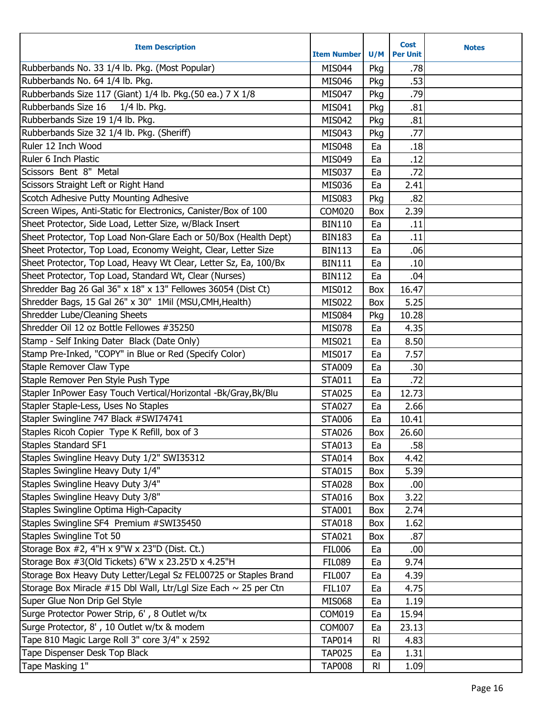| Rubberbands No. 33 1/4 lb. Pkg. (Most Popular)<br><b>MIS044</b><br>.78<br>Pkg<br>Rubberbands No. 64 1/4 lb. Pkg.<br>.53<br><b>MIS046</b><br>Pkg<br>Rubberbands Size 117 (Giant) 1/4 lb. Pkg. (50 ea.) 7 X 1/8<br>.79<br><b>MIS047</b><br>Pkg<br>Rubberbands Size 16<br>1/4 lb. Pkg.<br>MIS041<br>.81<br>Pkg<br>Rubberbands Size 19 1/4 lb. Pkg.<br>.81<br><b>MIS042</b><br>Pkg<br>Rubberbands Size 32 1/4 lb. Pkg. (Sheriff)<br>.77<br>MIS043<br>Pkg<br>Ruler 12 Inch Wood<br>.18<br><b>MIS048</b><br>Ea<br>Ruler 6 Inch Plastic<br>.12<br>MIS049<br>Ea<br>Scissors Bent 8" Metal<br>.72<br><b>MIS037</b><br>Ea<br>Scissors Straight Left or Right Hand<br><b>MIS036</b><br>Ea<br>2.41<br>Scotch Adhesive Putty Mounting Adhesive<br>.82<br><b>MIS083</b><br>Pkg<br>Screen Wipes, Anti-Static for Electronics, Canister/Box of 100<br><b>COM020</b><br>2.39<br>Box<br>Sheet Protector, Side Load, Letter Size, w/Black Insert<br><b>BIN110</b><br>Ea<br>.11<br>Sheet Protector, Top Load Non-Glare Each or 50/Box (Health Dept)<br><b>BIN183</b><br>Ea<br>.11<br>Sheet Protector, Top Load, Economy Weight, Clear, Letter Size<br>.06<br><b>BIN113</b><br>Ea<br>Sheet Protector, Top Load, Heavy Wt Clear, Letter Sz, Ea, 100/Bx<br><b>BIN111</b><br>.10<br>Ea<br>Sheet Protector, Top Load, Standard Wt, Clear (Nurses)<br><b>BIN112</b><br>Ea<br>.04<br>Shredder Bag 26 Gal 36" x 18" x 13" Fellowes 36054 (Dist Ct)<br><b>MIS012</b><br>16.47<br>Box<br>Shredder Bags, 15 Gal 26" x 30" 1Mil (MSU, CMH, Health)<br>5.25<br><b>MIS022</b><br>Box<br>Shredder Lube/Cleaning Sheets<br>10.28<br><b>MIS084</b><br>Pkg<br>Shredder Oil 12 oz Bottle Fellowes #35250<br>4.35<br><b>MIS078</b><br>Ea<br>Stamp - Self Inking Dater Black (Date Only)<br>8.50<br>MIS021<br>Ea<br>Stamp Pre-Inked, "COPY" in Blue or Red (Specify Color)<br><b>MIS017</b><br>7.57<br>Ea<br>Staple Remover Claw Type<br><b>STA009</b><br>.30<br>Ea<br>Staple Remover Pen Style Push Type<br>.72<br><b>STA011</b><br>Ea<br>Stapler InPower Easy Touch Vertical/Horizontal -Bk/Gray, Bk/Blu<br>12.73<br><b>STA025</b><br>Ea<br>Stapler Staple-Less, Uses No Staples<br>Ea<br>2.66<br><b>STA027</b><br>Stapler Swingline 747 Black #SWI74741<br><b>STA006</b><br>10.41<br>Ea<br>Staples Ricoh Copier Type K Refill, box of 3<br>26.60<br><b>STA026</b><br>Box<br><b>Staples Standard SF1</b><br>.58<br><b>STA013</b><br>Ea<br>Staples Swingline Heavy Duty 1/2" SWI35312<br><b>STA014</b><br>4.42<br>Box |
|-------------------------------------------------------------------------------------------------------------------------------------------------------------------------------------------------------------------------------------------------------------------------------------------------------------------------------------------------------------------------------------------------------------------------------------------------------------------------------------------------------------------------------------------------------------------------------------------------------------------------------------------------------------------------------------------------------------------------------------------------------------------------------------------------------------------------------------------------------------------------------------------------------------------------------------------------------------------------------------------------------------------------------------------------------------------------------------------------------------------------------------------------------------------------------------------------------------------------------------------------------------------------------------------------------------------------------------------------------------------------------------------------------------------------------------------------------------------------------------------------------------------------------------------------------------------------------------------------------------------------------------------------------------------------------------------------------------------------------------------------------------------------------------------------------------------------------------------------------------------------------------------------------------------------------------------------------------------------------------------------------------------------------------------------------------------------------------------------------------------------------------------------------------------------------------------------------------------------------------------------------------------------------------------------------------------------------------------------------------------------------------------------------------------------------------------------------------------------------|
|                                                                                                                                                                                                                                                                                                                                                                                                                                                                                                                                                                                                                                                                                                                                                                                                                                                                                                                                                                                                                                                                                                                                                                                                                                                                                                                                                                                                                                                                                                                                                                                                                                                                                                                                                                                                                                                                                                                                                                                                                                                                                                                                                                                                                                                                                                                                                                                                                                                                               |
|                                                                                                                                                                                                                                                                                                                                                                                                                                                                                                                                                                                                                                                                                                                                                                                                                                                                                                                                                                                                                                                                                                                                                                                                                                                                                                                                                                                                                                                                                                                                                                                                                                                                                                                                                                                                                                                                                                                                                                                                                                                                                                                                                                                                                                                                                                                                                                                                                                                                               |
|                                                                                                                                                                                                                                                                                                                                                                                                                                                                                                                                                                                                                                                                                                                                                                                                                                                                                                                                                                                                                                                                                                                                                                                                                                                                                                                                                                                                                                                                                                                                                                                                                                                                                                                                                                                                                                                                                                                                                                                                                                                                                                                                                                                                                                                                                                                                                                                                                                                                               |
|                                                                                                                                                                                                                                                                                                                                                                                                                                                                                                                                                                                                                                                                                                                                                                                                                                                                                                                                                                                                                                                                                                                                                                                                                                                                                                                                                                                                                                                                                                                                                                                                                                                                                                                                                                                                                                                                                                                                                                                                                                                                                                                                                                                                                                                                                                                                                                                                                                                                               |
|                                                                                                                                                                                                                                                                                                                                                                                                                                                                                                                                                                                                                                                                                                                                                                                                                                                                                                                                                                                                                                                                                                                                                                                                                                                                                                                                                                                                                                                                                                                                                                                                                                                                                                                                                                                                                                                                                                                                                                                                                                                                                                                                                                                                                                                                                                                                                                                                                                                                               |
|                                                                                                                                                                                                                                                                                                                                                                                                                                                                                                                                                                                                                                                                                                                                                                                                                                                                                                                                                                                                                                                                                                                                                                                                                                                                                                                                                                                                                                                                                                                                                                                                                                                                                                                                                                                                                                                                                                                                                                                                                                                                                                                                                                                                                                                                                                                                                                                                                                                                               |
|                                                                                                                                                                                                                                                                                                                                                                                                                                                                                                                                                                                                                                                                                                                                                                                                                                                                                                                                                                                                                                                                                                                                                                                                                                                                                                                                                                                                                                                                                                                                                                                                                                                                                                                                                                                                                                                                                                                                                                                                                                                                                                                                                                                                                                                                                                                                                                                                                                                                               |
|                                                                                                                                                                                                                                                                                                                                                                                                                                                                                                                                                                                                                                                                                                                                                                                                                                                                                                                                                                                                                                                                                                                                                                                                                                                                                                                                                                                                                                                                                                                                                                                                                                                                                                                                                                                                                                                                                                                                                                                                                                                                                                                                                                                                                                                                                                                                                                                                                                                                               |
|                                                                                                                                                                                                                                                                                                                                                                                                                                                                                                                                                                                                                                                                                                                                                                                                                                                                                                                                                                                                                                                                                                                                                                                                                                                                                                                                                                                                                                                                                                                                                                                                                                                                                                                                                                                                                                                                                                                                                                                                                                                                                                                                                                                                                                                                                                                                                                                                                                                                               |
|                                                                                                                                                                                                                                                                                                                                                                                                                                                                                                                                                                                                                                                                                                                                                                                                                                                                                                                                                                                                                                                                                                                                                                                                                                                                                                                                                                                                                                                                                                                                                                                                                                                                                                                                                                                                                                                                                                                                                                                                                                                                                                                                                                                                                                                                                                                                                                                                                                                                               |
|                                                                                                                                                                                                                                                                                                                                                                                                                                                                                                                                                                                                                                                                                                                                                                                                                                                                                                                                                                                                                                                                                                                                                                                                                                                                                                                                                                                                                                                                                                                                                                                                                                                                                                                                                                                                                                                                                                                                                                                                                                                                                                                                                                                                                                                                                                                                                                                                                                                                               |
|                                                                                                                                                                                                                                                                                                                                                                                                                                                                                                                                                                                                                                                                                                                                                                                                                                                                                                                                                                                                                                                                                                                                                                                                                                                                                                                                                                                                                                                                                                                                                                                                                                                                                                                                                                                                                                                                                                                                                                                                                                                                                                                                                                                                                                                                                                                                                                                                                                                                               |
|                                                                                                                                                                                                                                                                                                                                                                                                                                                                                                                                                                                                                                                                                                                                                                                                                                                                                                                                                                                                                                                                                                                                                                                                                                                                                                                                                                                                                                                                                                                                                                                                                                                                                                                                                                                                                                                                                                                                                                                                                                                                                                                                                                                                                                                                                                                                                                                                                                                                               |
|                                                                                                                                                                                                                                                                                                                                                                                                                                                                                                                                                                                                                                                                                                                                                                                                                                                                                                                                                                                                                                                                                                                                                                                                                                                                                                                                                                                                                                                                                                                                                                                                                                                                                                                                                                                                                                                                                                                                                                                                                                                                                                                                                                                                                                                                                                                                                                                                                                                                               |
|                                                                                                                                                                                                                                                                                                                                                                                                                                                                                                                                                                                                                                                                                                                                                                                                                                                                                                                                                                                                                                                                                                                                                                                                                                                                                                                                                                                                                                                                                                                                                                                                                                                                                                                                                                                                                                                                                                                                                                                                                                                                                                                                                                                                                                                                                                                                                                                                                                                                               |
|                                                                                                                                                                                                                                                                                                                                                                                                                                                                                                                                                                                                                                                                                                                                                                                                                                                                                                                                                                                                                                                                                                                                                                                                                                                                                                                                                                                                                                                                                                                                                                                                                                                                                                                                                                                                                                                                                                                                                                                                                                                                                                                                                                                                                                                                                                                                                                                                                                                                               |
|                                                                                                                                                                                                                                                                                                                                                                                                                                                                                                                                                                                                                                                                                                                                                                                                                                                                                                                                                                                                                                                                                                                                                                                                                                                                                                                                                                                                                                                                                                                                                                                                                                                                                                                                                                                                                                                                                                                                                                                                                                                                                                                                                                                                                                                                                                                                                                                                                                                                               |
|                                                                                                                                                                                                                                                                                                                                                                                                                                                                                                                                                                                                                                                                                                                                                                                                                                                                                                                                                                                                                                                                                                                                                                                                                                                                                                                                                                                                                                                                                                                                                                                                                                                                                                                                                                                                                                                                                                                                                                                                                                                                                                                                                                                                                                                                                                                                                                                                                                                                               |
|                                                                                                                                                                                                                                                                                                                                                                                                                                                                                                                                                                                                                                                                                                                                                                                                                                                                                                                                                                                                                                                                                                                                                                                                                                                                                                                                                                                                                                                                                                                                                                                                                                                                                                                                                                                                                                                                                                                                                                                                                                                                                                                                                                                                                                                                                                                                                                                                                                                                               |
|                                                                                                                                                                                                                                                                                                                                                                                                                                                                                                                                                                                                                                                                                                                                                                                                                                                                                                                                                                                                                                                                                                                                                                                                                                                                                                                                                                                                                                                                                                                                                                                                                                                                                                                                                                                                                                                                                                                                                                                                                                                                                                                                                                                                                                                                                                                                                                                                                                                                               |
|                                                                                                                                                                                                                                                                                                                                                                                                                                                                                                                                                                                                                                                                                                                                                                                                                                                                                                                                                                                                                                                                                                                                                                                                                                                                                                                                                                                                                                                                                                                                                                                                                                                                                                                                                                                                                                                                                                                                                                                                                                                                                                                                                                                                                                                                                                                                                                                                                                                                               |
|                                                                                                                                                                                                                                                                                                                                                                                                                                                                                                                                                                                                                                                                                                                                                                                                                                                                                                                                                                                                                                                                                                                                                                                                                                                                                                                                                                                                                                                                                                                                                                                                                                                                                                                                                                                                                                                                                                                                                                                                                                                                                                                                                                                                                                                                                                                                                                                                                                                                               |
|                                                                                                                                                                                                                                                                                                                                                                                                                                                                                                                                                                                                                                                                                                                                                                                                                                                                                                                                                                                                                                                                                                                                                                                                                                                                                                                                                                                                                                                                                                                                                                                                                                                                                                                                                                                                                                                                                                                                                                                                                                                                                                                                                                                                                                                                                                                                                                                                                                                                               |
|                                                                                                                                                                                                                                                                                                                                                                                                                                                                                                                                                                                                                                                                                                                                                                                                                                                                                                                                                                                                                                                                                                                                                                                                                                                                                                                                                                                                                                                                                                                                                                                                                                                                                                                                                                                                                                                                                                                                                                                                                                                                                                                                                                                                                                                                                                                                                                                                                                                                               |
|                                                                                                                                                                                                                                                                                                                                                                                                                                                                                                                                                                                                                                                                                                                                                                                                                                                                                                                                                                                                                                                                                                                                                                                                                                                                                                                                                                                                                                                                                                                                                                                                                                                                                                                                                                                                                                                                                                                                                                                                                                                                                                                                                                                                                                                                                                                                                                                                                                                                               |
|                                                                                                                                                                                                                                                                                                                                                                                                                                                                                                                                                                                                                                                                                                                                                                                                                                                                                                                                                                                                                                                                                                                                                                                                                                                                                                                                                                                                                                                                                                                                                                                                                                                                                                                                                                                                                                                                                                                                                                                                                                                                                                                                                                                                                                                                                                                                                                                                                                                                               |
|                                                                                                                                                                                                                                                                                                                                                                                                                                                                                                                                                                                                                                                                                                                                                                                                                                                                                                                                                                                                                                                                                                                                                                                                                                                                                                                                                                                                                                                                                                                                                                                                                                                                                                                                                                                                                                                                                                                                                                                                                                                                                                                                                                                                                                                                                                                                                                                                                                                                               |
|                                                                                                                                                                                                                                                                                                                                                                                                                                                                                                                                                                                                                                                                                                                                                                                                                                                                                                                                                                                                                                                                                                                                                                                                                                                                                                                                                                                                                                                                                                                                                                                                                                                                                                                                                                                                                                                                                                                                                                                                                                                                                                                                                                                                                                                                                                                                                                                                                                                                               |
|                                                                                                                                                                                                                                                                                                                                                                                                                                                                                                                                                                                                                                                                                                                                                                                                                                                                                                                                                                                                                                                                                                                                                                                                                                                                                                                                                                                                                                                                                                                                                                                                                                                                                                                                                                                                                                                                                                                                                                                                                                                                                                                                                                                                                                                                                                                                                                                                                                                                               |
|                                                                                                                                                                                                                                                                                                                                                                                                                                                                                                                                                                                                                                                                                                                                                                                                                                                                                                                                                                                                                                                                                                                                                                                                                                                                                                                                                                                                                                                                                                                                                                                                                                                                                                                                                                                                                                                                                                                                                                                                                                                                                                                                                                                                                                                                                                                                                                                                                                                                               |
|                                                                                                                                                                                                                                                                                                                                                                                                                                                                                                                                                                                                                                                                                                                                                                                                                                                                                                                                                                                                                                                                                                                                                                                                                                                                                                                                                                                                                                                                                                                                                                                                                                                                                                                                                                                                                                                                                                                                                                                                                                                                                                                                                                                                                                                                                                                                                                                                                                                                               |
| Staples Swingline Heavy Duty 1/4"<br>5.39<br><b>STA015</b><br>Box                                                                                                                                                                                                                                                                                                                                                                                                                                                                                                                                                                                                                                                                                                                                                                                                                                                                                                                                                                                                                                                                                                                                                                                                                                                                                                                                                                                                                                                                                                                                                                                                                                                                                                                                                                                                                                                                                                                                                                                                                                                                                                                                                                                                                                                                                                                                                                                                             |
| Staples Swingline Heavy Duty 3/4"<br><b>STA028</b><br>.00<br>Box                                                                                                                                                                                                                                                                                                                                                                                                                                                                                                                                                                                                                                                                                                                                                                                                                                                                                                                                                                                                                                                                                                                                                                                                                                                                                                                                                                                                                                                                                                                                                                                                                                                                                                                                                                                                                                                                                                                                                                                                                                                                                                                                                                                                                                                                                                                                                                                                              |
| Staples Swingline Heavy Duty 3/8"<br>3.22<br><b>STA016</b><br>Box                                                                                                                                                                                                                                                                                                                                                                                                                                                                                                                                                                                                                                                                                                                                                                                                                                                                                                                                                                                                                                                                                                                                                                                                                                                                                                                                                                                                                                                                                                                                                                                                                                                                                                                                                                                                                                                                                                                                                                                                                                                                                                                                                                                                                                                                                                                                                                                                             |
| Staples Swingline Optima High-Capacity<br>2.74<br><b>STA001</b><br>Box                                                                                                                                                                                                                                                                                                                                                                                                                                                                                                                                                                                                                                                                                                                                                                                                                                                                                                                                                                                                                                                                                                                                                                                                                                                                                                                                                                                                                                                                                                                                                                                                                                                                                                                                                                                                                                                                                                                                                                                                                                                                                                                                                                                                                                                                                                                                                                                                        |
| Staples Swingline SF4 Premium #SWI35450<br>1.62<br><b>STA018</b><br>Box                                                                                                                                                                                                                                                                                                                                                                                                                                                                                                                                                                                                                                                                                                                                                                                                                                                                                                                                                                                                                                                                                                                                                                                                                                                                                                                                                                                                                                                                                                                                                                                                                                                                                                                                                                                                                                                                                                                                                                                                                                                                                                                                                                                                                                                                                                                                                                                                       |
| Staples Swingline Tot 50<br><b>STA021</b><br>.87<br>Box                                                                                                                                                                                                                                                                                                                                                                                                                                                                                                                                                                                                                                                                                                                                                                                                                                                                                                                                                                                                                                                                                                                                                                                                                                                                                                                                                                                                                                                                                                                                                                                                                                                                                                                                                                                                                                                                                                                                                                                                                                                                                                                                                                                                                                                                                                                                                                                                                       |
| Storage Box #2, 4"H x 9"W x 23"D (Dist. Ct.)<br>.00<br><b>FIL006</b><br>Ea                                                                                                                                                                                                                                                                                                                                                                                                                                                                                                                                                                                                                                                                                                                                                                                                                                                                                                                                                                                                                                                                                                                                                                                                                                                                                                                                                                                                                                                                                                                                                                                                                                                                                                                                                                                                                                                                                                                                                                                                                                                                                                                                                                                                                                                                                                                                                                                                    |
| Storage Box #3(Old Tickets) 6"W x 23.25'D x 4.25"H<br><b>FIL089</b><br>Ea<br>9.74                                                                                                                                                                                                                                                                                                                                                                                                                                                                                                                                                                                                                                                                                                                                                                                                                                                                                                                                                                                                                                                                                                                                                                                                                                                                                                                                                                                                                                                                                                                                                                                                                                                                                                                                                                                                                                                                                                                                                                                                                                                                                                                                                                                                                                                                                                                                                                                             |
| Storage Box Heavy Duty Letter/Legal Sz FEL00725 or Staples Brand<br>4.39<br><b>FIL007</b><br>Ea                                                                                                                                                                                                                                                                                                                                                                                                                                                                                                                                                                                                                                                                                                                                                                                                                                                                                                                                                                                                                                                                                                                                                                                                                                                                                                                                                                                                                                                                                                                                                                                                                                                                                                                                                                                                                                                                                                                                                                                                                                                                                                                                                                                                                                                                                                                                                                               |
| Storage Box Miracle #15 Dbl Wall, Ltr/Lgl Size Each ~ 25 per Ctn<br><b>FIL107</b><br>4.75<br>Ea                                                                                                                                                                                                                                                                                                                                                                                                                                                                                                                                                                                                                                                                                                                                                                                                                                                                                                                                                                                                                                                                                                                                                                                                                                                                                                                                                                                                                                                                                                                                                                                                                                                                                                                                                                                                                                                                                                                                                                                                                                                                                                                                                                                                                                                                                                                                                                               |
| Super Glue Non Drip Gel Style<br>1.19<br><b>MIS068</b><br>Ea                                                                                                                                                                                                                                                                                                                                                                                                                                                                                                                                                                                                                                                                                                                                                                                                                                                                                                                                                                                                                                                                                                                                                                                                                                                                                                                                                                                                                                                                                                                                                                                                                                                                                                                                                                                                                                                                                                                                                                                                                                                                                                                                                                                                                                                                                                                                                                                                                  |
| Surge Protector Power Strip, 6', 8 Outlet w/tx<br>COM019<br>15.94<br>Ea                                                                                                                                                                                                                                                                                                                                                                                                                                                                                                                                                                                                                                                                                                                                                                                                                                                                                                                                                                                                                                                                                                                                                                                                                                                                                                                                                                                                                                                                                                                                                                                                                                                                                                                                                                                                                                                                                                                                                                                                                                                                                                                                                                                                                                                                                                                                                                                                       |
| Surge Protector, 8', 10 Outlet w/tx & modem<br>23.13<br><b>COM007</b><br>Ea                                                                                                                                                                                                                                                                                                                                                                                                                                                                                                                                                                                                                                                                                                                                                                                                                                                                                                                                                                                                                                                                                                                                                                                                                                                                                                                                                                                                                                                                                                                                                                                                                                                                                                                                                                                                                                                                                                                                                                                                                                                                                                                                                                                                                                                                                                                                                                                                   |
| Tape 810 Magic Large Roll 3" core 3/4" x 2592<br><b>TAP014</b><br>4.83<br>$R_{\parallel}$                                                                                                                                                                                                                                                                                                                                                                                                                                                                                                                                                                                                                                                                                                                                                                                                                                                                                                                                                                                                                                                                                                                                                                                                                                                                                                                                                                                                                                                                                                                                                                                                                                                                                                                                                                                                                                                                                                                                                                                                                                                                                                                                                                                                                                                                                                                                                                                     |
| Tape Dispenser Desk Top Black<br><b>TAP025</b><br>1.31<br>Ea                                                                                                                                                                                                                                                                                                                                                                                                                                                                                                                                                                                                                                                                                                                                                                                                                                                                                                                                                                                                                                                                                                                                                                                                                                                                                                                                                                                                                                                                                                                                                                                                                                                                                                                                                                                                                                                                                                                                                                                                                                                                                                                                                                                                                                                                                                                                                                                                                  |
| Tape Masking 1"<br><b>TAP008</b><br>1.09<br>RI.                                                                                                                                                                                                                                                                                                                                                                                                                                                                                                                                                                                                                                                                                                                                                                                                                                                                                                                                                                                                                                                                                                                                                                                                                                                                                                                                                                                                                                                                                                                                                                                                                                                                                                                                                                                                                                                                                                                                                                                                                                                                                                                                                                                                                                                                                                                                                                                                                               |